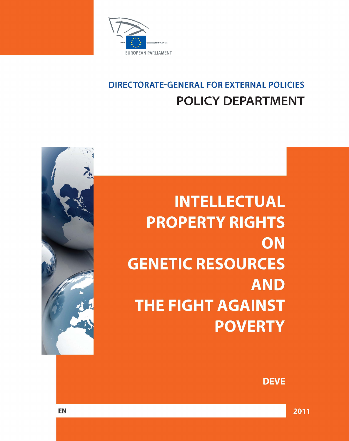

# **DIRECTORATE-GENERAL FOR EXTERNAL POLICIES POLICY DEPARTMENT**

# **INTELLECTUAL PROPERTY RIGHTS** ON **GENETIC RESOURCES AND THE FIGHT AGAINST POVERTY**



**DEVE**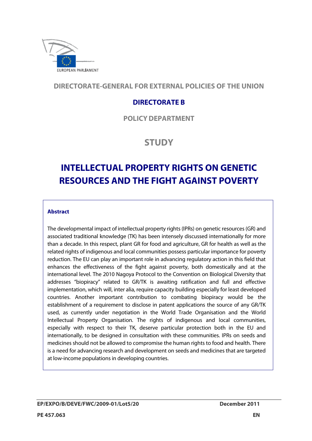

**DIRECTORATE-GENERAL FOR EXTERNAL POLICIES OF THE UNION** 

## **DIRECTORATE B**

**POLICYDEPARTMENT**

## **STUDY**

## **INTELLECTUAL PROPERTY RIGHTS ON GENETIC RESOURCES AND THE FIGHT AGAINST POVERTY**

#### **Abstract**

The developmental impact of intellectual property rights (IPRs) on genetic resources (GR) and associated traditional knowledge (TK) has been intensely discussed internationally for more than a decade. In this respect, plant GR for food and agriculture, GR for health as well as the related rights of indigenous and local communities possess particular importance for poverty reduction. The EU can play an important role in advancing regulatory action in this field that enhances the effectiveness of the fight against poverty, both domestically and at the international level. The 2010 Nagoya Protocol to the Convention on Biological Diversity that addresses "biopiracy" related to GR/TK is awaiting ratification and full and effective implementation, which will, inter alia, require capacity building especially for least developed countries. Another important contribution to combating biopiracy would be the establishment of a requirement to disclose in patent applications the source of any GR/TK used, as currently under negotiation in the World Trade Organisation and the World Intellectual Property Organisation. The rights of indigenous and local communities, especially with respect to their TK, deserve particular protection both in the EU and internationally, to be designed in consultation with these communities. IPRs on seeds and medicines should not be allowed to compromise the human rights to food and health. There is a need for advancing research and development on seeds and medicines that are targeted at low-income populations in developing countries.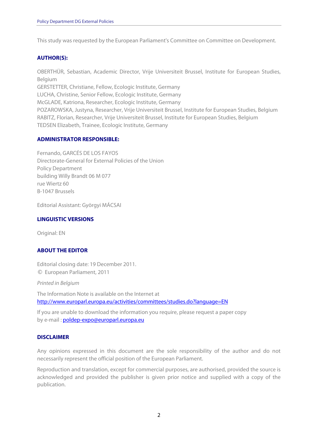This study was requested by the European Parliament's Committee on Committee on Development.

#### **AUTHOR(S):**

OBERTHÜR, Sebastian, Academic Director, Vrije Universiteit Brussel, Institute for European Studies, Belgium GERSTETTER, Christiane, Fellow, Ecologic Institute, Germany LUCHA, Christine, Senior Fellow, Ecologic Institute, Germany McGLADE, Katriona, Researcher, Ecologic Institute, Germany POZAROWSKA, Justyna, Researcher, Vrije Universiteit Brussel, Institute for European Studies, Belgium RABITZ, Florian, Researcher, Vrije Universiteit Brussel, Institute for European Studies, Belgium

TEDSEN Elizabeth, Trainee, Ecologic Institute, Germany

#### **ADMINISTRATOR RESPONSIBLE:**

Fernando, GARCÉS DE LOS FAYOS Directorate-General for External Policies of the Union Policy Department building Willy Brandt 06 M 077 rue Wiertz 60 B-1047 Brussels

Editorial Assistant: Györgyi MÁCSAI

#### **LINGUISTIC VERSIONS**

Original: EN

#### **ABOUT THE EDITOR**

Editorial closing date: 19 December 2011. © European Parliament, 2011

Printed in Belgium

The Information Note is available on the Internet at http://www.europarl.europa.eu/activities/committees/studies.do?language=EN

If you are unable to download the information you require, please request a paper copy by e-mail : poldep-expo@europarl.europa.eu

#### **DISCLAIMER**

Any opinions expressed in this document are the sole responsibility of the author and do not necessarily represent the official position of the European Parliament.

Reproduction and translation, except for commercial purposes, are authorised, provided the source is acknowledged and provided the publisher is given prior notice and supplied with a copy of the publication.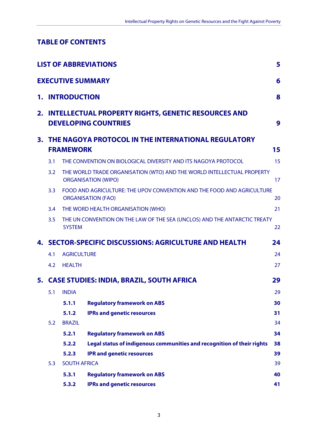## **TABLE OF CONTENTS**

|    |               |                        | <b>LIST OF ABBREVIATIONS</b>                                                                         | 5  |
|----|---------------|------------------------|------------------------------------------------------------------------------------------------------|----|
|    |               |                        | <b>EXECUTIVE SUMMARY</b>                                                                             | 6  |
|    |               | <b>1. INTRODUCTION</b> |                                                                                                      | 8  |
|    |               |                        | 2. INTELLECTUAL PROPERTY RIGHTS, GENETIC RESOURCES AND<br><b>DEVELOPING COUNTRIES</b>                | 9  |
| 3. |               |                        | THE NAGOYA PROTOCOL IN THE INTERNATIONAL REGULATORY                                                  |    |
|    |               | <b>FRAMEWORK</b>       |                                                                                                      | 15 |
|    | 3.1           |                        | THE CONVENTION ON BIOLOGICAL DIVERSITY AND ITS NAGOYA PROTOCOL                                       | 15 |
|    | 3.2           |                        | THE WORLD TRADE ORGANISATION (WTO) AND THE WORLD INTELLECTUAL PROPERTY<br><b>ORGANISATION (WIPO)</b> | 17 |
|    | 3.3           |                        | FOOD AND AGRICULTURE: THE UPOV CONVENTION AND THE FOOD AND AGRICULTURE<br><b>ORGANISATION (FAO)</b>  | 20 |
|    | $3.4^{\circ}$ |                        | THE WORD HEALTH ORGANISATION (WHO)                                                                   | 21 |
|    | 3.5           | <b>SYSTEM</b>          | THE UN CONVENTION ON THE LAW OF THE SEA (UNCLOS) AND THE ANTARCTIC TREATY                            | 22 |
|    |               |                        | 4. SECTOR-SPECIFIC DISCUSSIONS: AGRICULTURE AND HEALTH                                               | 24 |
|    | 4.1           | <b>AGRICULTURE</b>     |                                                                                                      | 24 |
|    | 4.2           | <b>HEALTH</b>          |                                                                                                      | 27 |
|    |               |                        | 5. CASE STUDIES: INDIA, BRAZIL, SOUTH AFRICA                                                         | 29 |
|    | 5.1           | <b>INDIA</b>           |                                                                                                      | 29 |
|    |               | 5.1.1                  | <b>Regulatory framework on ABS</b>                                                                   | 30 |
|    |               | 5.1.2                  | <b>IPRs and genetic resources</b>                                                                    | 31 |
|    | 5.2           | <b>BRAZIL</b>          |                                                                                                      | 34 |
|    |               | 5.2.1                  | <b>Regulatory framework on ABS</b>                                                                   | 34 |
|    |               | 5.2.2                  | Legal status of indigenous communities and recognition of their rights                               | 38 |
|    |               | 5.2.3                  | <b>IPR and genetic resources</b>                                                                     | 39 |
|    | 5.3           | <b>SOUTH AFRICA</b>    |                                                                                                      | 39 |
|    |               | 5.3.1                  | <b>Regulatory framework on ABS</b>                                                                   | 40 |
|    |               | 5.3.2                  | <b>IPRs and genetic resources</b>                                                                    | 41 |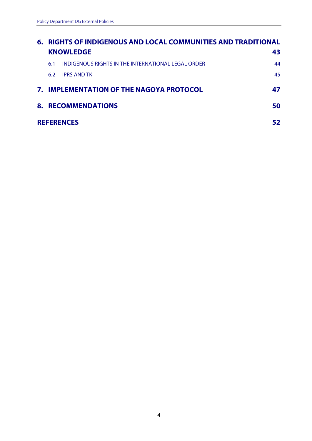| 6. | RIGHTS OF INDIGENOUS AND LOCAL COMMUNITIES AND TRADITIONAL |                                                    |    |  |  |  |  |  |  |
|----|------------------------------------------------------------|----------------------------------------------------|----|--|--|--|--|--|--|
|    |                                                            | <b>KNOWLEDGE</b>                                   | 43 |  |  |  |  |  |  |
|    | 6.1                                                        | INDIGENOUS RIGHTS IN THE INTERNATIONAL LEGAL ORDER | 44 |  |  |  |  |  |  |
|    | 6.2                                                        | <b>IPRS AND TK</b>                                 | 45 |  |  |  |  |  |  |
|    |                                                            | 7. IMPLEMENTATION OF THE NAGOYA PROTOCOL           | 47 |  |  |  |  |  |  |
| 8. |                                                            | <b>RECOMMENDATIONS</b>                             | 50 |  |  |  |  |  |  |
|    |                                                            | <b>REFERENCES</b>                                  |    |  |  |  |  |  |  |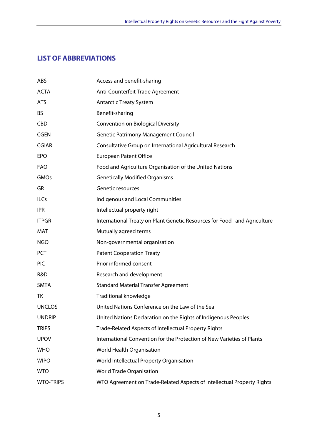## **LIST OF ABBREVIATIONS**

| ABS              | Access and benefit-sharing                                               |
|------------------|--------------------------------------------------------------------------|
| <b>ACTA</b>      | Anti-Counterfeit Trade Agreement                                         |
| <b>ATS</b>       | <b>Antarctic Treaty System</b>                                           |
| <b>BS</b>        | Benefit-sharing                                                          |
| <b>CBD</b>       | <b>Convention on Biological Diversity</b>                                |
| <b>CGEN</b>      | <b>Genetic Patrimony Management Council</b>                              |
| <b>CGIAR</b>     | Consultative Group on International Agricultural Research                |
| <b>EPO</b>       | <b>European Patent Office</b>                                            |
| <b>FAO</b>       | Food and Agriculture Organisation of the United Nations                  |
| GMOs             | <b>Genetically Modified Organisms</b>                                    |
| GR               | Genetic resources                                                        |
| <b>ILCs</b>      | Indigenous and Local Communities                                         |
| <b>IPR</b>       | Intellectual property right                                              |
| <b>ITPGR</b>     | International Treaty on Plant Genetic Resources for Food and Agriculture |
| MAT              | Mutually agreed terms                                                    |
| <b>NGO</b>       | Non-governmental organisation                                            |
| PCT              | <b>Patent Cooperation Treaty</b>                                         |
| <b>PIC</b>       | Prior informed consent                                                   |
| R&D              | Research and development                                                 |
| <b>SMTA</b>      | <b>Standard Material Transfer Agreement</b>                              |
| ТK               | <b>Traditional knowledge</b>                                             |
| <b>UNCLOS</b>    | United Nations Conference on the Law of the Sea                          |
| <b>UNDRIP</b>    | United Nations Declaration on the Rights of Indigenous Peoples           |
| <b>TRIPS</b>     | Trade-Related Aspects of Intellectual Property Rights                    |
| <b>UPOV</b>      | International Convention for the Protection of New Varieties of Plants   |
| <b>WHO</b>       | World Health Organisation                                                |
| <b>WIPO</b>      | World Intellectual Property Organisation                                 |
| <b>WTO</b>       | <b>World Trade Organisation</b>                                          |
| <b>WTO-TRIPS</b> | WTO Agreement on Trade-Related Aspects of Intellectual Property Rights   |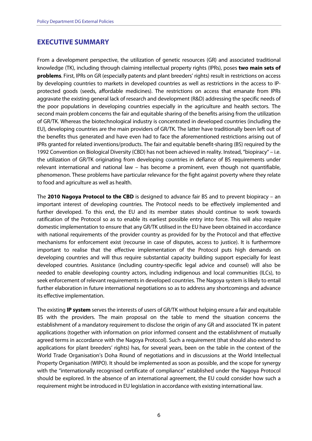### **EXECUTIVE SUMMARY**

From a development perspective, the utilization of genetic resources (GR) and associated traditional knowledge (TK), including through claiming intellectual property rights (IPRs), poses **two main sets of problems**. First, IPRs on GR (especially patents and plant breeders' rights) result in restrictions on access by developing countries to markets in developed countries as well as restrictions in the access to IPprotected goods (seeds, affordable medicines). The restrictions on access that emanate from IPRs aggravate the existing general lack of research and development (R&D) addressing the specific needs of the poor populations in developing countries especially in the agriculture and health sectors. The second main problem concerns the fair and equitable sharing of the benefits arising from the utilization of GR/TK. Whereas the biotechnological industry is concentrated in developed countries (including the EU), developing countries are the main providers of GR/TK. The latter have traditionally been left out of the benefits thus generated and have even had to face the aforementioned restrictions arising out of IPRs granted for related inventions/products. The fair and equitable benefit-sharing (BS) required by the 1992 Convention on Biological Diversity (CBD) has not been achieved in reality. Instead, "biopiracy" – i.e. the utilization of GR/TK originating from developing countries in defiance of BS requirements under relevant international and national law – has become a prominent, even though not quantifiable, phenomenon. These problems have particular relevance for the fight against poverty where they relate to food and agriculture as well as health.

The **2010 Nagoya Protocol to the CBD** is designed to advance fair BS and to prevent biopiracy – an important interest of developing countries. The Protocol needs to be effectively implemented and further developed. To this end, the EU and its member states should continue to work towards ratification of the Protocol so as to enable its earliest possible entry into force. This will also require domestic implementation to ensure that any GR/TK utilised in the EU have been obtained in accordance with national requirements of the provider country as provided for by the Protocol and that effective mechanisms for enforcement exist (recourse in case of disputes, access to justice). It is furthermore important to realise that the effective implementation of the Protocol puts high demands on developing countries and will thus require substantial capacity building support especially for least developed countries. Assistance (including country-specific legal advice and counsel) will also be needed to enable developing country actors, including indigenous and local communities (ILCs), to seek enforcement of relevant requirements in developed countries. The Nagoya system is likely to entail further elaboration in future international negotiations so as to address any shortcomings and advance its effective implementation.

The existing **IP system** serves the interests of users of GR/TK without helping ensure a fair and equitable BS with the providers. The main proposal on the table to mend the situation concerns the establishment of a mandatory requirement to disclose the origin of any GR and associated TK in patent applications (together with information on prior informed consent and the establishment of mutually agreed terms in accordance with the Nagoya Protocol). Such a requirement (that should also extend to applications for plant breeders' rights) has, for several years, been on the table in the context of the World Trade Organisation's Doha Round of negotiations and in discussions at the World Intellectual Property Organisation (WIPO). It should be implemented as soon as possible, and the scope for synergy with the "internationally recognised certificate of compliance" established under the Nagoya Protocol should be explored. In the absence of an international agreement, the EU could consider how such a requirement might be introduced in EU legislation in accordance with existing international law.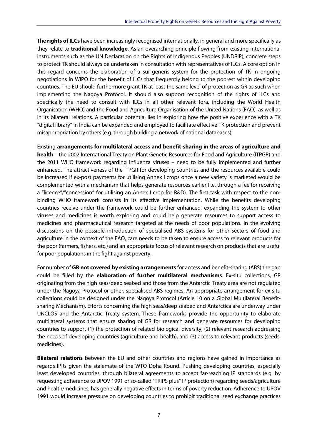The **rights of ILCs** have been increasingly recognised internationally, in general and more specifically as they relate to **traditional knowledge**. As an overarching principle flowing from existing international instruments such as the UN Declaration on the Rights of Indigenous Peoples (UNDRIP), concrete steps to protect TK should always be undertaken in consultation with representatives of ILCs. A core option in this regard concerns the elaboration of a sui generis system for the protection of TK in ongoing negotiations in WIPO for the benefit of ILCs that frequently belong to the poorest within developing countries. The EU should furthermore grant TK at least the same level of protection as GR as such when implementing the Nagoya Protocol. It should also support recognition of the rights of ILCs and specifically the need to consult with ILCs in all other relevant fora, including the World Health Organisation (WHO) and the Food and Agriculture Organisation of the United Nations (FAO), as well as in its bilateral relations. A particular potential lies in exploring how the positive experience with a TK "digital library" in India can be expanded and employed to facilitate effective TK protection and prevent misappropriation by others (e.g. through building a network of national databases).

Existing **arrangements for multilateral access and benefit-sharing in the areas of agriculture and health** – the 2002 International Treaty on Plant Genetic Resources for Food and Agriculture (ITPGR) and the 2011 WHO framework regarding influenza viruses – need to be fully implemented and further enhanced. The attractiveness of the ITPGR for developing countries and the resources available could be increased if ex-post payments for utilising Annex I crops once a new variety is marketed would be complemented with a mechanism that helps generate resources earlier (i.e. through a fee for receiving a "licence"/"concession" for utilising an Annex I crop for R&D). The first task with respect to the nonbinding WHO framework consists in its effective implementation. While the benefits developing countries receive under the framework could be further enhanced, expanding the system to other viruses and medicines is worth exploring and could help generate resources to support access to medicines and pharmaceutical research targeted at the needs of poor populations. In the evolving discussions on the possible introduction of specialised ABS systems for other sectors of food and agriculture in the context of the FAO, care needs to be taken to ensure access to relevant products for the poor (farmers, fishers, etc.) and an appropriate focus of relevant research on products that are useful for poor populations in the fight against poverty.

For number of **GR not covered by existing arrangements** for access and benefit-sharing (ABS) the gap could be filled by the **elaboration of further multilateral mechanisms**. Ex-situ collections, GR originating from the high seas/deep seabed and those from the Antarctic Treaty area are not regulated under the Nagoya Protocol or other, specialised ABS regimes. An appropriate arrangement for ex-situ collections could be designed under the Nagoya Protocol (Article 10 on a Global Multilateral Benefitsharing Mechanism). Efforts concerning the high seas/deep seabed and Antarctica are underway under UNCLOS and the Antarctic Treaty system. These frameworks provide the opportunity to elaborate multilateral systems that ensure sharing of GR for research and generate resources for developing countries to support (1) the protection of related biological diversity; (2) relevant research addressing the needs of developing countries (agriculture and health), and (3) access to relevant products (seeds, medicines).

**Bilateral relations** between the EU and other countries and regions have gained in importance as regards IPRs given the stalemate of the WTO Doha Round. Pushing developing countries, especially least developed countries, through bilateral agreements to accept far-reaching IP standards (e.g. by requesting adherence to UPOV 1991 or so-called "TRIPS plus" IP protection) regarding seeds/agriculture and health/medicines, has generally negative effects in terms of poverty reduction. Adherence to UPOV 1991 would increase pressure on developing countries to prohibit traditional seed exchange practices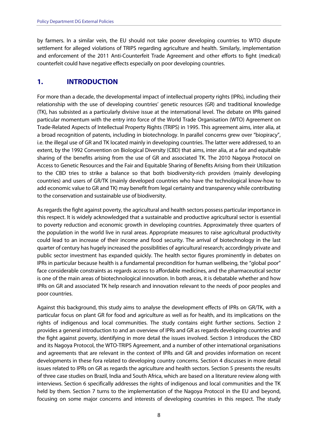by farmers. In a similar vein, the EU should not take poorer developing countries to WTO dispute settlement for alleged violations of TRIPS regarding agriculture and health. Similarly, implementation and enforcement of the 2011 Anti-Counterfeit Trade Agreement and other efforts to fight (medical) counterfeit could have negative effects especially on poor developing countries.

## **1. INTRODUCTION**

For more than a decade, the developmental impact of intellectual property rights (IPRs), including their relationship with the use of developing countries' genetic resources (GR) and traditional knowledge (TK), has subsisted as a particularly divisive issue at the international level. The debate on IPRs gained particular momentum with the entry into force of the World Trade Organisation (WTO) Agreement on Trade-Related Aspects of Intellectual Property Rights (TRIPS) in 1995. This agreement aims, inter alia, at a broad recognition of patents, including in biotechnology. In parallel concerns grew over "biopiracy", i.e. the illegal use of GR and TK located mainly in developing countries. The latter were addressed, to an extent, by the 1992 Convention on Biological Diversity (CBD) that aims, inter alia, at a fair and equitable sharing of the benefits arising from the use of GR and associated TK. The 2010 Nagoya Protocol on Access to Genetic Resources and the Fair and Equitable Sharing of Benefits Arising from their Utilization to the CBD tries to strike a balance so that both biodiversity-rich providers (mainly developing countries) and users of GR/TK (mainly developed countries who have the technological know-how to add economic value to GR and TK) may benefit from legal certainty and transparency while contributing to the conservation and sustainable use of biodiversity.

As regards the fight against poverty, the agricultural and health sectors possess particular importance in this respect. It is widely acknowledged that a sustainable and productive agricultural sector is essential to poverty reduction and economic growth in developing countries. Approximately three quarters of the population in the world live in rural areas. Appropriate measures to raise agricultural productivity could lead to an increase of their income and food security. The arrival of biotechnology in the last quarter of century has hugely increased the possibilities of agricultural research; accordingly private and public sector investment has expanded quickly. The health sector figures prominently in debates on IPRs in particular because health is a fundamental precondition for human wellbeing, the "global poor" face considerable constraints as regards access to affordable medicines, and the pharmaceutical sector is one of the main areas of biotechnological innovation. In both areas, it is debatable whether and how IPRs on GR and associated TK help research and innovation relevant to the needs of poor peoples and poor countries.

Against this background, this study aims to analyse the development effects of IPRs on GR/TK, with a particular focus on plant GR for food and agriculture as well as for health, and its implications on the rights of indigenous and local communities. The study contains eight further sections. Section 2 provides a general introduction to and an overview of IPRs and GR as regards developing countries and the fight against poverty, identifying in more detail the issues involved. Section 3 introduces the CBD and its Nagoya Protocol, the WTO-TRIPS Agreement, and a number of other international organisations and agreements that are relevant in the context of IPRs and GR and provides information on recent developments in these fora related to developing country concerns. Section 4 discusses in more detail issues related to IPRs on GR as regards the agriculture and health sectors. Section 5 presents the results of three case studies on Brazil, India and South Africa, which are based on a literature review along with interviews. Section 6 specifically addresses the rights of indigenous and local communities and the TK held by them. Section 7 turns to the implementation of the Nagoya Protocol in the EU and beyond, focusing on some major concerns and interests of developing countries in this respect. The study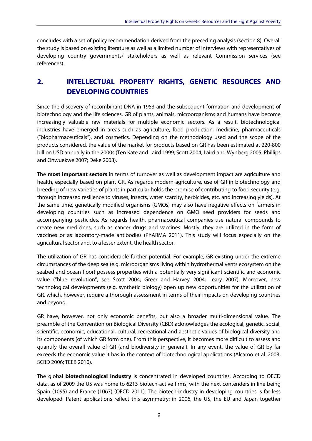concludes with a set of policy recommendation derived from the preceding analysis (section 8). Overall the study is based on existing literature as well as a limited number of interviews with representatives of developing country governments/ stakeholders as well as relevant Commission services (see references).

## **2. INTELLECTUAL PROPERTY RIGHTS, GENETIC RESOURCES AND DEVELOPING COUNTRIES**

Since the discovery of recombinant DNA in 1953 and the subsequent formation and development of biotechnology and the life sciences, GR of plants, animals, microorganisms and humans have become increasingly valuable raw materials for multiple economic sectors. As a result, biotechnological industries have emerged in areas such as agriculture, food production, medicine, pharmaceuticals ("biopharmaceuticals"), and cosmetics. Depending on the methodology used and the scope of the products considered, the value of the market for products based on GR has been estimated at 220-800 billion USD annually in the 2000s (Ten Kate and Laird 1999; Scott 2004; Laird and Wynberg 2005; Phillips and Onwuekwe 2007; Deke 2008).

The **most important sectors** in terms of turnover as well as development impact are agriculture and health, especially based on plant GR. As regards modern agriculture, use of GR in biotechnology and breeding of new varieties of plants in particular holds the promise of contributing to food security (e.g. through increased resilience to viruses, insects, water scarcity, herbicides, etc. and increasing yields). At the same time, genetically modified organisms (GMOs) may also have negative effects on farmers in developing countries such as increased dependence on GMO seed providers for seeds and accompanying pesticides. As regards health, pharmaceutical companies use natural compounds to create new medicines, such as cancer drugs and vaccines. Mostly, they are utilized in the form of vaccines or as laboratory-made antibodies (PhARMA 2011). This study will focus especially on the agricultural sector and, to a lesser extent, the health sector.

The utilization of GR has considerable further potential. For example, GR existing under the extreme circumstances of the deep sea (e.g. microorganisms living within hydrothermal vents ecosystem on the seabed and ocean floor) possess properties with a potentially very significant scientific and economic value ("blue revolution"; see Scott 2004; Greer and Harvey 2004; Leary 2007). Moreover, new technological developments (e.g. synthetic biology) open up new opportunities for the utilization of GR, which, however, require a thorough assessment in terms of their impacts on developing countries and beyond.

GR have, however, not only economic benefits, but also a broader multi-dimensional value. The preamble of the Convention on Biological Diversity (CBD) acknowledges the ecological, genetic, social, scientific, economic, educational, cultural, recreational and aesthetic values of biological diversity and its components (of which GR form one). From this perspective, it becomes more difficult to assess and quantify the overall value of GR (and biodiversity in general). In any event, the value of GR by far exceeds the economic value it has in the context of biotechnological applications (Alcamo et al. 2003; SCBD 2006; TEEB 2010).

The global **biotechnological industry** is concentrated in developed countries. According to OECD data, as of 2009 the US was home to 6213 biotech-active firms, with the next contenders in line being Spain (1095) and France (1067) (OECD 2011). The biotech-industry in developing countries is far less developed. Patent applications reflect this asymmetry: in 2006, the US, the EU and Japan together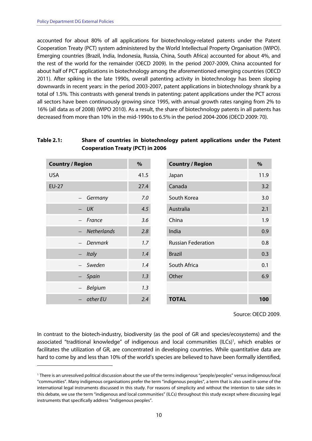-

accounted for about 80% of all applications for biotechnology-related patents under the Patent Cooperation Treaty (PCT) system administered by the World Intellectual Property Organisation (WIPO). Emerging countries (Brazil, India, Indonesia, Russia, China, South Africa) accounted for about 4%, and the rest of the world for the remainder (OECD 2009). In the period 2007-2009, China accounted for about half of PCT applications in biotechnology among the aforementioned emerging countries (OECD 2011). After spiking in the late 1990s, overall patenting activity in biotechnology has been sloping downwards in recent years: in the period 2003-2007, patent applications in biotechnology shrank by a total of 1.5%. This contrasts with general trends in patenting: patent applications under the PCT across all sectors have been continuously growing since 1995, with annual growth rates ranging from 2% to 16% (all data as of 2008) (WIPO 2010). As a result, the share of biotechnology patents in all patents has decreased from more than 10% in the mid-1990s to 6.5% in the period 2004-2006 (OECD 2009: 70).

#### **Table 2.1: Share of countries in biotechnology patent applications under the Patent Cooperation Treaty (PCT) in 2006**

| <b>Country / Region</b>  |                    | $\%$ | <b>Country / Region</b>   | %    |
|--------------------------|--------------------|------|---------------------------|------|
| <b>USA</b>               |                    | 41.5 | Japan                     | 11.9 |
| <b>EU-27</b>             |                    | 27.4 | Canada                    | 3.2  |
| $\overline{\phantom{m}}$ | Germany            | 7.0  | South Korea               | 3.0  |
|                          | UK                 | 4.5  | Australia                 | 2.1  |
| $\overline{\phantom{m}}$ | France             | 3.6  | China                     | 1.9  |
|                          | <b>Netherlands</b> | 2.8  | India                     | 0.9  |
|                          | <b>Denmark</b>     | 1.7  | <b>Russian Federation</b> | 0.8  |
| $\overline{\phantom{m}}$ | <b>Italy</b>       | 1.4  | <b>Brazil</b>             | 0.3  |
| $\overline{\phantom{0}}$ | Sweden             | 1.4  | South Africa              | 0.1  |
|                          | Spain              | 1.3  | Other                     | 6.9  |
| $\overline{\phantom{m}}$ | Belgium            | 1.3  |                           |      |
|                          | other EU           | 2.4  | <b>TOTAL</b>              | 100  |

Source: OECD 2009.

In contrast to the biotech-industry, biodiversity (as the pool of GR and species/ecosystems) and the associated "traditional knowledge" of indigenous and local communities (ILCs)<sup>1</sup>, which enables or facilitates the utilization of GR, are concentrated in developing countries. While quantitative data are hard to come by and less than 10% of the world's species are believed to have been formally identified,

<sup>1</sup> There is an unresolved political discussion about the use of the terms indigenous "people/peoples" versus indigenous/local "communities". Many indigenous organisations prefer the term "indigenous peoples", a term that is also used in some of the international legal instruments discussed in this study. For reasons of simplicity and without the intention to take sides in this debate, we use the term "indigenous and local communities" (ILCs) throughout this study except where discussing legal instruments that specifically address "indigenous peoples".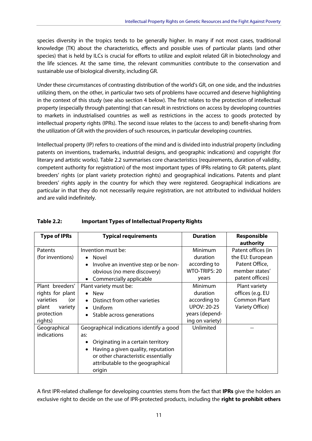species diversity in the tropics tends to be generally higher. In many if not most cases, traditional knowledge (TK) about the characteristics, effects and possible uses of particular plants (and other species) that is held by ILCs is crucial for efforts to utilize and exploit related GR in biotechnology and the life sciences. At the same time, the relevant communities contribute to the conservation and sustainable use of biological diversity, including GR.

Under these circumstances of contrasting distribution of the world's GR, on one side, and the industries utilizing them, on the other, in particular two sets of problems have occurred and deserve highlighting in the context of this study (see also section 4 below). The first relates to the protection of intellectual property (especially through patenting) that can result in restrictions on access by developing countries to markets in industrialised countries as well as restrictions in the access to goods protected by intellectual property rights (IPRs). The second issue relates to the (access to and) benefit-sharing from the utilization of GR with the providers of such resources, in particular developing countries.

Intellectual property (IP) refers to creations of the mind and is divided into industrial property (including patents on inventions, trademarks, industrial designs, and geographic indications) and copyright (for literary and artistic works). Table 2.2 summarises core characteristics (requirements, duration of validity, competent authority for registration) of the most important types of IPRs relating to GR: patents, plant breeders' rights (or plant variety protection rights) and geographical indications. Patents and plant breeders' rights apply in the country for which they were registered. Geographical indications are particular in that they do not necessarily require registration, are not attributed to individual holders and are valid indefinitely.

| <b>Type of IPRs</b> | <b>Typical requirements</b>              | <b>Duration</b>    | <b>Responsible</b>  |
|---------------------|------------------------------------------|--------------------|---------------------|
|                     |                                          |                    | authority           |
| Patents             | Invention must be:                       | Minimum            | Patent offices (in  |
| (for inventions)    | • Novel                                  | duration           | the EU: European    |
|                     | Involve an inventive step or be non-     | according to       | Patent Office,      |
|                     | obvious (no mere discovery)              | WTO-TRIPS: 20      | member states'      |
|                     | Commercially applicable                  | years              | patent offices)     |
| Plant breeders'     | Plant variety must be:                   | Minimum            | Plant variety       |
| rights for plant    | <b>New</b>                               | duration           | offices (e.g. EU    |
| varieties<br>(or    | Distinct from other varieties            | according to       | <b>Common Plant</b> |
| plant<br>variety    | Uniform<br>$\bullet$                     | <b>UPOV: 20-25</b> | Variety Office)     |
| protection          | Stable across generations                | years (depend-     |                     |
| rights)             |                                          | ing on variety)    |                     |
| Geographical        | Geographical indications identify a good | Unlimited          |                     |
| indications         | as:                                      |                    |                     |
|                     | Originating in a certain territory       |                    |                     |
|                     | Having a given quality, reputation       |                    |                     |
|                     | or other characteristic essentially      |                    |                     |
|                     | attributable to the geographical         |                    |                     |
|                     | origin                                   |                    |                     |

#### **Table 2.2: Important Types of Intellectual Property Rights**

A first IPR-related challenge for developing countries stems from the fact that **IPRs** give the holders an exclusive right to decide on the use of IPR-protected products, including the **right to prohibit others**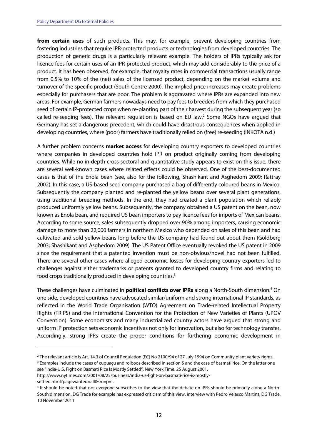**from certain uses** of such products. This may, for example, prevent developing countries from fostering industries that require IPR-protected products or technologies from developed countries. The production of generic drugs is a particularly relevant example. The holders of IPRs typically ask for licence fees for certain uses of an IPR-protected product, which may add considerably to the price of a product. It has been observed, for example, that royalty rates in commercial transactions usually range from 0.5% to 10% of the (net) sales of the licensed product, depending on the market volume and turnover of the specific product (South Centre 2000). The implied price increases may create problems especially for purchasers that are poor. The problem is aggravated where IPRs are expanded into new areas. For example, German farmers nowadays need to pay fees to breeders from which they purchased seed of certain IP-protected crops when re-planting part of their harvest during the subsequent year (so called re-seeding fees). The relevant regulation is based on EU law.<sup>2</sup> Some NGOs have argued that Germany has set a dangerous precedent, which could have disastrous consequences when applied in developing countries, where (poor) farmers have traditionally relied on (free) re-seeding (INKOTA n.d.)

A further problem concerns **market access** for developing country exporters to developed countries where companies in developed countries hold IPR on product originally coming from developing countries. While no in-depth cross-sectoral and quantitative study appears to exist on this issue, there are several well-known cases where related effects could be observed. One of the best-documented cases is that of the Enola bean (see, also for the following, Shashikant and Asghedom 2009; Rattray 2002). In this case, a US-based seed company purchased a bag of differently coloured beans in Mexico. Subsequently the company planted and re-planted the yellow beans over several plant generations, using traditional breeding methods. In the end, they had created a plant population which reliably produced uniformly yellow beans. Subsequently, the company obtained a US patent on the bean, now known as Enola bean, and required US bean importers to pay licence fees for imports of Mexican beans. According to some source, sales subsequently dropped over 90% among importers, causing economic damage to more than 22,000 farmers in northern Mexico who depended on sales of this bean and had cultivated and sold yellow beans long before the US company had found out about them (Goldberg 2003; Shashikant and Asghedom 2009). The US Patent Office eventually revoked the US patent in 2009 since the requirement that a patented invention must be non-obvious/novel had not been fulfilled. There are several other cases where alleged economic losses for developing country exporters led to challenges against either trademarks or patents granted to developed country firms and relating to food crops traditionally produced in developing countries.3

These challenges have culminated in **political conflicts over IPRs** along a North-South dimension.<sup>4</sup> On one side, developed countries have advocated similar/uniform and strong international IP standards, as reflected in the World Trade Organisation (WTO) Agreement on Trade-related Intellectual Property Rights (TRIPS) and the International Convention for the Protection of New Varieties of Plants (UPOV Convention). Some economists and many industrialized country actors have argued that strong and uniform IP protection sets economic incentives not only for innovation, but also for technology transfer. Accordingly, strong IPRs create the proper conditions for furthering economic development in

<sup>&</sup>lt;sup>2</sup> The relevant article is Art. 14.3 of Council Regulation (EC) No 2100/94 of 27 July 1994 on Community plant variety rights.<br><sup>3</sup> Examples include the cases of cupuacu and roiboos described in section 5 and the case of ba <sup>3</sup> Examples include the cases of cupuaçu and roiboos described in section 5 and the case of basmati rice. On the latter one

see "India-U.S. Fight on Basmati Rice Is Mostly Settled", New York Time, 25 August 2001,

http://www.nytimes.com/2001/08/25/business/india-us-fight-on-basmati-rice-is-mostlysettled.html?pagewanted=all&src=pm.

<sup>4</sup> It should be noted that not everyone subscribes to the view that the debate on IPRs should be primarily along a North-South dimension. DG Trade for example has expressed criticism of this view, interview with Pedro Velasco Martins, DG Trade, 10 November 2011.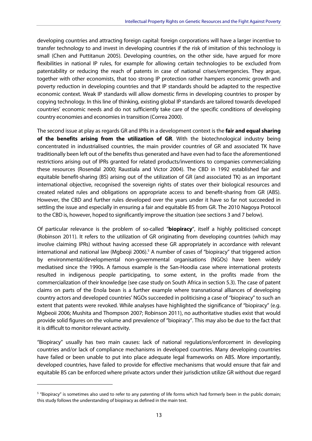developing countries and attracting foreign capital: foreign corporations will have a larger incentive to transfer technology to and invest in developing countries if the risk of imitation of this technology is small (Chen and Puttitanun 2005). Developing countries, on the other side, have argued for more flexibilities in national IP rules, for example for allowing certain technologies to be excluded from patentability or reducing the reach of patents in case of national crises/emergencies. They argue, together with other economists, that too strong IP protection rather hampers economic growth and poverty reduction in developing countries and that IP standards should be adapted to the respective economic context. Weak IP standards will allow domestic firms in developing countries to prosper by copying technology. In this line of thinking, existing global IP standards are tailored towards developed countries' economic needs and do not sufficiently take care of the specific conditions of developing country economies and economies in transition (Correa 2000).

The second issue at play as regards GR and IPRs in a development context is the **fair and equal sharing of the benefits arising from the utilization of GR**. With the biotechnological industry being concentrated in industrialised countries, the main provider countries of GR and associated TK have traditionally been left out of the benefits thus generated and have even had to face the aforementioned restrictions arising out of IPRs granted for related products/inventions to companies commercializing these resources (Rosendal 2000; Raustiala and Victor 2004). The CBD in 1992 established fair and equitable benefit-sharing (BS) arising out of the utilization of GR (and associated TK) as an important international objective, recognised the sovereign rights of states over their biological resources and created related rules and obligations on appropriate access to and benefit-sharing from GR (ABS). However, the CBD and further rules developed over the years under it have so far not succeeded in settling the issue and especially in ensuring a fair and equitable BS from GR. The 2010 Nagoya Protocol to the CBD is, however, hoped to significantly improve the situation (see sections 3 and 7 below).

Of particular relevance is the problem of so-called "**biopiracy**", itself a highly politicised concept (Robinson 2011). It refers to the utilization of GR originating from developing countries (which may involve claiming IPRs) without having accessed these GR appropriately in accordance with relevant international and national law (Mgbeoji 2006).<sup>5</sup> A number of cases of "biopiracy" that triggered action by environmental/developmental non-governmental organisations (NGOs) have been widely mediatised since the 1990s. A famous example is the San-Hoodia case where international protests resulted in indigenous people participating, to some extent, in the profits made from the commercialization of their knowledge (see case study on South Africa in section 5.3). The case of patent claims on parts of the Enola bean is a further example where transnational alliances of developing country actors and developed countries' NGOs succeeded in politicising a case of "biopiracy" to such an extent that patents were revoked. While analyses have highlighted the significance of "biopiracy" (e.g. Mgbeoii 2006; Mushita and Thompson 2007; Robinson 2011), no authoritative studies exist that would provide solid figures on the volume and prevalence of "biopiracy". This may also be due to the fact that it is difficult to monitor relevant activity.

"Biopiracy" usually has two main causes: lack of national regulations/enforcement in developing countries and/or lack of compliance mechanisms in developed countries. Many developing countries have failed or been unable to put into place adequate legal frameworks on ABS. More importantly, developed countries, have failed to provide for effective mechanisms that would ensure that fair and equitable BS can be enforced where private actors under their jurisdiction utilize GR without due regard

<sup>5</sup> "Biopiracy" is sometimes also used to refer to any patenting of life forms which had formerly been in the public domain; this study follows the understanding of biopiracy as defined in the main text.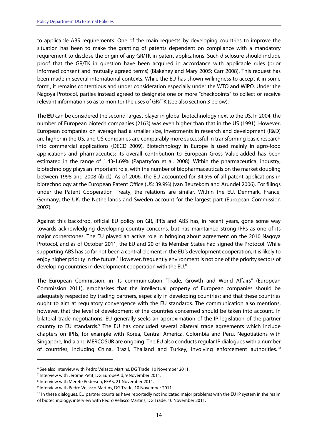to applicable ABS requirements. One of the main requests by developing countries to improve the situation has been to make the granting of patents dependent on compliance with a mandatory requirement to disclose the origin of any GR/TK in patent applications. Such disclosure should include proof that the GR/TK in question have been acquired in accordance with applicable rules (prior informed consent and mutually agreed terms) (Blakeney and Mary 2005; Carr 2008). This request has been made in several international contexts. While the EU has shown willingness to accept it in some form<sup>6</sup>, it remains contentious and under consideration especially under the WTO and WIPO. Under the Nagoya Protocol, parties instead agreed to designate one or more "checkpoints" to collect or receive relevant information so as to monitor the uses of GR/TK (see also section 3 below).

The **EU** can be considered the second-largest player in global biotechnology next to the US. In 2004, the number of European biotech companies (2163) was even higher than that in the US (1991). However, European companies on average had a smaller size, investments in research and development (R&D) are higher in the US, and US companies are comparably more successful in transforming basic research into commercial applications (OECD 2009). Biotechnology in Europe is used mainly in agro-food applications and pharmaceutics; its overall contribution to European Gross Value-added has been estimated in the range of 1.43-1.69% (Papatryfon et al. 2008). Within the pharmaceutical industry, biotechnology plays an important role, with the number of biopharmaceuticals on the market doubling between 1998 and 2008 (ibid.). As of 2006, the EU accounted for 34.5% of all patent applications in biotechnology at the European Patent Office (US: 39.9%) (van Beuzekom and Arundel 2006). For filings under the Patent Cooperation Treaty, the relations are similar. Within the EU, Denmark, France, Germany, the UK, the Netherlands and Sweden account for the largest part (European Commission 2007).

Against this backdrop, official EU policy on GR, IPRs and ABS has, in recent years, gone some way towards acknowledging developing country concerns, but has maintained strong IPRs as one of its major cornerstones. The EU played an active role in bringing about agreement on the 2010 Nagoya Protocol, and as of October 2011, the EU and 20 of its Member States had signed the Protocol. While supporting ABS has so far not been a central element in the EU's development cooperation, it is likely to enjoy higher priority in the future.<sup>7</sup> However, frequently environment is not one of the priority sectors of developing countries in development cooperation with the EU.<sup>8</sup>

The European Commission, in its communication "Trade, Growth and World Affairs" (European Commission 2011), emphasises that the intellectual property of European companies should be adequately respected by trading partners, especially in developing countries; and that these countries ought to aim at regulatory convergence with the EU standards. The communication also mentions, however, that the level of development of the countries concerned should be taken into account. In bilateral trade negotiations, EU generally seeks an approximation of the IP legislation of the partner country to EU standards.<sup>9</sup> The EU has concluded several bilateral trade agreements which include chapters on IPRs, for example with Korea, Central America, Colombia and Peru. Negotiations with Singapore, India and MERCOSUR are ongoing. The EU also conducts regular IP dialogues with a number of countries, including China, Brazil, Thailand and Turkey, involving enforcement authorities.<sup>10</sup>

<sup>&</sup>lt;sup>6</sup> See also Interview with Pedro Velasco Martins, DG Trade, 10 November 2011.

<sup>7</sup> Interview with Jérôme Petit, DG EuropeAid, 9 November 2011.

<sup>8</sup> Interview with Merete Pedersen, EEAS, 21 November 2011.

<sup>9</sup> Interview with Pedro Velasco Martins, DG Trade, 10 November 2011.

<sup>&</sup>lt;sup>10</sup> In these dialogues, EU partner countries have reportedly not indicated major problems with the EU IP system in the realm of biotechnology; interview with Pedro Velasco Martins, DG Trade, 10 November 2011.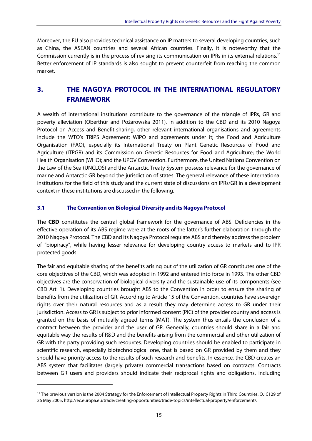Moreover, the EU also provides technical assistance on IP matters to several developing countries, such as China, the ASEAN countries and several African countries. Finally, it is noteworthy that the Commission currently is in the process of revising its communication on IPRs in its external relations.11 Better enforcement of IP standards is also sought to prevent counterfeit from reaching the common market.

## **3. THE NAGOYA PROTOCOL IN THE INTERNATIONAL REGULATORY FRAMEWORK**

A wealth of international institutions contribute to the governance of the triangle of IPRs, GR and poverty alleviation (Oberthür and Pożarowska 2011). In addition to the CBD and its 2010 Nagoya Protocol on Access and Benefit-sharing, other relevant international organisations and agreements include the WTO's TRIPS Agreement; WIPO and agreements under it; the Food and Agriculture Organisation (FAO), especially its International Treaty on Plant Genetic Resources of Food and Agriculture (ITPGR) and its Commission on Genetic Resources for Food and Agriculture; the World Health Organisation (WHO); and the UPOV Convention. Furthermore, the United Nations Convention on the Law of the Sea (UNCLOS) and the Antarctic Treaty System possess relevance for the governance of marine and Antarctic GR beyond the jurisdiction of states. The general relevance of these international institutions for the field of this study and the current state of discussions on IPRs/GR in a development context in these institutions are discussed in the following.

#### **3.1 The Convention on Biological Diversity and its Nagoya Protocol**

The **CBD** constitutes the central global framework for the governance of ABS. Deficiencies in the effective operation of its ABS regime were at the roots of the latter's further elaboration through the 2010 Nagoya Protocol. The CBD and its Nagoya Protocol regulate ABS and thereby address the problem of "biopiracy", while having lesser relevance for developing country access to markets and to IPR protected goods.

The fair and equitable sharing of the benefits arising out of the utilization of GR constitutes one of the core objectives of the CBD, which was adopted in 1992 and entered into force in 1993. The other CBD objectives are the conservation of biological diversity and the sustainable use of its components (see CBD Art. 1). Developing countries brought ABS to the Convention in order to ensure the sharing of benefits from the utilization of GR. According to Article 15 of the Convention, countries have sovereign rights over their natural resources and as a result they may determine access to GR under their jurisdiction. Access to GR is subject to prior informed consent (PIC) of the provider country and access is granted on the basis of mutually agreed terms (MAT). The system thus entails the conclusion of a contract between the provider and the user of GR. Generally, countries should share in a fair and equitable way the results of R&D and the benefits arising from the commercial and other utilization of GR with the party providing such resources. Developing countries should be enabled to participate in scientific research, especially biotechnological one, that is based on GR provided by them and they should have priority access to the results of such research and benefits. In essence, the CBD creates an ABS system that facilitates (largely private) commercial transactions based on contracts. Contracts between GR users and providers should indicate their reciprocal rights and obligations, including

<sup>&</sup>lt;sup>11</sup> The previous version is the 2004 Strategy for the Enforcement of Intellectual Property Rights in Third Countries, OJ C129 of 26 May 2005, http://ec.europa.eu/trade/creating-opportunities/trade-topics/intellectual-property/enforcement/.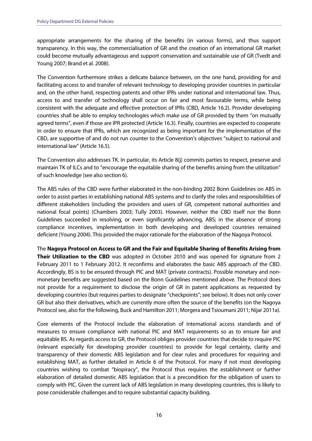appropriate arrangements for the sharing of the benefits (in various forms), and thus support transparency. In this way, the commercialisation of GR and the creation of an international GR market could become mutually advantageous and support conservation and sustainable use of GR (Tvedt and Young 2007; Brand et al. 2008).

The Convention furthermore strikes a delicate balance between, on the one hand, providing for and facilitating access to and transfer of relevant technology to developing provider countries in particular and, on the other hand, respecting patents and other IPRs under national and international law. Thus, access to and transfer of technology shall occur on fair and most favourable terms, while being consistent with the adequate and effective protection of IPRs (CBD, Article 16.2). Provider developing countries shall be able to employ technologies which make use of GR provided by them "on mutually agreed terms", even if those are IPR protected (Article 16.3). Finally, countries are expected to cooperate in order to ensure that IPRs, which are recognized as being important for the implementation of the CBD, are supportive of and do not run counter to the Convention's objectives "subject to national and international law" (Article 16.5).

The Convention also addresses TK. In particular, its Article 8(j) commits parties to respect, preserve and maintain TK of ILCs and to "encourage the equitable sharing of the benefits arising from the utilization" of such knowledge (see also section 6).

The ABS rules of the CBD were further elaborated in the non-binding 2002 Bonn Guidelines on ABS in order to assist parties in establishing national ABS systems and to clarify the roles and responsibilities of different stakeholders (including the providers and users of GR, competent national authorities and national focal points) (Chambers 2003; Tully 2003). However, neither the CBD itself nor the Bonn Guidelines succeeded in resolving, or even significantly advancing, ABS; in the absence of strong compliance incentives, implementation in both developing and developed countries remained deficient (Young 2004). This provided the major rationale for the elaboration of the Nagoya Protocol.

The **Nagoya Protocol on Access to GR and the Fair and Equitable Sharing of Benefits Arising from Their Utilization to the CBD** was adopted in October 2010 and was opened for signature from 2 February 2011 to 1 February 2012. It reconfirms and elaborates the basic ABS approach of the CBD. Accordingly, BS is to be ensured through PIC and MAT (private contracts). Possible monetary and nonmonetary benefits are suggested based on the Bonn Guidelines mentioned above. The Protocol does not provide for a requirement to disclose the origin of GR in patent applications as requested by developing countries (but requires parties to designate "checkpoints"; see below). It does not only cover GR but also their derivatives, which are currently more often the source of the benefits (on the Nagoya Protocol see, also for the following, Buck and Hamilton 2011; Morgera and Tsioumani 2011; Nijar 2011a).

Core elements of the Protocol include the elaboration of international access standards and of measures to ensure compliance with national PIC and MAT requirements so as to ensure fair and equitable BS. As regards access to GR, the Protocol obliges provider countries that decide to require PIC (relevant especially for developing provider countries) to provide for legal certainty, clarity and transparency of their domestic ABS legislation and for clear rules and procedures for requiring and establishing MAT, as further detailed in Article 6 of the Protocol. For many if not most developing countries wishing to combat "biopiracy", the Protocol thus requires the establishment or further elaboration of detailed domestic ABS legislation that is a precondition for the obligation of users to comply with PIC. Given the current lack of ABS legislation in many developing countries, this is likely to pose considerable challenges and to require substantial capacity building.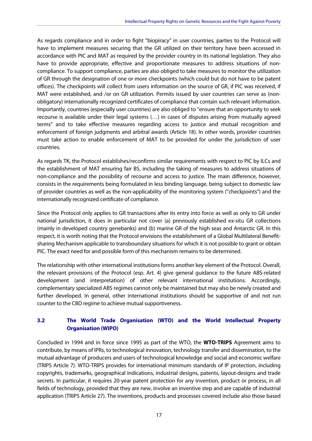As regards compliance and in order to fight "biopiracy" in user countries, parties to the Protocol will have to implement measures securing that the GR utilized on their territory have been accessed in accordance with PIC and MAT as required by the provider country in its national legislation. They also have to provide appropriate, effective and proportionate measures to address situations of noncompliance. To support compliance, parties are also obliged to take measures to monitor the utilization of GR through the designation of one or more checkpoints (which could but do not have to be patent offices). The checkpoints will collect from users information on the source of GR, if PIC was received, if MAT were established, and /or on GR utilization. Permits issued by user countries can serve as (nonobligatory) internationally recognized certificates of compliance that contain such relevant information. Importantly, countries (especially user countries) are also obliged to "ensure that an opportunity to seek recourse is available under their legal systems (…) in cases of disputes arising from mutually agreed terms" and to take effective measures regarding access to justice and mutual recognition and enforcement of foreign judgments and arbitral awards (Article 18). In other words, provider countries must take action to enable enforcement of MAT to be provided for under the jurisdiction of user countries.

As regards TK, the Protocol establishes/reconfirms similar requirements with respect to PIC by ILCs and the establishment of MAT ensuring fair BS, including the taking of measures to address situations of non-compliance and the possibility of recourse and access to justice. The main difference, however, consists in the requirements being formulated in less binding language, being subject to domestic law of provider countries as well as the non-applicability of the monitoring system ("checkpoints") and the internationally recognized certificate of compliance.

Since the Protocol only applies to GR transactions after its entry into force as well as only to GR under national jurisdiction, it does in particular not cover (a) previously established ex-situ GR collections (mainly in developed country genebanks) and (b) marine GR of the high seas and Antarctic GR. In this respect, it is worth noting that the Protocol envisions the establishment of a Global Multilateral Benefitsharing Mechanism applicable to transboundary situations for which it is not possible to grant or obtain PIC. The exact need for and possible form of this mechanism remains to be determined.

The relationship with other international institutions forms another key element of the Protocol. Overall, the relevant provisions of the Protocol (esp. Art. 4) give general guidance to the future ABS-related development (and interpretation) of other relevant international institutions. Accordingly, complementary specialized ABS regimes cannot only be maintained but may also be newly created and further developed. In general, other international institutions should be supportive of and not run counter to the CBD regime to achieve mutual supportiveness.

#### **3.2 The World Trade Organisation (WTO) and the World Intellectual Property Organisation (WIPO)**

Concluded in 1994 and in force since 1995 as part of the WTO, the **WTO-TRIPS** Agreement aims to contribute, by means of IPRs, to technological innovation, technology transfer and dissemination, to the mutual advantage of producers and users of technological knowledge and social and economic welfare (TRIPS Article 7). WTO-TRIPS provides for international minimum standards of IP protection, including copyrights, trademarks, geographical indications, industrial designs, patents, layout-designs and trade secrets. In particular, it requires 20-year patent protection for any invention, product or process, in all fields of technology, provided that they are new, involve an inventive step and are capable of industrial application (TRIPS Article 27). The inventions, products and processes covered include also those based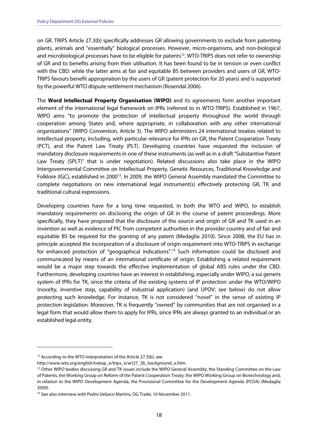on GR. TRIPS Article 27.3(b) specifically addresses GR allowing governments to exclude from patenting plants, animals and "essentially" biological processes. However, micro-organisms, and non-biological and microbiological processes have to be eligible for patents<sup>12</sup>. WTO-TRIPS does not refer to ownership of GR and to benefits arising from their utilisation. It has been found to be in tension or even conflict with the CBD: while the latter aims at fair and equitable BS between providers and users of GR, WTO-TRIPS favours benefit appropriation by the users of GR (patent protection for 20 years) and is supported by the powerful WTO dispute-settlement mechanism (Rosendal 2006).

The **Word Intellectual Property Organisation (WIPO)** and its agreements form another important element of the international legal framework on IPRs (referred to in WTO-TRIPS). Established in 1967, WIPO aims "to promote the protection of intellectual property throughout the world through cooperation among States and, where appropriate, in collaboration with any other international organizations" (WIPO Convention, Article 3). The WIPO administers 24 international treaties related to intellectual property, including, with particular relevance for IPRs on GR, the Patent Cooperation Treaty (PCT), and the Patent Law Treaty (PLT). Developing countries have requested the inclusion of mandatory disclosure requirements in one of these instruments (as well as in a draft "Substantive Patent Law Treaty (SPLT)" that is under negotiation). Related discussions also take place in the WIPO Intergovernmental Committee on Intellectual Property, Genetic Resources, Traditional Knowledge and Folklore (IGC), established in 2000<sup>13</sup>. In 2009, the WIPO General Assembly mandated the Committee to complete negotiations on new international legal instrument(s) effectively protecting GR, TK and traditional cultural expressions.

Developing countries have for a long time requested, in both the WTO and WIPO, to establish mandatory requirements on disclosing the origin of GR in the course of patent proceedings. More specifically, they have proposed that the disclosure of the source and origin of GR and TK used in an invention as well as evidence of PIC from competent authorities in the provider country and of fair and equitable BS be required for the granting of any patent (Medaglia 2010). Since 2008, the EU has in principle accepted the incorporation of a disclosure of origin requirement into WTO-TRIPS in exchange for enhanced protection of "geographical indications".<sup>14</sup> Such information could be disclosed and communicated by means of an international certificate of origin. Establishing a related requirement would be a major step towards the effective implementation of global ABS rules under the CBD. Furthermore, developing countries have an interest in establishing, especially under WIPO, a sui generis system of IPRs for TK, since the criteria of the existing systems of IP protection under the WTO/WIPO (novelty, inventive step, capability of industrial application) (and UPOV; see below) do not allow protecting such knowledge. For instance, TK is not considered "novel" in the sense of existing IP protection legislation. Moreover, TK is frequently "owned" by communities that are not organised in a legal form that would allow them to apply for IPRs, since IPRs are always granted to an individual or an established legal entity.

<sup>&</sup>lt;sup>12</sup> According to the WTO interpretation of the Article 27.3(b), see

http://www.wto.org/english/tratop\_e/trips\_e/art27\_3b\_background\_e.htm.<br><sup>13</sup> Other WIPO bodies discussing GR and TK issues include the WIPO General Assembly; the Standing Committee on the Law of Patents; the Working Group on Reform of the Patent Cooperation Treaty; the WIPO Working Group on Biotechnology and, in relation to the WIPO Development Agenda, the Provisional Committee for the Development Agenda (PCDA) (Medaglia 2009).

<sup>&</sup>lt;sup>14</sup> See also interview with Pedro Velasco Martins, DG Trade, 10 November 2011.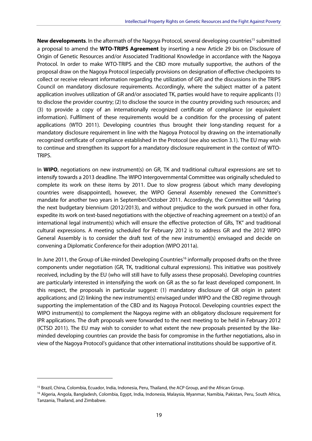**New developments.** In the aftermath of the Nagoya Protocol, several developing countries<sup>15</sup> submitted a proposal to amend the **WTO-TRIPS Agreement** by inserting a new Article 29 bis on Disclosure of Origin of Genetic Resources and/or Associated Traditional Knowledge in accordance with the Nagoya Protocol. In order to make WTO-TRIPS and the CBD more mutually supportive, the authors of the proposal draw on the Nagoya Protocol (especially provisions on designation of effective checkpoints to collect or receive relevant information regarding the utilization of GR) and the discussions in the TRIPS Council on mandatory disclosure requirements. Accordingly, where the subject matter of a patent application involves utilization of GR and/or associated TK, parties would have to require applicants (1) to disclose the provider country; (2) to disclose the source in the country providing such resources; and (3) to provide a copy of an internationally recognized certificate of compliance (or equivalent information). Fulfilment of these requirements would be a condition for the processing of patent applications (WTO 2011). Developing countries thus brought their long-standing request for a mandatory disclosure requirement in line with the Nagoya Protocol by drawing on the internationally recognized certificate of compliance established in the Protocol (see also section 3.1). The EU may wish to continue and strengthen its support for a mandatory disclosure requirement in the context of WTO-TRIPS.

In **WIPO**, negotiations on new instrument(s) on GR, TK and traditional cultural expressions are set to intensify towards a 2013 deadline. The WIPO Intergovernmental Committee was originally scheduled to complete its work on these items by 2011. Due to slow progress (about which many developing countries were disappointed), however, the WIPO General Assembly renewed the Committee's mandate for another two years in September/October 2011. Accordingly, the Committee will "during the next budgetary biennium (2012/2013), and without prejudice to the work pursued in other fora, expedite its work on text-based negotiations with the objective of reaching agreement on a text(s) of an international legal instrument(s) which will ensure the effective protection of GRs, TK" and traditional cultural expressions. A meeting scheduled for February 2012 is to address GR and the 2012 WIPO General Assembly is to consider the draft text of the new instrument(s) envisaged and decide on convening a Diplomatic Conference for their adoption (WIPO 2011a).

In June 2011, the Group of Like-minded Developing Countries<sup>16</sup> informally proposed drafts on the three components under negotiation (GR, TK, traditional cultural expressions). This initiative was positively received, including by the EU (who will still have to fully assess these proposals). Developing countries are particularly interested in intensifying the work on GR as the so far least developed component. In this respect, the proposals in particular suggest: (1) mandatory disclosure of GR origin in patent applications; and (2) linking the new instrument(s) envisaged under WIPO and the CBD regime through supporting the implementation of the CBD and its Nagoya Protocol. Developing countries expect the WIPO instrument(s) to complement the Nagoya regime with an obligatory disclosure requirement for IPR applications. The draft proposals were forwarded to the next meeting to be held in February 2012 (ICTSD 2011). The EU may wish to consider to what extent the new proposals presented by the likeminded developing countries can provide the basis for compromise in the further negotiations, also in view of the Nagoya Protocol's guidance that other international institutions should be supportive of it.

<sup>&</sup>lt;sup>15</sup> Brazil, China, Colombia, Ecuador, India, Indonesia, Peru, Thailand, the ACP Group, and the African Group.<br><sup>16</sup> Algeria, Angola, Bangladesh, Colombia, Egypt, India, Indonesia, Malaysia, Myanmar, Namibia, Pakistan, Peru Tanzania, Thailand, and Zimbabwe.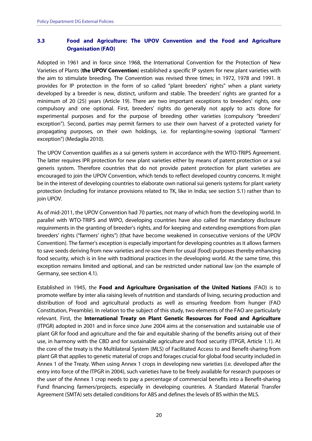#### **3.3 Food and Agriculture: The UPOV Convention and the Food and Agriculture Organisation (FAO)**

Adopted in 1961 and in force since 1968, the International Convention for the Protection of New Varieties of Plants (**the UPOV Convention**) established a specific IP system for new plant varieties with the aim to stimulate breeding. The Convention was revised three times; in 1972, 1978 and 1991. It provides for IP protection in the form of so called "plant breeders' rights" when a plant variety developed by a breeder is new, distinct, uniform and stable. The breeders' rights are granted for a minimum of 20 (25) years (Article 19). There are two important exceptions to breeders' rights, one compulsory and one optional. First, breeders' rights do generally not apply to acts done for experimental purposes and for the purpose of breeding other varieties (compulsory "breeders' exception"). Second, parties may permit farmers to use their own harvest of a protected variety for propagating purposes, on their own holdings, i.e. for replanting/re-sowing (optional "farmers' exception") (Medaglia 2010).

The UPOV Convention qualifies as a sui generis system in accordance with the WTO-TRIPS Agreement. The latter requires IPR protection for new plant varieties either by means of patent protection or a sui generis system. Therefore countries that do not provide patent protection for plant varieties are encouraged to join the UPOV Convention, which tends to reflect developed country concerns. It might be in the interest of developing countries to elaborate own national sui generis systems for plant variety protection (including for instance provisions related to TK, like in India; see section 5.1) rather than to join UPOV.

As of mid-2011, the UPOV Convention had 70 parties, not many of which from the developing world. In parallel with WTO-TRIPS and WIPO, developing countries have also called for mandatory disclosure requirements in the granting of breeder's rights, and for keeping and extending exemptions from plan breeders' rights ("farmers' rights") (that have become weakened in consecutive versions of the UPOV Convention). The farmer's exception is especially important for developing countries as it allows farmers to save seeds deriving from new varieties and re-sow them for usual (food) purposes thereby enhancing food security, which is in line with traditional practices in the developing world. At the same time, this exception remains limited and optional, and can be restricted under national law (on the example of Germany, see section 4.1).

Established in 1945, the **Food and Agriculture Organisation of the United Nations** (FAO) is to promote welfare by inter alia raising levels of nutrition and standards of living, securing production and distribution of food and agricultural products as well as ensuring freedom from hunger (FAO Constitution, Preamble). In relation to the subject of this study, two elements of the FAO are particularly relevant. First, the **International Treaty on Plant Genetic Resources for Food and Agriculture** (ITPGR) adopted in 2001 and in force since June 2004 aims at the conservation and sustainable use of plant GR for food and agriculture and the fair and equitable sharing of the benefits arising out of their use, in harmony with the CBD and for sustainable agriculture and food security (ITPGR, Article 1.1). At the core of the treaty is the Multilateral System (MLS) of Facilitated Access to and Benefit-sharing from plant GR that applies to genetic material of crops and forages crucial for global food security included in Annex 1 of the Treaty. When using Annex 1 crops in developing new varieties (i.e. developed after the entry into force of the ITPGR in 2004), such varieties have to be freely available for research purposes or the user of the Annex 1 crop needs to pay a percentage of commercial benefits into a Benefit-sharing Fund financing farmers/projects, especially in developing countries. A Standard Material Transfer Agreement (SMTA) sets detailed conditions for ABS and defines the levels of BS within the MLS.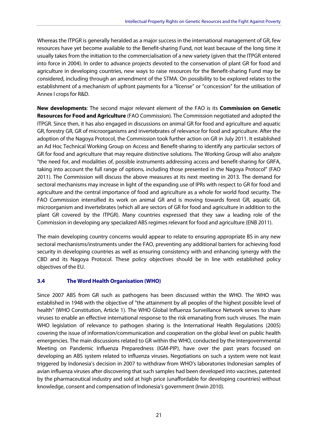Whereas the ITPGR is generally heralded as a major success in the international management of GR, few resources have yet become available to the Benefit-sharing Fund, not least because of the long time it usually takes from the initiation to the commercialisation of a new variety (given that the ITPGR entered into force in 2004). In order to advance projects devoted to the conservation of plant GR for food and agriculture in developing countries, new ways to raise resources for the Benefit-sharing Fund may be considered, including through an amendment of the STMA. On possibility to be explored relates to the establishment of a mechanism of upfront payments for a "license" or "concession" for the utilisation of Annex I crops for R&D.

**New developments**: The second major relevant element of the FAO is its **Commission on Genetic Resources for Food and Agriculture** (FAO Commission). The Commission negotiated and adopted the ITPGR. Since then, it has also engaged in discussions on animal GR for food and agriculture and aquatic GR, forestry GR, GR of microorganisms and invertebrates of relevance for food and agriculture. After the adoption of the Nagoya Protocol, the Commission took further action on GR in July 2011. It established an Ad Hoc Technical Working Group on Access and Benefit-sharing to identify any particular sectors of GR for food and agriculture that may require distinctive solutions. The Working Group will also analyze "the need for, and modalities of, possible instruments addressing access and benefit-sharing for GRFA, taking into account the full range of options, including those presented in the Nagoya Protocol" (FAO 2011). The Commission will discuss the above measures at its next meeting in 2013. The demand for sectoral mechanisms may increase in light of the expanding use of IPRs with respect to GR for food and agriculture and the central importance of food and agriculture as a whole for world food security. The FAO Commission intensified its work on animal GR and is moving towards forest GR, aquatic GR, microorganism and invertebrates (which all are sectors of GR for food and agriculture in addition to the plant GR covered by the ITPGR). Many countries expressed that they saw a leading role of the Commission in developing any specialized ABS regimes relevant for food and agriculture (ENB 2011).

The main developing country concerns would appear to relate to ensuring appropriate BS in any new sectoral mechanisms/instruments under the FAO, preventing any additional barriers for achieving food security in developing countries as well as ensuring consistency with and enhancing synergy with the CBD and its Nagoya Protocol. These policy objectives should be in line with established policy objectives of the EU.

#### **3.4 The Word Health Organisation (WHO)**

Since 2007 ABS from GR such as pathogens has been discussed within the WHO. The WHO was established in 1948 with the objective of "the attainment by all peoples of the highest possible level of health" (WHO Constitution, Article 1). The WHO Global Influenza Surveillance Network serves to share viruses to enable an effective international response to the risk emanating from such viruses. The main WHO legislation of relevance to pathogen sharing is the International Health Regulations (2005) covering the issue of information/communication and cooperation on the global level on public health emergencies. The main discussions related to GR within the WHO, conducted by the Intergovernmental Meeting on Pandemic Influenza Preparedness (IGM-PIP), have over the past years focused on developing an ABS system related to influenza viruses. Negotiations on such a system were not least triggered by Indonesia's decision in 2007 to withdraw from WHO's laboratories Indonesian samples of avian influenza viruses after discovering that such samples had been developed into vaccines, patented by the pharmaceutical industry and sold at high price (unaffordable for developing countries) without knowledge, consent and compensation of Indonesia's government (Irwin 2010).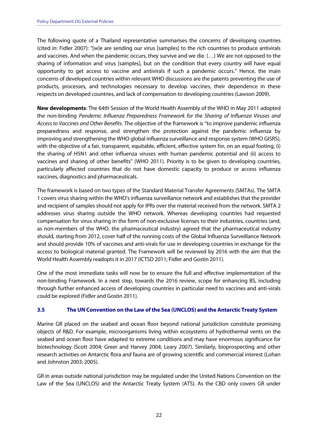The following quote of a Thailand representative summarises the concerns of developing countries (cited in: Fidler 2007): "[w]e are sending our virus [samples] to the rich countries to produce antivirals and vaccines. And when the pandemic occurs, they survive and we die. (…) We are not opposed to the sharing of information and virus [samples], but on the condition that every country will have equal opportunity to get access to vaccine and antivirals if such a pandemic occurs." Hence, the main concerns of developed countries within relevant WHO discussions are the patents preventing the use of products, processes, and technologies necessary to develop vaccines, their dependence in these respects on developed countries, and lack of compensation to developing countries (Lawson 2009).

**New developments**: The 64th Session of the World Health Assembly of the WHO in May 2011 adopted the non-binding Pandemic Influenza Preparedness Framework for the Sharing of Influenza Viruses and Access to Vaccines and Other Benefits. The objective of the framework is "to improve pandemic influenza preparedness and response, and strengthen the protection against the pandemic influenza by improving and strengthening the WHO global influenza surveillance and response system (WHO GISRS), with the objective of a fair, transparent, equitable, efficient, effective system for, on an equal footing, (i) the sharing of H5N1 and other influenza viruses with human pandemic potential and (ii) access to vaccines and sharing of other benefits" (WHO 2011). Priority is to be given to developing countries, particularly affected countries that do not have domestic capacity to produce or access influenza vaccines, diagnostics and pharmaceuticals.

The framework is based on two types of the Standard Material Transfer Agreements (SMTAs). The SMTA 1 covers virus sharing within the WHO's influenza surveillance network and establishes that the provider and recipient of samples should not apply for IPRs over the material received from the network. SMTA 2 addresses virus sharing outside the WHO network. Whereas developing countries had requested compensation for virus sharing in the form of non-exclusive licenses to their industries, countries (and, as non-members of the WHO, the pharmaceutical industry) agreed that the pharmaceutical industry should, starting from 2012, cover half of the running costs of the Global Influenza Surveillance Network and should provide 10% of vaccines and anti-virals for use in developing countries in exchange for the access to biological material granted. The Framework will be reviewed by 2016 with the aim that the World Health Assembly readopts it in 2017 (ICTSD 2011; Fidler and Gostin 2011).

One of the most immediate tasks will now be to ensure the full and effective implementation of the non-binding Framework. In a next step, towards the 2016 review, scope for enhancing BS, including through further enhanced access of developing countries in particular need to vaccines and anti-virals could be explored (Fidler and Gostin 2011).

#### **3.5 The UN Convention on the Law of the Sea (UNCLOS) and the Antarctic Treaty System**

Marine GR placed on the seabed and ocean floor beyond national jurisdiction constitute promising objects of R&D. For example, microorganisms living within ecosystems of hydrothermal vents on the seabed and ocean floor have adapted to extreme conditions and may have enormous significance for biotechnology (Scott 2004; Greer and Harvey 2004; Leary 2007). Similarly, bioprospecting and other research activities on Antarctic flora and fauna are of growing scientific and commercial interest (Lohan and Johnston 2003; 2005).

GR in areas outside national jurisdiction may be regulated under the United Nations Convention on the Law of the Sea (UNCLOS) and the Antarctic Treaty System (ATS). As the CBD only covers GR under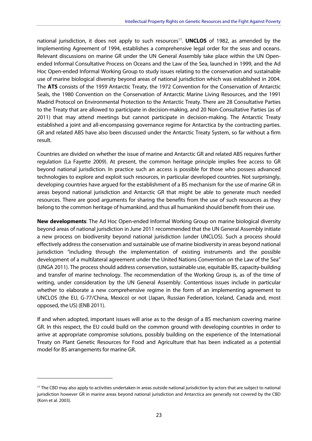national jurisdiction, it does not apply to such resources<sup>17</sup>. **UNCLOS** of 1982, as amended by the Implementing Agreement of 1994, establishes a comprehensive legal order for the seas and oceans. Relevant discussions on marine GR under the UN General Assembly take place within the UN Openended Informal Consultative Process on Oceans and the Law of the Sea, launched in 1999, and the Ad Hoc Open-ended Informal Working Group to study issues relating to the conservation and sustainable use of marine biological diversity beyond areas of national jurisdiction which was established in 2004. The **ATS** consists of the 1959 Antarctic Treaty, the 1972 Convention for the Conservation of Antarctic Seals, the 1980 Convention on the Conservation of Antarctic Marine Living Resources, and the 1991 Madrid Protocol on Environmental Protection to the Antarctic Treaty. There are 28 Consultative Parties to the Treaty that are allowed to participate in decision-making, and 20 Non-Consultative Parties (as of 2011) that may attend meetings but cannot participate in decision-making. The Antarctic Treaty established a joint and all-encompassing governance regime for Antarctica by the contracting parties. GR and related ABS have also been discussed under the Antarctic Treaty System, so far without a firm result.

Countries are divided on whether the issue of marine and Antarctic GR and related ABS requires further regulation (La Fayette 2009). At present, the common heritage principle implies free access to GR beyond national jurisdiction. In practice such an access is possible for those who possess advanced technologies to explore and exploit such resources, in particular developed countries. Not surprisingly, developing countries have argued for the establishment of a BS mechanism for the use of marine GR in areas beyond national jurisdiction and Antarctic GR that might be able to generate much needed resources. There are good arguments for sharing the benefits from the use of such resources as they belong to the common heritage of humankind, and thus all humankind should benefit from their use.

**New developments**: The Ad Hoc Open-ended Informal Working Group on marine biological diversity beyond areas of national jurisdiction in June 2011 recommended that the UN General Assembly initiate a new process on biodiversity beyond national jurisdiction (under UNCLOS). Such a process should effectively address the conservation and sustainable use of marine biodiversity in areas beyond national jurisdiction "including through the implementation of existing instruments and the possible development of a multilateral agreement under the United Nations Convention on the Law of the Sea" (UNGA 2011). The process should address conservation, sustainable use, equitable BS, capacity-building and transfer of marine technology. The recommendation of the Working Group is, as of the time of writing, under consideration by the UN General Assembly. Contentious issues include in particular whether to elaborate a new comprehensive regime in the form of an implementing agreement to UNCLOS (the EU, G-77/China, Mexico) or not (Japan, Russian Federation, Iceland, Canada and, most opposed, the US) (ENB 2011).

If and when adopted, important issues will arise as to the design of a BS mechanism covering marine GR. In this respect, the EU could build on the common ground with developing countries in order to arrive at appropriate compromise solutions, possibly building on the experience of the International Treaty on Plant Genetic Resources for Food and Agriculture that has been indicated as a potential model for BS arrangements for marine GR.

<sup>&</sup>lt;sup>17</sup> The CBD may also apply to activities undertaken in areas outside national jurisdiction by actors that are subject to national jurisdiction however GR in marine areas beyond national jurisdiction and Antarctica are generally not covered by the CBD (Korn et al. 2003).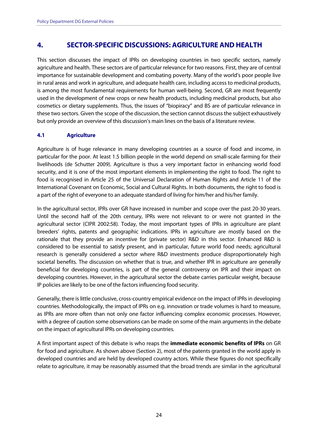## **4. SECTOR-SPECIFIC DISCUSSIONS: AGRICULTURE AND HEALTH**

This section discusses the impact of IPRs on developing countries in two specific sectors, namely agriculture and health. These sectors are of particular relevance for two reasons. First, they are of central importance for sustainable development and combating poverty. Many of the world's poor people live in rural areas and work in agriculture, and adequate health care, including access to medicinal products, is among the most fundamental requirements for human well-being. Second, GR are most frequently used in the development of new crops or new health products, including medicinal products, but also cosmetics or dietary supplements. Thus, the issues of "biopiracy" and BS are of particular relevance in these two sectors. Given the scope of the discussion, the section cannot discuss the subject exhaustively but only provide an overview of this discussion's main lines on the basis of a literature review.

#### **4.1 Agriculture**

Agriculture is of huge relevance in many developing countries as a source of food and income, in particular for the poor. At least 1.5 billion people in the world depend on small-scale farming for their livelihoods (de Schutter 2009). Agriculture is thus a very important factor in enhancing world food security, and it is one of the most important elements in implementing the right to food. The right to food is recognised in Article 25 of the Universal Declaration of Human Rights and Article 11 of the International Covenant on Economic, Social and Cultural Rights. In both documents, the right to food is a part of the right of everyone to an adequate standard of living for him/her and his/her family.

In the agricultural sector, IPRs over GR have increased in number and scope over the past 20-30 years. Until the second half of the 20th century, IPRs were not relevant to or were not granted in the agricultural sector (CIPR 2002:58). Today, the most important types of IPRs in agriculture are plant breeders' rights, patents and geographic indications. IPRs in agriculture are mostly based on the rationale that they provide an incentive for (private sector) R&D in this sector. Enhanced R&D is considered to be essential to satisfy present, and in particular, future world food needs; agricultural research is generally considered a sector where R&D investments produce disproportionately high societal benefits. The discussion on whether that is true, and whether IPR in agriculture are generally beneficial for developing countries, is part of the general controversy on IPR and their impact on developing countries. However, in the agricultural sector the debate carries particular weight, because IP policies are likely to be one of the factors influencing food security.

Generally, there is little conclusive, cross-country empirical evidence on the impact of IPRs in developing countries. Methodologically, the impact of IPRs on e.g. innovation or trade volumes is hard to measure, as IPRs are more often than not only one factor influencing complex economic processes. However, with a degree of caution some observations can be made on some of the main arguments in the debate on the impact of agricultural IPRs on developing countries.

A first important aspect of this debate is who reaps the **immediate economic benefits of IPRs** on GR for food and agriculture. As shown above (Section 2), most of the patents granted in the world apply in developed countries and are held by developed country actors. While these figures do not specifically relate to agriculture, it may be reasonably assumed that the broad trends are similar in the agricultural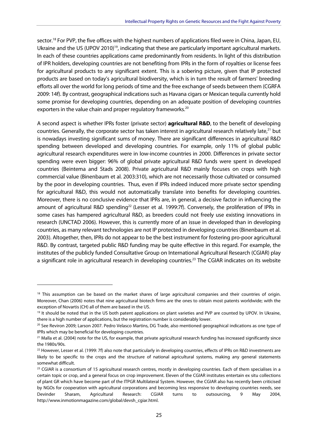sector.<sup>18</sup> For PVP, the five offices with the highest numbers of applications filed were in China, Japan, EU, Ukraine and the US (UPOV 2010)<sup>19</sup>, indicating that these are particularly important agricultural markets. In each of these countries applications came predominantly from residents. In light of this distribution of IPR holders, developing countries are not benefiting from IPRs in the form of royalties or license fees for agricultural products to any significant extent. This is a sobering picture, given that IP protected products are based on today's agricultural biodiversity, which is in turn the result of farmers' breeding efforts all over the world for long periods of time and the free exchange of seeds between them (CGRFA 2009: 14f). By contrast, geographical indications such as Havana cigars or Mexican tequila currently hold some promise for developing countries, depending on an adequate position of developing countries exporters in the value chain and proper regulatory frameworks.<sup>20</sup>

A second aspect is whether IPRs foster (private sector) **agricultural R&D**, to the benefit of developing countries. Generally, the corporate sector has taken interest in agricultural research relatively late,<sup>21</sup> but is nowadays investing significant sums of money. There are significant differences in agricultural R&D spending between developed and developing countries. For example, only 11% of global public agricultural research expenditures were in low-income countries in 2000. Differences in private sector spending were even bigger: 96% of global private agricultural R&D funds were spent in developed countries (Beintema and Stads 2008). Private agricultural R&D mainly focuses on crops with high commercial value (Binenbaum et al. 2003:310), which are not necessarily those cultivated or consumed by the poor in developing countries. Thus, even if IPRs indeed induced more private sector spending for agricultural R&D, this would not automatically translate into benefits for developing countries. Moreover, there is no conclusive evidence that IPRs are, in general, a decisive factor in influencing the amount of agricultural R&D spending<sup>22</sup> (Lesser et al. 1999:7f). Conversely, the proliferation of IPRs in some cases has hampered agricultural R&D, as breeders could not freely use existing innovations in research (UNCTAD 2006). However, this is currently more of an issue in developed than in developing countries, as many relevant technologies are not IP protected in developing countries (Binenbaum et al. 2003). Altogether, then, IPRs do not appear to be the best instrument for fostering pro-poor agricultural R&D. By contrast, targeted public R&D funding may be quite effective in this regard. For example, the institutes of the publicly funded Consultative Group on International Agricultural Research (CGIAR) play a significant role in agricultural research in developing countries.<sup>23</sup> The CGIAR indicates on its website

<sup>&</sup>lt;sup>18</sup> This assumption can be based on the market shares of large agricultural companies and their countries of origin. Moreover, Chan (2006) notes that nine agricultural biotech firms are the ones to obtain most patents worldwide; with the exception of Novartis (CH) all of them are based in the US.

<sup>&</sup>lt;sup>19</sup> It should be noted that in the US both patent applications on plant varieties and PVP are counted by UPOV. In Ukraine,

there is a high number of applications, but the registration number is considerably lower.<br><sup>20</sup> See Reviron 2009; Larson 2007. Pedro Velasco Martins, DG Trade, also mentioned geographical indications as one type of IPRs which may be beneficial for developing countries.

<sup>&</sup>lt;sup>21</sup> Malla et al. (2004) note for the US, for example, that private agricultural research funding has increased significantly since the 1980s/90s.

<sup>&</sup>lt;sup>22</sup> However, Lesser et al. (1999: 7f) also note that particularly in developing countries, effects of IPRs on R&D investments are likely to be specific to the crops and the structure of national agricultural systems, making any general statements somewhat difficult.

<sup>&</sup>lt;sup>23</sup> CGIAR is a consortium of 15 agricultural research centres, mostly in developing countries. Each of them specialises in a certain topic or crop, and a general focus on crop improvement. Eleven of the CGIAR institutes entertain ex situ collections of plant GR which have become part of the ITPGR Multilateral System. However, the CGIAR also has recently been criticised by NGOs for cooperation with agricultural corporations and becoming less responsive to developing countries needs, see Devinder Sharam, Agricultural Research: CGIAR turns to outsourcing, 9 May 2004, http://www.inmotionmagazine.com/global/devsh\_cgiar.html.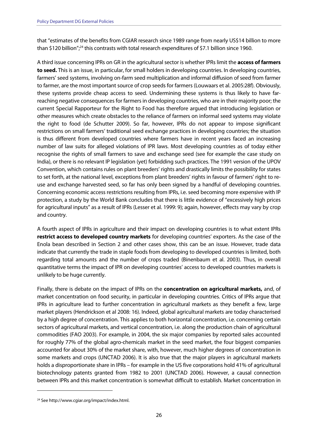that "estimates of the benefits from CGIAR research since 1989 range from nearly US\$14 billion to more than \$120 billion";<sup>24</sup> this contrasts with total research expenditures of \$7.1 billion since 1960.

A third issue concerning IPRs on GR in the agricultural sector is whether IPRs limit the **access of farmers to seed.** This is an issue, in particular, for small holders in developing countries. In developing countries, farmers' seed systems, involving on-farm seed multiplication and informal diffusion of seed from farmer to farmer, are the most important source of crop seeds for farmers (Louwaars et al. 2005:28f). Obviously, these systems provide cheap access to seed. Undermining these systems is thus likely to have farreaching negative consequences for farmers in developing countries, who are in their majority poor; the current Special Rapporteur for the Right to Food has therefore argued that introducing legislation or other measures which create obstacles to the reliance of farmers on informal seed systems may violate the right to food (de Schutter 2009). So far, however, IPRs do not appear to impose significant restrictions on small farmers' traditional seed exchange practices in developing countries; the situation is thus different from developed countries where farmers have in recent years faced an increasing number of law suits for alleged violations of IPR laws. Most developing countries as of today either recognise the rights of small farmers to save and exchange seed (see for example the case study on India), or there is no relevant IP legislation (yet) forbidding such practices. The 1991 version of the UPOV Convention, which contains rules on plant breeders' rights and drastically limits the possibility for states to set forth, at the national level, exceptions from plant breeders' rights in favour of farmers' right to reuse and exchange harvested seed, so far has only been signed by a handful of developing countries. Concerning economic access restrictions resulting from IPRs, i.e. seed becoming more expensive with IP protection, a study by the World Bank concludes that there is little evidence of "excessively high prices for agricultural inputs" as a result of IPRs (Lesser et al. 1999: 9); again, however, effects may vary by crop and country.

A fourth aspect of IPRs in agriculture and their impact on developing countries is to what extent IPRs **restrict access to developed country markets** for developing countries' exporters. As the case of the Enola bean described in Section 2 and other cases show, this can be an issue. However, trade data indicate that currently the trade in staple foods from developing to developed countries is limited, both regarding total amounts and the number of crops traded (Binenbaum et al. 2003). Thus, in overall quantitative terms the impact of IPR on developing countries' access to developed countries markets is unlikely to be huge currently.

Finally, there is debate on the impact of IPRs on the **concentration on agricultural markets,** and, of market concentration on food security, in particular in developing countries. Critics of IPRs argue that IPRs in agriculture lead to further concentration in agricultural markets as they benefit a few, large market players (Hendrickson et al 2008: 16). Indeed, global agricultural markets are today characterised by a high degree of concentration. This applies to both horizontal concentration, i.e. concerning certain sectors of agricultural markets, and vertical concentration, i.e. along the production chain of agricultural commodities (FAO 2003). For example, in 2004, the six major companies by reported sales accounted for roughly 77% of the global agro-chemicals market in the seed market, the four biggest companies accounted for about 30% of the market share, with, however, much higher degrees of concentration in some markets and crops (UNCTAD 2006). It is also true that the major players in agricultural markets holds a disproportionate share in IPRs – for example in the US five corporations hold 41% of agricultural biotechnology patents granted from 1982 to 2001 (UNCTAD 2006). However, a causal connection between IPRs and this market concentration is somewhat difficult to establish. Market concentration in

<sup>24</sup> See http://www.cgiar.org/impact/index.html.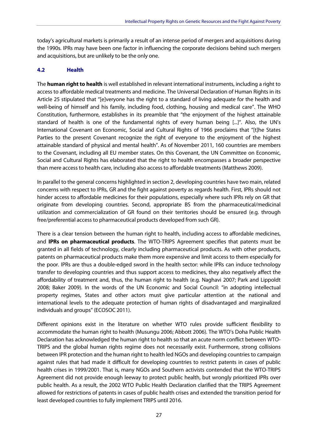today's agricultural markets is primarily a result of an intense period of mergers and acquisitions during the 1990s. IPRs may have been one factor in influencing the corporate decisions behind such mergers and acquisitions, but are unlikely to be the only one.

#### **4.2 Health**

The **human right to health** is well established in relevant international instruments, including a right to access to affordable medical treatments and medicine. The Universal Declaration of Human Rights in its Article 25 stipulated that "[e]veryone has the right to a standard of living adequate for the health and well-being of himself and his family, including food, clothing, housing and medical care". The WHO Constitution, furthermore, establishes in its preamble that "the enjoyment of the highest attainable standard of health is one of the fundamental rights of every human being [...]". Also, the UN's International Covenant on Economic, Social and Cultural Rights of 1966 proclaims that "[t]he States Parties to the present Covenant recognize the right of everyone to the enjoyment of the highest attainable standard of physical and mental health". As of November 2011, 160 countries are members to the Covenant, including all EU member states. On this Covenant, the UN Committee on Economic, Social and Cultural Rights has elaborated that the right to health encompasses a broader perspective than mere access to health care, including also access to affordable treatments (Matthews 2009).

In parallel to the general concerns highlighted in section 2, developing countries have two main, related concerns with respect to IPRs, GR and the fight against poverty as regards health. First, IPRs should not hinder access to affordable medicines for their populations, especially where such IPRs rely on GR that originate from developing countries. Second, appropriate BS from the pharmaceutical/medicinal utilization and commercialization of GR found on their territories should be ensured (e.g. through free/preferential access to pharmaceutical products developed from such GR).

There is a clear tension between the human right to health, including access to affordable medicines, and **IPRs on pharmaceutical products**. The WTO-TRIPS Agreement specifies that patents must be granted in all fields of technology, clearly including pharmaceutical products. As with other products, patents on pharmaceutical products make them more expensive and limit access to them especially for the poor. IPRs are thus a double-edged sword in the health sector: while IPRs can induce technology transfer to developing countries and thus support access to medicines, they also negatively affect the affordability of treatment and, thus, the human right to health (e.g. Naghavi 2007; Park and Lippoldt 2008; Baker 2009). In the words of the UN Economic and Social Council: "in adopting intellectual property regimes, States and other actors must give particular attention at the national and international levels to the adequate protection of human rights of disadvantaged and marginalized individuals and groups" (ECOSOC 2011).

Different opinions exist in the literature on whether WTO rules provide sufficient flexibility to accommodate the human right to health (Musungu 2006; Abbott 2006). The WTO's Doha Public Health Declaration has acknowledged the human right to health so that an acute norm conflict between WTO-TRIPS and the global human rights regime does not necessarily exist. Furthermore, strong collisions between IPR protection and the human right to health led NGOs and developing countries to campaign against rules that had made it difficult for developing countries to restrict patents in cases of public health crises in 1999/2001. That is, many NGOs and Southern activists contended that the WTO-TRIPS Agreement did not provide enough leeway to protect public health, but wrongly prioritized IPRs over public health. As a result, the 2002 WTO Public Health Declaration clarified that the TRIPS Agreement allowed for restrictions of patents in cases of public health crises and extended the transition period for least developed countries to fully implement TRIPS until 2016.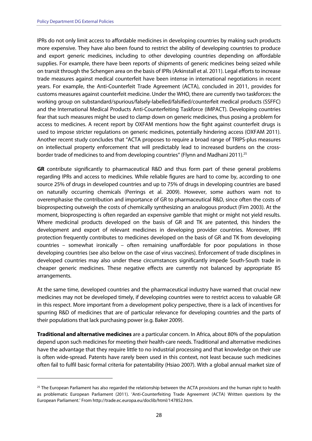-

IPRs do not only limit access to affordable medicines in developing countries by making such products more expensive. They have also been found to restrict the ability of developing countries to produce and export generic medicines, including to other developing countries depending on affordable supplies. For example, there have been reports of shipments of generic medicines being seized while on transit through the Schengen area on the basis of IPRs (Arkinstall et al. 2011). Legal efforts to increase trade measures against medical counterfeit have been intense in international negotiations in recent years. For example, the Anti-Counterfeit Trade Agreement (ACTA), concluded in 2011, provides for customs measures against counterfeit medicine. Under the WHO, there are currently two taskforces: the working group on substandard/spurious/falsely-labelled/falsified/counterfeit medical products (SSFFC) and the International Medical Products Anti-Counterfeiting Taskforce (IMPACT). Developing countries fear that such measures might be used to clamp down on generic medicines, thus posing a problem for access to medicines. A recent report by OXFAM mentions how the fight against counterfeit drugs is used to impose stricter regulations on generic medicines, potentially hindering access (OXFAM 2011). Another recent study concludes that "ACTA proposes to require a broad range of TRIPS-plus measures on intellectual property enforcement that will predictably lead to increased burdens on the crossborder trade of medicines to and from developing countries" (Flynn and Madhani 2011).<sup>25</sup>

**GR** contribute significantly to pharmaceutical R&D and thus form part of these general problems regarding IPRs and access to medicines. While reliable figures are hard to come by, according to one source 25% of drugs in developed countries and up to 75% of drugs in developing countries are based on naturally occurring chemicals (Perrings et al. 2009). However, some authors warn not to overemphasise the contribution and importance of GR to pharmaceutical R&D, since often the costs of bioprospecting outweigh the costs of chemically synthesizing an analogous product (Firn 2003). At the moment, bioprospecting is often regarded an expensive gamble that might or might not yield results. Where medicinal products developed on the basis of GR and TK are patented, this hinders the development and export of relevant medicines in developing provider countries. Moreover, IPR protection frequently contributes to medicines developed on the basis of GR and TK from developing countries – somewhat ironically – often remaining unaffordable for poor populations in those developing countries (see also below on the case of virus vaccines). Enforcement of trade disciplines in developed countries may also under these circumstances significantly impede South-South trade in cheaper generic medicines. These negative effects are currently not balanced by appropriate BS arrangements.

At the same time, developed countries and the pharmaceutical industry have warned that crucial new medicines may not be developed timely, if developing countries were to restrict access to valuable GR in this respect. More important from a development policy perspective, there is a lack of incentives for spurring R&D of medicines that are of particular relevance for developing countries and the parts of their populations that lack purchasing power (e.g. Baker 2009).

**Traditional and alternative medicines** are a particular concern. In Africa, about 80% of the population depend upon such medicines for meeting their health-care needs. Traditional and alternative medicines have the advantage that they require little to no industrial processing and that knowledge on their use is often wide-spread. Patents have rarely been used in this context, not least because such medicines often fail to fulfil basic formal criteria for patentability (Hsiao 2007). With a global annual market size of

 $25$  The European Parliament has also regarded the relationship between the ACTA provisions and the human right to health as problematic European Parliament (2011). 'Anti-Counterfeiting Trade Agreement (ACTA) Written questions by the European Parliament.' From http://trade.ec.europa.eu/doclib/html/147852.htm.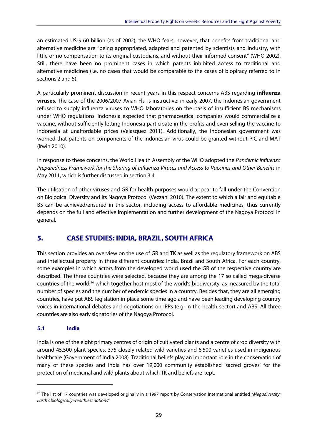an estimated US-\$ 60 billion (as of 2002), the WHO fears, however, that benefits from traditional and alternative medicine are "being appropriated, adapted and patented by scientists and industry, with little or no compensation to its original custodians, and without their informed consent" (WHO 2002). Still, there have been no prominent cases in which patents inhibited access to traditional and alternative medicines (i.e. no cases that would be comparable to the cases of biopiracy referred to in sections 2 and 5).

A particularly prominent discussion in recent years in this respect concerns ABS regarding **influenza viruses**. The case of the 2006/2007 Avian Flu is instructive: in early 2007, the Indonesian government refused to supply influenza viruses to WHO laboratories on the basis of insufficient BS mechanisms under WHO regulations. Indonesia expected that pharmaceutical companies would commercialize a vaccine, without sufficiently letting Indonesia participate in the profits and even selling the vaccine to Indonesia at unaffordable prices (Velasquez 2011). Additionally, the Indonesian government was worried that patents on components of the Indonesian virus could be granted without PIC and MAT (Irwin 2010).

In response to these concerns, the World Health Assembly of the WHO adopted the Pandemic Influenza Preparedness Framework for the Sharing of Influenza Viruses and Access to Vaccines and Other Benefits in May 2011, which is further discussed in section 3.4.

The utilisation of other viruses and GR for health purposes would appear to fall under the Convention on Biological Diversity and its Nagoya Protocol (Vezzani 2010). The extent to which a fair and equitable BS can be achieved/ensured in this sector, including access to affordable medicines, thus currently depends on the full and effective implementation and further development of the Nagoya Protocol in general.

## **5. CASE STUDIES: INDIA, BRAZIL, SOUTH AFRICA**

This section provides an overview on the use of GR and TK as well as the regulatory framework on ABS and intellectual property in three different countries: India, Brazil and South Africa. For each country, some examples in which actors from the developed world used the GR of the respective country are described. The three countries were selected, because they are among the 17 so called mega-diverse countries of the world,<sup>26</sup> which together host most of the world's biodiversity, as measured by the total number of species and the number of endemic species in a country. Besides that, they are all emerging countries, have put ABS legislation in place some time ago and have been leading developing country voices in international debates and negotiations on IPRs (e.g. in the health sector) and ABS. All three countries are also early signatories of the Nagoya Protocol.

#### **5.1 India**

-

India is one of the eight primary centres of origin of cultivated plants and a centre of crop diversity with around 45,500 plant species, 375 closely related wild varieties and 6,500 varieties used in indigenous healthcare (Government of India 2008). Traditional beliefs play an important role in the conservation of many of these species and India has over 19,000 community established 'sacred groves' for the protection of medicinal and wild plants about which TK and beliefs are kept.

 $26$  The list of 17 countries was developed originally in a 1997 report by Conservation International entitled "Megadiversity: Earth's biologically wealthiest nations".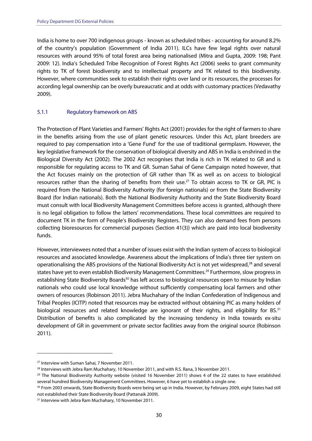India is home to over 700 indigenous groups - known as scheduled tribes - accounting for around 8.2% of the country's population (Government of India 2011). ILCs have few legal rights over natural resources with around 95% of total forest area being nationalised (Mitra and Gupta, 2009: 198; Pant 2009: 12). India's Scheduled Tribe Recognition of Forest Rights Act (2006) seeks to grant community rights to TK of forest biodiversity and to intellectual property and TK related to this biodiversity. However, where communities seek to establish their rights over land or its resources, the processes for according legal ownership can be overly bureaucratic and at odds with customary practices (Vedavathy 2009).

#### 5.1.1 Regulatory framework on ABS

The Protection of Plant Varieties and Farmers' Rights Act (2001) provides for the right of farmers to share in the benefits arising from the use of plant genetic resources. Under this Act, plant breeders are required to pay compensation into a 'Gene Fund' for the use of traditional germplasm. However, the key legislative framework for the conservation of biological diversity and ABS in India is enshrined in the Biological Diversity Act (2002). The 2002 Act recognises that India is rich in TK related to GR and is responsible for regulating access to TK and GR. Suman Sahai of Gene Campaign noted however, that the Act focuses mainly on the protection of GR rather than TK as well as on access to biological resources rather than the sharing of benefits from their use.<sup>27</sup> To obtain access to TK or GR, PIC is required from the National Biodiversity Authority (for foreign nationals) or from the State Biodiversity Board (for Indian nationals). Both the National Biodiversity Authority and the State Biodiversity Board must consult with local Biodiversity Management Committees before access is granted, although there is no legal obligation to follow the latters' recommendations. These local committees are required to document TK in the form of People's Biodiversity Registers. They can also demand fees from persons collecting bioresources for commercial purposes (Section 41(3)) which are paid into local biodiversity funds.

However, interviewees noted that a number of issues exist with the Indian system of access to biological resources and associated knowledge. Awareness about the implications of India's three tier system on operationalising the ABS provisions of the National Biodiversity Act is not yet widespread,28 and several states have yet to even establish Biodiversity Management Committees.<sup>29</sup> Furthermore, slow progress in establishing State Biodiversity Boards<sup>30</sup> has left access to biological resources open to misuse by Indian nationals who could use local knowledge without sufficiently compensating local farmers and other owners of resources (Robinson 2011). Jebra Muchahary of the Indian Confederation of Indigenous and Tribal Peoples (ICITP) noted that resources may be extracted without obtaining PIC as many holders of biological resources and related knowledge are ignorant of their rights, and eligibility for BS.<sup>31</sup> Distribution of benefits is also complicated by the increasing tendency in India towards ex-situ development of GR in government or private sector facilities away from the original source (Robinson 2011).

<sup>27</sup> Interview with Suman Sahai, 7 November 2011.

<sup>&</sup>lt;sup>28</sup> Interviews with Jebra Ram Muchahary, 10 November 2011, and with R.S. Rana, 3 November 2011.<br><sup>29</sup> The National Biodiversity Authority website (visited 16 November 2011) shows 4 of the 22 states to have established several hundred Biodiversity Management Committees. However, 6 have yet to establish a single one.<br><sup>30</sup> From 2003 onwards, State Biodiversity Boards were being set up in India. However, by February 2009, eight States had s

not established their State Biodiversity Board (Pattanaik 2009). 31 Interview with Jebra Ram Muchahary, 10 November 2011.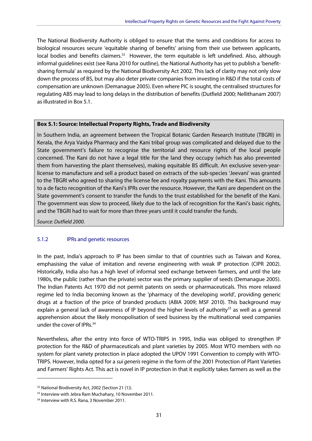The National Biodiversity Authority is obliged to ensure that the terms and conditions for access to biological resources secure 'equitable sharing of benefits' arising from their use between applicants, local bodies and benefits claimers.<sup>32</sup> However, the term equitable is left undefined. Also, although informal guidelines exist (see Rana 2010 for outline), the National Authority has yet to publish a 'benefitsharing formula' as required by the National Biodiversity Act 2002. This lack of clarity may not only slow down the process of BS, but may also deter private companies from investing in R&D if the total costs of compensation are unknown (Demanague 2005). Even where PIC is sought, the centralised structures for regulating ABS may lead to long delays in the distribution of benefits (Dutfield 2000; Nellithanam 2007) as illustrated in Box 5.1.

#### **Box 5.1: Source: Intellectual Property Rights, Trade and Biodiversity**

In Southern India, an agreement between the Tropical Botanic Garden Research Institute (TBGRI) in Kerala, the Arya Vaidya Pharmacy and the Kani tribal group was complicated and delayed due to the State government's failure to recognise the territorial and resource rights of the local people concerned. The Kani do not have a legal title for the land they occupy (which has also prevented them from harvesting the plant themselves), making equitable BS difficult. An exclusive seven-yearlicense to manufacture and sell a product based on extracts of the sub-species 'Jeevani' was granted to the TBGRI who agreed to sharing the license fee and royalty payments with the Kani. This amounts to a de facto recognition of the Kani's IPRs over the resource. However, the Kani are dependent on the State government's consent to transfer the funds to the trust established for the benefit of the Kani. The government was slow to proceed, likely due to the lack of recognition for the Kani's basic rights, and the TBGRI had to wait for more than three years until it could transfer the funds.

Source: Dutfield 2000.

#### 5.1.2 IPRs and genetic resources

In the past, India's approach to IP has been similar to that of countries such as Taiwan and Korea, emphasising the value of imitation and reverse engineering with weak IP protection (CIPR 2002). Historically, India also has a high level of informal seed exchange between farmers, and until the late 1980s, the public (rather than the private) sector was the primary supplier of seeds (Demanague 2005). The Indian Patents Act 1970 did not permit patents on seeds or pharmaceuticals. This more relaxed regime led to India becoming known as the 'pharmacy of the developing world', providing generic drugs at a fraction of the price of branded products (ABIA 2009; MSF 2010). This background may explain a general lack of awareness of IP beyond the higher levels of authority<sup>33</sup> as well as a general apprehension about the likely monopolisation of seed business by the multinational seed companies under the cover of IPRs.<sup>34</sup>

Nevertheless, after the entry into force of WTO-TRIPS in 1995, India was obliged to strengthen IP protection for the R&D of pharmaceuticals and plant varieties by 2005. Most WTO members with no system for plant variety protection in place adopted the UPOV 1991 Convention to comply with WTO-TRIPS. However, India opted for a sui generis regime in the form of the 2001 Protection of Plant Varieties and Farmers' Rights Act. This act is novel in IP protection in that it explicitly takes farmers as well as the

<sup>&</sup>lt;sup>32</sup> National Biodiversity Act, 2002 (Section 21 (1)).

<sup>&</sup>lt;sup>33</sup> Interview with Jebra Ram Muchahary, 10 November 2011.

<sup>&</sup>lt;sup>34</sup> Interview with R.S. Rana, 3 November 2011.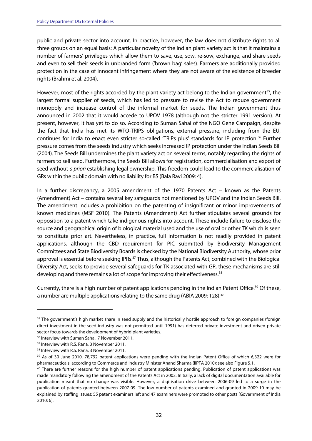public and private sector into account. In practice, however, the law does not distribute rights to all three groups on an equal basis: A particular novelty of the Indian plant variety act is that it maintains a number of farmers' privileges which allow them to save, use, sow, re-sow, exchange, and share seeds and even to sell their seeds in unbranded form ('brown bag' sales). Farmers are additionally provided protection in the case of innocent infringement where they are not aware of the existence of breeder rights (Brahmi et al. 2004).

However, most of the rights accorded by the plant variety act belong to the Indian government<sup>35</sup>, the largest formal supplier of seeds, which has led to pressure to revise the Act to reduce government monopoly and increase control of the informal market for seeds. The Indian government thus announced in 2002 that it would accede to UPOV 1978 (although not the stricter 1991 version). At present, however, it has yet to do so. According to Suman Sahai of the NGO Gene Campaign, despite the fact that India has met its WTO-TRIPS obligations, external pressure, including from the EU, continues for India to enact even stricter so-called 'TRIPs plus' standards for IP protection.<sup>36</sup> Further pressure comes from the seeds industry which seeks increased IP protection under the Indian Seeds Bill (2004). The Seeds Bill undermines the plant variety act on several terms, notably regarding the rights of farmers to sell seed. Furthermore, the Seeds Bill allows for registration, commercialisation and export of seed without a priori establishing legal ownership. This freedom could lead to the commercialisation of GRs within the public domain with no liability for BS (Bala Ravi 2009: 4).

In a further discrepancy, a 2005 amendment of the 1970 Patents Act – known as the Patents (Amendment) Act – contains several key safeguards not mentioned by UPOV and the Indian Seeds Bill. The amendment includes a prohibition on the patenting of insignificant or minor improvements of known medicines (MSF 2010). The Patents (Amendment) Act further stipulates several grounds for opposition to a patent which take indigenous rights into account. These include failure to disclose the source and geographical origin of biological material used and the use of oral or other TK which is seen to constitute prior art. Nevertheless, in practice, full information is not readily provided in patent applications, although the CBD requirement for PIC submitted by Biodiversity Management Committees and State Biodiversity Boards is checked by the National Biodiversity Authority, whose prior approval is essential before seeking IPRs.<sup>37</sup> Thus, although the Patents Act, combined with the Biological Diversity Act, seeks to provide several safeguards for TK associated with GR, these mechanisms are still developing and there remains a lot of scope for improving their effectiveness.<sup>38</sup>

Currently, there is a high number of patent applications pending in the Indian Patent Office.<sup>39</sup> Of these, a number are multiple applications relating to the same drug (ABIA 2009: 128).<sup>40</sup>

<sup>&</sup>lt;sup>35</sup> The government's high market share in seed supply and the historically hostile approach to foreign companies (foreign direct investment in the seed industry was not permitted until 1991) has deterred private investment and driven private sector focus towards the development of hybrid plant varieties.<br><sup>36</sup> Interview with Suman Sahai, 7 November 2011.

<sup>&</sup>lt;sup>37</sup> Interview with R.S. Rana, 3 November 2011.

<sup>38</sup> Interview with R.S. Rana, 3 November 2011.

<sup>&</sup>lt;sup>39</sup> As of 30 June 2010, 78,792 patent applications were pending with the Indian Patent Office of which 6,322 were for pharmaceuticals, according to Commerce and Industry Minister Anand Sharma (IIPTA 2010); see also Figure 5.1.<br><sup>40</sup> There are further reasons for the high number of patent applications pending. Publication of patent applicat

made mandatory following the amendment of the Patents Act in 2002. Initially, a lack of digital documentation available for publication meant that no change was visible. However, a digitisation drive between 2006-09 led to a surge in the publication of patents granted between 2007-09. The low number of patents examined and granted in 2009-10 may be explained by staffing issues: 55 patent examiners left and 47 examiners were promoted to other posts (Government of India 2010: 6).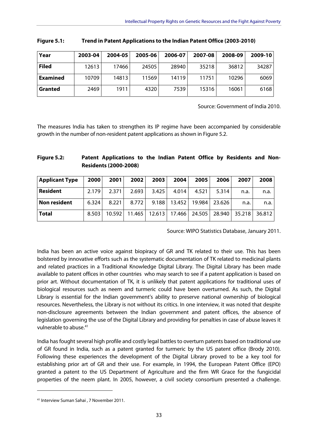| Year            | 2003-04 | 2004-05 | 2005-06 | 2006-07 | 2007-08 | 2008-09 | 2009-10 |
|-----------------|---------|---------|---------|---------|---------|---------|---------|
| <b>Filed</b>    | 12613   | 17466   | 24505   | 28940   | 35218   | 36812   | 34287   |
| <b>Examined</b> | 10709   | 14813   | 11569   | 14119   | 11751   | 10296   | 6069    |
| <b>Granted</b>  | 2469    | 1911    | 4320    | 7539    | 15316   | 16061   | 6168    |

| Figure 5.1: | Trend in Patent Applications to the Indian Patent Office (2003-2010) |
|-------------|----------------------------------------------------------------------|
|-------------|----------------------------------------------------------------------|

Source: Government of India 2010.

The measures India has taken to strengthen its IP regime have been accompanied by considerable growth in the number of non-resident patent applications as shown in Figure 5.2.

| <b>Figure 5.2:</b> | Patent Applications to the Indian Patent Office by Residents and Non- |  |  |  |  |  |
|--------------------|-----------------------------------------------------------------------|--|--|--|--|--|
|                    | <b>Residents (2000-2008)</b>                                          |  |  |  |  |  |

| <b>Applicant Type</b> | 2000  | 2001   | 2002   | 2003  | 2004            | 2005   | 2006   | 2007                 | 2008 |
|-----------------------|-------|--------|--------|-------|-----------------|--------|--------|----------------------|------|
| <b>Resident</b>       | 2.179 | 2.371  | 2.693  | 3.425 | 4.014           | 4.521  | 5.314  | n.a.                 | n.a. |
| <b>Non resident</b>   | 6.324 | 8.221  | 8.772  | 9.188 | 13.452          | 19.984 | 23.626 | n.a.                 | n.a. |
| <b>Total</b>          | 8.503 | 10.592 | 11.465 |       | 12.613   17.466 | 24.505 |        | 28.940 35.218 36.812 |      |

Source: WIPO Statistics Database, January 2011.

India has been an active voice against biopiracy of GR and TK related to their use. This has been bolstered by innovative efforts such as the systematic documentation of TK related to medicinal plants and related practices in a Traditional Knowledge Digital Library. The Digital Library has been made available to patent offices in other countries who may search to see if a patent application is based on prior art. Without documentation of TK, it is unlikely that patent applications for traditional uses of biological resources such as neem and turmeric could have been overturned. As such, the Digital Library is essential for the Indian government's ability to preserve national ownership of biological resources. Nevertheless, the Library is not without its critics. In one interview, it was noted that despite non-disclosure agreements between the Indian government and patent offices, the absence of legislation governing the use of the Digital Library and providing for penalties in case of abuse leaves it vulnerable to abuse.41

India has fought several high profile and costly legal battles to overturn patents based on traditional use of GR found in India, such as a patent granted for turmeric by the US patent office (Brody 2010). Following these experiences the development of the Digital Library proved to be a key tool for establishing prior art of GR and their use. For example, in 1994, the European Patent Office (EPO) granted a patent to the US Department of Agriculture and the firm WR Grace for the fungicidal properties of the neem plant. In 2005, however, a civil society consortium presented a challenge.

<sup>41</sup> Interview Suman Sahai , 7 November 2011.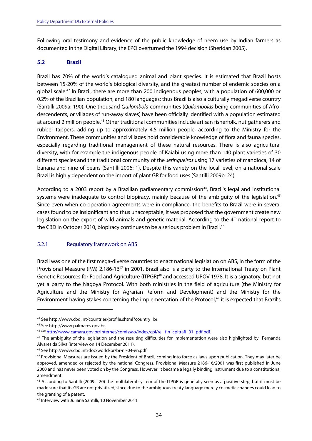Following oral testimony and evidence of the public knowledge of neem use by Indian farmers as documented in the Digital Library, the EPO overturned the 1994 decision (Sheridan 2005).

#### **5.2 Brazil**

Brazil has 70% of the world's catalogued animal and plant species. It is estimated that Brazil hosts between 15-20% of the world's biological diversity, and the greatest number of endemic species on a global scale.42 In Brazil, there are more than 200 indigenous peoples, with a population of 600,000 or 0.2% of the Brazilian population, and 180 languages; thus Brazil is also a culturally megadiverse country (Santilli 2009a: 190). One thousand Quilombola communities (Quilombolas being communities of Afrodescendents, or villages of run-away slaves) have been officially identified with a population estimated at around 2 million people.<sup>43</sup> Other traditional communities include artisan fisherfolk, nut gatherers and rubber tappers, adding up to approximately 4.5 million people, according to the Ministry for the Environment. These communities and villages hold considerable knowledge of flora and fauna species, especially regarding traditional management of these natural resources. There is also agricultural diversity, with for example the indigenous people of Kaiabi using more than 140 plant varieties of 30 different species and the traditional community of the seringueiros using 17 varieties of mandioca, 14 of banana and nine of beans (Santilli 2006: 1). Despite this variety on the local level, on a national scale Brazil is highly dependent on the import of plant GR for food uses (Santilli 2009b: 24).

According to a 2003 report by a Brazilian parliamentary commission<sup>44</sup>, Brazil's legal and institutional systems were inadequate to control biopiracy, mainly because of the ambiguity of the legislation.<sup>45</sup> Since even when co-operation agreements were in compliance, the benefits to Brazil were in several cases found to be insignificant and thus unacceptable, it was proposed that the government create new legislation on the export of wild animals and genetic material. According to the  $4<sup>th</sup>$  national report to the CBD in October 2010, biopiracy continues to be a serious problem in Brazil.<sup>46</sup>

#### 5.2.1 Regulatory framework on ABS

Brazil was one of the first mega-diverse countries to enact national legislation on ABS, in the form of the Provisional Measure (PM) 2.186-16<sup>47</sup> in 2001. Brazil also is a party to the International Treaty on Plant Genetic Resources for Food and Agriculture (ITPGR)<sup>48</sup> and accessed UPOV 1978. It is a signatory, but not yet a party to the Nagoya Protocol. With both ministries in the field of agriculture (the Ministry for Agriculture and the Ministry for Agrarian Reform and Development) and the Ministry for the Environment having stakes concerning the implementation of the Protocol,<sup>49</sup> it is expected that Brazil's

<sup>&</sup>lt;sup>42</sup> See http://www.cbd.int/countries/profile.shtml?country=br.<br><sup>43</sup> See http://www.palmares.gov.br.

<sup>&</sup>lt;sup>44 See</sup> http://www.camara.gov.br/Internet/comissao/index/cpi/rel\_fin\_cpitrafi\_01\_pdf.pdf. 45 The ambiguity of the legislation and the resulting difficulties for implementation were also highlighted by Fernanda Alvares da Silva (interview on 14 December 2011).

<sup>&</sup>lt;sup>46</sup> See http://www.cbd.int/doc/world/br/br-nr-04-en.pdf.<br><sup>47</sup> Provisional Measures are issued by the President of Brazil, coming into force as laws upon publication. They may later be approved, amended or rejected by the national Congress. Provisional Measure 2186-16/2001 was first published in June 2000 and has never been voted on by the Congress. However, it became a legally binding instrument due to a constitutional amendment.

<sup>48</sup> According to Santilli (2009c: 20) the multilateral system of the ITPGR is generally seen as a positive step, but it must be made sure that its GR are not privatized, since due to the ambiguous treaty language merely cosmetic changes could lead to the granting of a patent.

<sup>49</sup> Interview with Juliana Santilli, 10 November 2011.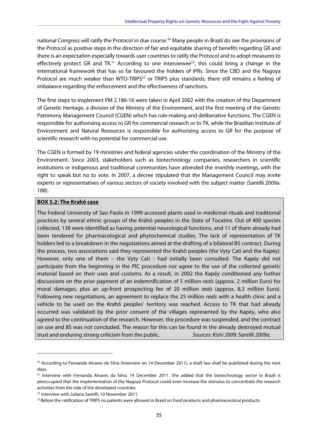national Congress will ratify the Protocol in due course.<sup>50</sup> Many people in Brazil do see the provisions of the Protocol as positive steps in the direction of fair and equitable sharing of benefits regarding GR and there is an expectation especially towards user countries to ratify the Protocol and to adopt measures to effectively protect GR and TK.<sup>51</sup> According to one interviewee<sup>52</sup>, this could bring a change in the international framework that has so far favoured the holders of IPRs. Since the CBD and the Nagoya Protocol are much weaker than WTO-TRIPS<sup>53</sup> or TRIPS plus standards, there still remains a feeling of imbalance regarding the enforcement and the effectiveness of sanctions.

The first steps to implement PM 2.186-16 were taken in April 2002 with the creation of the Department of Genetic Heritage, a division of the Ministry of the Environment, and the first meeting of the Genetic Patrimony Management Council (CGEN) which has rule-making and deliberative functions. The CGEN is responsible for authorising access to GR for commercial research or to TK, while the Brazilian Institute of Environment and Natural Resources is responsible for authorizing access to GR for the purpose of scientific research with no potential for commercial use.

The CGEN is formed by 19 ministries and federal agencies under the coordination of the Ministry of the Environment. Since 2003, stakeholders such as biotechnology companies, researchers in scientific institutions or indigenous and traditional communities have attended the monthly meetings, with the right to speak but no to vote. In 2007, a decree stipulated that the Management Council may invite experts or representatives of various sectors of society involved with the subject matter (Santilli 2009a: 188).

#### **BOX 5.2: The Krahô case**

The Federal University of Sao Paolo in 1999 accessed plants used in medicinal rituals and traditional practices by several ethnic groups of the Krahô peoples in the State of Tocatins. Out of 400 species collected, 138 were identified as having potential neurological functions, and 11 of them already had been tendered for pharmacological and phytochemical studies. The lack of representation of TK holders led to a breakdown in the negotiations aimed at the drafting of a bilateral BS contract. During the process, two associations said they represented the Krahô peoples (the Vyty Cati and the Kapéy). However, only one of them – the Vyty Cati - had initially been consulted. The Kapéy did not participate from the beginning in the PIC procedure nor agree to the use of the collected genetic material based on their uses and customs. As a result, in 2002 the Kapéy conditioned any further discussions on the prior payment of an indemnification of 5 million reals (approx. 2 million Euro) for moral damages, plus an up-front prospecting fee of 20 million *reals* (approx. 8,3 million Euro). Following new negotiations, an agreement to replace the 25 million *reals* with a health clinic and a vehicle to be used on the Krahô peoples' territory was reached. Access to TK that had already occurred was validated by the prior consent of the villages represented by the Kapéy, who also agreed to the continuation of the research. However, the procedure was suspended, and the contract on use and BS was not concluded. The reason for this can be found in the already destroyed mutual trust and enduring strong criticism from the public. Sources: Kishi 2009; Santilli 2009a.

 $50$  According to Fernanda Alvares da Silva (interview on 14 December 2011), a draft law shall be published during the next days.

<sup>&</sup>lt;sup>51</sup> Interview with Fernanda Alvares da Silva, 14 December 2011. She added that the biotechnology sector in Brazil is preoccupied that the implementation of the Nagoya Protocol could even increase the stimulus to concentrate the research activities from the side of the developed countries.

<sup>52</sup> Interview with Juliana Santilli, 10 November 2011.

<sup>53</sup> Before the ratification of TRIPS no patents were allowed in Brazil on food products and pharmaceutical products.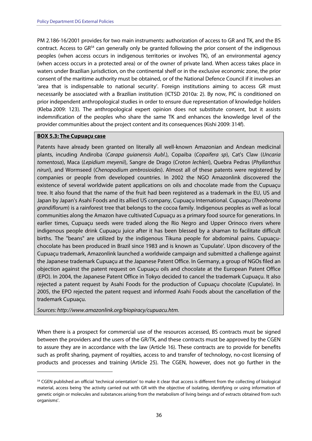PM 2.186-16/2001 provides for two main instruments: authorization of access to GR and TK, and the BS contract. Access to GR<sup>54</sup> can generally only be granted following the prior consent of the indigenous peoples (when access occurs in indigenous territories or involves TK), of an environmental agency (when access occurs in a protected area) or of the owner of private land. When access takes place in waters under Brazilian jurisdiction, on the continental shelf or in the exclusive economic zone, the prior consent of the maritime authority must be obtained, or of the National Defence Council if it involves an 'area that is indispensable to national security'. Foreign institutions aiming to access GR must necessarily be associated with a Brazilian institution (ICTSD 2010a: 2). By now, PIC is conditioned on prior independent anthropological studies in order to ensure due representation of knowledge holders (Kleba 2009: 123). The anthropological expert opinion does not substitute consent, but it assists indemnification of the peoples who share the same TK and enhances the knowledge level of the provider communities about the project content and its consequences (Kishi 2009: 314f).

#### **BOX 5.3: The Cupuaçu case**

-

Patents have already been granted on literally all well-known Amazonian and Andean medicinal plants, incuding Andiroba (Carapa guianensis Aubl.), Copaiba (Copaifera sp), Cat's Claw (Uncaria tomentosa), Maca (Lepidium meyenii), Sangre de Drago (Croton lechleri), Quebra Pedras (Phyllanthus niruri), and Wormseed (Chenopodium ambrosioides). Almost all of these patents were registered by companies or people from developed countries. In 2002 the NGO Amazonlink discovered the existence of several worldwide patent applications on oils and chocolate made from the Cupuaçu tree. It also found that the name of the fruit had been registered as a trademark in the EU, US and Japan by Japan's Asahi Foods and its allied US company, Cupuaçu International. Cupuaçu (Theobroma grandiflorum) is a rainforest tree that belongs to the cocoa family. Indigenous peoples as well as local communities along the Amazon have cultivated Cupuaçu as a primary food source for generations. In earlier times, Cupuaçu seeds were traded along the Rio Negro and Upper Orinoco rivers where indigenous people drink Cupuaçu juice after it has been blessed by a shaman to facilitate difficult births. The "beans" are utilized by the indigenous Tikuna people for abdominal pains. Cupuaçuchocolate has been produced in Brazil since 1983 and is known as 'Cupulate'. Upon discovery of the Cupuaçu trademark, Amazonlink launched a worldwide campaign and submitted a challenge against the Japanese trademark Cupuaçu at the Japanese Patent Office. In Germany, a group of NGOs filed an objection against the patent request on Cupuaçu oils and chocolate at the European Patent Office (EPO). In 2004, the Japanese Patent Office in Tokyo decided to cancel the trademark Cupuaçu. It also rejected a patent request by Asahi Foods for the production of Cupuaçu chocolate (Cupulate). In 2005, the EPO rejected the patent request and informed Asahi Foods about the cancellation of the trademark Cupuaçu.

Sources: http://www.amazonlink.org/biopiracy/cupuacu.htm.

When there is a prospect for commercial use of the resources accessed, BS contracts must be signed between the providers and the users of the GR/TK, and these contracts must be approved by the CGEN to assure they are in accordance with the law (Article 16). These contracts are to provide for benefits such as profit sharing, payment of royalties, access to and transfer of technology, no-cost licensing of products and processes and training (Article 25). The CGEN, however, does not go further in the

<sup>&</sup>lt;sup>54</sup> CGEN published an official 'technical orientation' to make it clear that access is different from the collecting of biological material, access being 'the activity carried out with GR with the objective of isolating, identifying or using information of genetic origin or molecules and substances arising from the metabolism of living beings and of extracts obtained from such organisms'.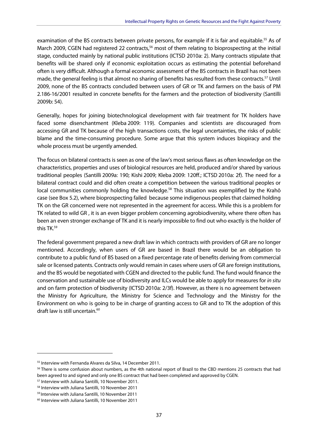examination of the BS contracts between private persons, for example if it is fair and equitable.<sup>55</sup> As of March 2009, CGEN had registered 22 contracts,<sup>56</sup> most of them relating to bioprospecting at the initial stage, conducted mainly by national public institutions (ICTSD 2010a: 2). Many contracts stipulate that benefits will be shared only if economic exploitation occurs as estimating the potential beforehand often is very difficult. Although a formal economic assessment of the BS contracts in Brazil has not been made, the general feeling is that almost no sharing of benefits has resulted from these contracts.<sup>57</sup> Until 2009, none of the BS contracts concluded between users of GR or TK and farmers on the basis of PM 2.186-16/2001 resulted in concrete benefits for the farmers and the protection of biodiversity (Santilli 2009b: 54).

Generally, hopes for joining biotechnological development with fair treatment for TK holders have faced some disenchantment (Kleba 2009: 119). Companies and scientists are discouraged from accessing GR and TK because of the high transactions costs, the legal uncertainties, the risks of public blame and the time-consuming procedure. Some argue that this system induces biopiracy and the whole process must be urgently amended.

The focus on bilateral contracts is seen as one of the law's most serious flaws as often knowledge on the characteristics, properties and uses of biological resources are held, produced and/or shared by various traditional peoples (Santilli 2009a: 190; Kishi 2009; Kleba 2009: 120ff.; ICTSD 2010a: 2f). The need for a bilateral contract could and did often create a competition between the various traditional peoples or local communities commonly holding the knowledge.<sup>58</sup> This situation was exemplified by the Krahô case (see Box 5.2), where bioprospecting failed because some indigenous peoples that claimed holding TK on the GR concerned were not represented in the agreement for access. While this is a problem for TK related to wild GR , it is an even bigger problem concerning agrobiodiversity, where there often has been an even stronger exchange of TK and it is nearly impossible to find out who exactly is the holder of this TK.59

The federal government prepared a new draft law in which contracts with providers of GR are no longer mentioned. Accordingly, when users of GR are based in Brazil there would be an obligation to contribute to a public fund of BS based on a fixed percentage rate of benefits deriving from commercial sale or licensed patents. Contracts only would remain in cases where users of GR are foreign institutions, and the BS would be negotiated with CGEN and directed to the public fund. The fund would finance the conservation and sustainable use of biodiversity and ILCs would be able to apply for measures for in situ and on farm protection of biodiversity (ICTSD 2010a: 2/3f). However, as there is no agreement between the Ministry for Agriculture, the Ministry for Science and Technology and the Ministry for the Environment on who is going to be in charge of granting access to GR and to TK the adoption of this draft law is still uncertain.<sup>60</sup>

<sup>55</sup> Interview with Fernanda Alvares da Silva, 14 December 2011.

<sup>&</sup>lt;sup>56</sup> There is some confusion about numbers, as the 4th national report of Brazil to the CBD mentions 25 contracts that had been agreed to and signed and only one BS contract that had been completed and approved by CGEN.<br><sup>57</sup> Interview with Juliana Santilli, 10 November 2011.

<sup>58</sup> Interview with Juliana Santilli, 10 November 2011

<sup>59</sup> Interview with Juliana Santilli, 10 November 2011

<sup>60</sup> Interview with Juliana Santilli, 10 November 2011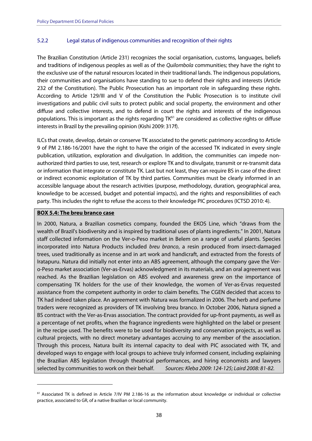#### 5.2.2 Legal status of indigenous communities and recognition of their rights

The Brazilian Constitution (Article 231) recognizes the social organisation, customs, languages, beliefs and traditions of indigenous peoples as well as of the Quilombola communities; they have the right to the exclusive use of the natural resources located in their traditional lands. The indigenous populations, their communities and organisations have standing to sue to defend their rights and interests (Article 232 of the Constitution). The Public Prosecution has an important role in safeguarding these rights. According to Article 129/III and V of the Constitution the Public Prosecution is to institute civil investigations and public civil suits to protect public and social property, the environment and other diffuse and collective interests, and to defend in court the rights and interests of the indigenous populations. This is important as the rights regarding TK<sup>61</sup> are considered as collective rights or diffuse interests in Brazil by the prevailing opinion (Kishi 2009: 317f).

ILCs that create, develop, detain or conserve TK associated to the genetic patrimony according to Article 9 of PM 2.186-16/2001 have the right to have the origin of the accessed TK indicated in every single publication, utilization, exploration and divulgation. In addition, the communities can impede nonauthorized third parties to use, test, research or explore TK and to divulgate, transmit or re-transmit data or information that integrate or constitute TK. Last but not least, they can require BS in case of the direct or indirect economic exploitation of TK by third parties. Communities must be clearly informed in an accessible language about the research activities (purpose, methodology, duration, geographical area, knowledge to be accessed, budget and potential impacts), and the rights and responsibilities of each party. This includes the right to refuse the access to their knowledge PIC procedures (ICTSD 2010: 4).

#### **BOX 5.4: The breu branco case**

-

In 2000, Natura, a Brazilian cosmetics company, founded the EKOS Line, which "draws from the wealth of Brazil's biodiversity and is inspired by traditional uses of plants ingredients." In 2001, Natura staff collected information on the Ver-o-Peso market in Belem on a range of useful plants. Species incorporated into Natura Products included breu branco, a resin produced from insect-damaged trees, used traditionally as incense and in art work and handicraft, and extracted from the forests of Iratapuru. Natura did initially not enter into an ABS agreement, although the company gave the Vero-Peso market association (Ver-as-Ervas) acknowledgment in its materials, and an oral agreement was reached. As the Brazilian legislation on ABS evolved and awareness grew on the importance of compensating TK holders for the use of their knowledge, the women of Ver-as-Ervas requested assistance from the competent authority in order to claim benefits. The CGEN decided that access to TK had indeed taken place. An agreement with Natura was formalized in 2006. The herb and perfume traders were recognized as providers of TK involving breu branco. In October 2006, Natura signed a BS contract with the Ver-as-Ervas association. The contract provided for up-front payments, as well as a percentage of net profits, when the fragrance ingredients were highlighted on the label or present in the recipe used. The benefits were to be used for biodiversity and conservation projects, as well as cultural projects, with no direct monetary advantages accruing to any member of the association. Through this process, Natura built its internal capacity to deal with PIC associated with TK, and developed ways to engage with local groups to achieve truly informed consent, including explaining the Brazilian ABS legislation through theatrical performances, and hiring economists and lawyers selected by communities to work on their behalf. Sources: Kleba 2009: 124-125; Laird 2008: 81-82.

<sup>61</sup> Associated TK is defined in Article 7/IV PM 2.186-16 as the information about knowledge or individual or collective practice, associated to GR, of a native Brazilian or local community.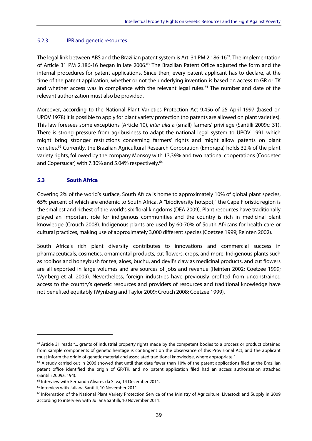#### 5.2.3 IPR and genetic resources

The legal link between ABS and the Brazilian patent system is Art. 31 PM 2.186-16<sup>62</sup>. The implementation of Article 31 PM 2.186-16 began in late 2006.<sup>63</sup> The Brazilian Patent Office adjusted the form and the internal procedures for patent applications. Since then, every patent applicant has to declare, at the time of the patent application, whether or not the underlying invention is based on access to GR or TK and whether access was in compliance with the relevant legal rules.<sup>64</sup> The number and date of the relevant authorization must also be provided.

Moreover, according to the National Plant Varieties Protection Act 9.456 of 25 April 1997 (based on UPOV 1978) it is possible to apply for plant variety protection (no patents are allowed on plant varieties). This law foresees some exceptions (Article 10), inter alia a (small) farmers' privilege (Santilli 2009c: 31). There is strong pressure from agribusiness to adapt the national legal system to UPOV 1991 which might bring stronger restrictions concerning farmers' rights and might allow patents on plant varieties.65 Currently, the Brazilian Agricultural Research Corporation (Embrapa) holds 32% of the plant variety rights, followed by the company Monsoy with 13,39% and two national cooperations (Coodetec and Copersucar) with 7.30% and 5.04% respectively.<sup>66</sup>

#### **5.3 South Africa**

Covering 2% of the world's surface, South Africa is home to approximately 10% of global plant species, 65% percent of which are endemic to South Africa. A "biodiversity hotspot," the Cape Floristic region is the smallest and richest of the world's six floral kingdoms (DEA 2009). Plant resources have traditionally played an important role for indigenous communities and the country is rich in medicinal plant knowledge (Crouch 2008). Indigenous plants are used by 60-70% of South Africans for health care or cultural practices, making use of approximately 3,000 different species (Coetzee 1999; Reinten 2002).

South Africa's rich plant diversity contributes to innovations and commercial success in pharmaceuticals, cosmetics, ornamental products, cut flowers, crops, and more. Indigenous plants such as rooibos and honeybush for tea, aloes, buchu, and devil's claw as medicinal products, and cut flowers are all exported in large volumes and are sources of jobs and revenue (Reinten 2002; Coetzee 1999; Wynberg et al. 2009). Nevertheless, foreign industries have previously profited from unconstrained access to the country's genetic resources and providers of resources and traditional knowledge have not benefited equitably (Wynberg and Taylor 2009; Crouch 2008; Coetzee 1999).

 $62$  Article 31 reads "... grants of industrial property rights made by the competent bodies to a process or product obtained from sample components of genetic heritage is contingent on the observance of this Provisional Act, and the applicant

must inform the origin of genetic material and associated traditional knowledge, where appropriate."<br><sup>63</sup> A study carried out in 2006 showed that until that date fewer than 10% of the patent applications filed at the Brazi patent office identified the origin of GR/TK, and no patent application filed had an access authorization attached (Santilli 2009a: 194).

<sup>64</sup> Interview with Fernanda Alvares da Silva, 14 December 2011.

<sup>65</sup> Interview with Juliana Santilli, 10 November 2011.

<sup>66</sup> Information of the National Plant Variety Protection Service of the Ministry of Agriculture, Livestock and Supply in 2009 according to interview with Juliana Santilli, 10 November 2011.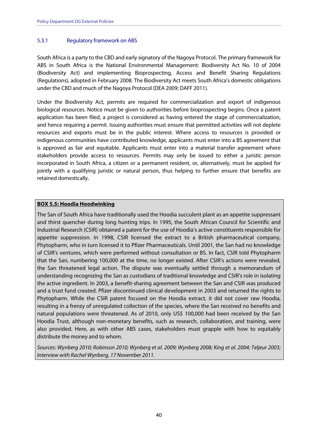#### 5.3.1 Regulatory framework on ABS

South Africa is a party to the CBD and early signatory of the Nagoya Protocol. The primary framework for ABS in South Africa is the National Environmental Management: Biodiversity Act No. 10 of 2004 (Biodiversity Act) and implementing Bioprospecting, Access and Benefit Sharing Regulations (Regulations), adopted in February 2008. The Biodiversity Act meets South Africa's domestic obligations under the CBD and much of the Nagoya Protocol (DEA 2009; DAFF 2011).

Under the Biodiversity Act, permits are required for commercialization and export of indigenous biological resources. Notice must be given to authorities before bioprospecting begins. Once a patent application has been filed, a project is considered as having entered the stage of commercialization, and hence requiring a permit. Issuing authorities must ensure that permitted activities will not deplete resources and exports must be in the public interest. Where access to resources is provided or indigenous communities have contributed knowledge, applicants must enter into a BS agreement that is approved as fair and equitable. Applicants must enter into a material transfer agreement where stakeholders provide access to resources. Permits may only be issued to either a juristic person incorporated in South Africa, a citizen or a permanent resident, or, alternatively, must be applied for jointly with a qualifying juristic or natural person, thus helping to further ensure that benefits are retained domestically.

#### **BOX 5.5: Hoodia Hoodwinking**

The San of South Africa have traditionally used the Hoodia succulent plant as an appetite suppressant and thirst quencher during long hunting trips. In 1995, the South African Council for Scientific and Industrial Research (CSIR) obtained a patent for the use of Hoodia's active constituents responsible for appetite suppression. In 1998, CSIR licensed the extract to a British pharmaceutical company, Phytopharm, who in turn licensed it to Pfizer Pharmaceuticals. Until 2001, the San had no knowledge of CSIR's ventures, which were performed without consultation or BS. In fact, CSIR told Phytopharm that the San, numbering 100,000 at the time, no longer existed. After CSIR's actions were revealed, the San threatened legal action. The dispute was eventually settled through a memorandum of understanding recognizing the San as custodians of traditional knowledge and CSIR's role in isolating the active ingredient. In 2003, a benefit-sharing agreement between the San and CSIR was produced and a trust fund created. Pfizer discontinued clinical development in 2003 and returned the rights to Phytopharm. While the CSIR patent focused on the Hoodia extract, it did not cover raw Hoodia, resulting in a frenzy of unregulated collection of the species, where the San received no benefits and natural populations were threatened. As of 2010, only US\$ 100,000 had been received by the San Hoodia Trust, although non-monetary benefits, such as research, collaboration, and training, were also provided. Here, as with other ABS cases, stakeholders must grapple with how to equitably distribute the money and to whom.

Sources: Wynberg 2010; Robinson 2010; Wynberg et al. 2009; Wynberg 2008; King et al. 2004; Teljeur 2003; Interview with Rachel Wynberg, 17 November 2011.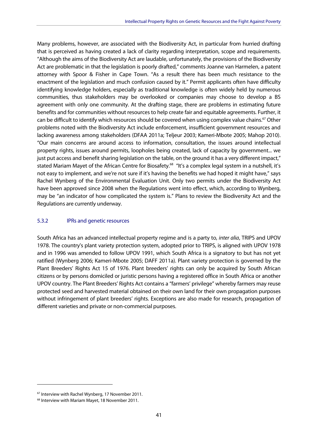Many problems, however, are associated with the Biodiversity Act, in particular from hurried drafting that is perceived as having created a lack of clarity regarding interpretation, scope and requirements. "Although the aims of the Biodiversity Act are laudable, unfortunately, the provisions of the Biodiversity Act are problematic in that the legislation is poorly drafted," comments Joanne van Harmelen, a patent attorney with Spoor & Fisher in Cape Town. "As a result there has been much resistance to the enactment of the legislation and much confusion caused by it." Permit applicants often have difficulty identifying knowledge holders, especially as traditional knowledge is often widely held by numerous communities, thus stakeholders may be overlooked or companies may choose to develop a BS agreement with only one community. At the drafting stage, there are problems in estimating future benefits and for communities without resources to help create fair and equitable agreements. Further, it can be difficult to identify which resources should be covered when using complex value chains.<sup>67</sup> Other problems noted with the Biodiversity Act include enforcement, insufficient government resources and lacking awareness among stakeholders (DFAA 2011a; Teljeur 2003; Kameri-Mbote 2005; Mahop 2010). "Our main concerns are around access to information, consultation, the issues around intellectual property rights, issues around permits, loopholes being created, lack of capacity by government... we just put access and benefit sharing legislation on the table, on the ground it has a very different impact," stated Mariam Mayet of the African Centre for Biosafety.<sup>68</sup> "It's a complex legal system in a nutshell, it's not easy to implement, and we're not sure if it's having the benefits we had hoped it might have," says Rachel Wynberg of the Environmental Evaluation Unit. Only two permits under the Biodiversity Act have been approved since 2008 when the Regulations went into effect, which, according to Wynberg, may be "an indicator of how complicated the system is." Plans to review the Biodiversity Act and the Regulations are currently underway.

#### 5.3.2 IPRs and genetic resources

South Africa has an advanced intellectual property regime and is a party to, inter alia, TRIPS and UPOV 1978. The country's plant variety protection system, adopted prior to TRIPS, is aligned with UPOV 1978 and in 1996 was amended to follow UPOV 1991, which South Africa is a signatory to but has not yet ratified (Wynberg 2006; Kameri-Mbote 2005; DAFF 2011a). Plant variety protection is governed by the Plant Breeders' Rights Act 15 of 1976. Plant breeders' rights can only be acquired by South African citizens or by persons domiciled or juristic persons having a registered office in South Africa or another UPOV country. The Plant Breeders' Rights Act contains a "farmers' privilege" whereby farmers may reuse protected seed and harvested material obtained on their own land for their own propagation purposes without infringement of plant breeders' rights. Exceptions are also made for research, propagation of different varieties and private or non-commercial purposes.

<sup>67</sup> Interview with Rachel Wynberg, 17 November 2011.

<sup>68</sup> Interview with Mariam Mayet, 18 November 2011.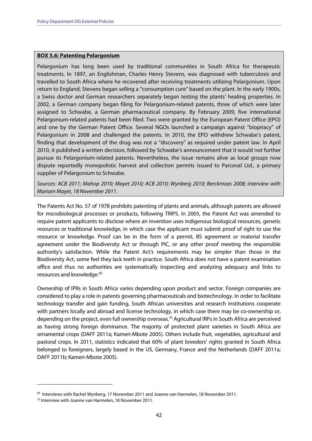#### **BOX 5.6: Patenting Pelargonium**

Pelargonium has long been used by traditional communities in South Africa for therapeutic treatments. In 1897, an Englishman, Charles Henry Stevens, was diagnosed with tuberculosis and travelled to South Africa where he recovered after receiving treatments utilizing Pelargonium. Upon return to England, Stevens began selling a "consumption cure" based on the plant. In the early 1900s, a Swiss doctor and German researchers separately began testing the plants' healing properties. In 2002, a German company began filing for Pelargonium-related patents, three of which were later assigned to Schwabe, a German pharmaceutical company. By February 2009, five international Pelargonium-related patents had been filed. Two were granted by the European Patent Office (EPO) and one by the German Patent Office. Several NGOs launched a campaign against "biopiracy" of Pelargonium in 2008 and challenged the patents. In 2010, the EPO withdrew Schwabe's patent, finding that development of the drug was not a "discovery" as required under patent law. In April 2010, it published a written decision, followed by Schwabe's announcement that it would not further pursue its Pelargonium-related patents. Nevertheless, the issue remains alive as local groups now dispute reportedly monopolistic harvest and collection permits issued to Parceval Ltd., a primary supplier of Pelargonium to Schwabe.

Sources: ACB 2011; Mahop 2010; Mayet 2010; ACB 2010; Wynberg 2010; Berckmoes 2008; interview with Mariam Mayet, 18 November 2011.

The Patents Act No. 57 of 1978 prohibits patenting of plants and animals, although patents are allowed for microbiological processes or products, following TRIPS. In 2005, the Patent Act was amended to require patent applicants to disclose where an invention uses indigenous biological resources, genetic resources or traditional knowledge, in which case the applicant must submit proof of right to use the resource or knowledge. Proof can be in the form of a permit, BS agreement or material transfer agreement under the Biodiversity Act or through PIC, or any other proof meeting the responsible authority's satisfaction. While the Patent Act's requirements may be simpler than those in the Biodiversity Act, some feel they lack teeth in practice. South Africa does not have a patent examination office and thus no authorities are systematically inspecting and analyzing adequacy and links to resources and knowledge.<sup>69</sup>

Ownership of IPRs in South Africa varies depending upon product and sector. Foreign companies are considered to play a role in patents governing pharmaceuticals and biotechnology. In order to facilitate technology transfer and gain funding, South African universities and research institutions cooperate with partners locally and abroad and license technology, in which case there may be co-ownership or, depending on the project, even full ownership overseas.<sup>70</sup> Agricultural IRPs in South Africa are perceived as having strong foreign dominance. The majority of protected plant varieties in South Africa are ornamental crops (DAFF 2011a; Kameri-Mbote 2005). Others include fruit, vegetables, agricultural and pastoral crops. In 2011, statistics indicated that 60% of plant breeders' rights granted in South Africa belonged to foreigners, largely based in the US, Germany, France and the Netherlands (DAFF 2011a; DAFF 2011b; Kameri-Mbote 2005).

<sup>&</sup>lt;sup>69</sup> Interviews with Rachel Wynberg, 17 November 2011 and Joanne van Harmelen, 18 November 2011.<br><sup>70</sup> Interview with Joanne van Harmelen, 18 November 2011.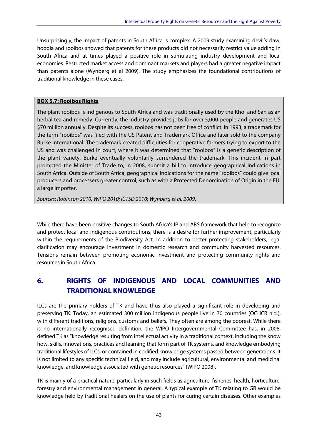Unsurprisingly, the impact of patents in South Africa is complex. A 2009 study examining devil's claw, hoodia and rooibos showed that patents for these products did not necessarily restrict value adding in South Africa and at times played a positive role in stimulating industry development and local economies. Restricted market access and dominant markets and players had a greater negative impact than patents alone (Wynberg et al 2009). The study emphasizes the foundational contributions of traditional knowledge in these cases.

#### **BOX 5.7: Rooibos Rights**

The plant rooibos is indigenous to South Africa and was traditionally used by the Khoi and San as an herbal tea and remedy. Currently, the industry provides jobs for over 5,000 people and generates US \$70 million annually. Despite its success, rooibos has not been free of conflict. In 1993, a trademark for the term "rooibos" was filed with the US Patent and Trademark Office and later sold to the company Burke International. The trademark created difficulties for cooperative farmers trying to export to the US and was challenged in court, where it was determined that "rooibos" is a generic description of the plant variety. Burke eventually voluntarily surrendered the trademark. This incident in part prompted the Minister of Trade to, in 2008, submit a bill to introduce geographical indications in South Africa. Outside of South Africa, geographical indications for the name "rooibos" could give local producers and processers greater control, such as with a Protected Denomination of Origin in the EU, a large importer.

Sources: Robinson 2010; WIPO 2010; ICTSD 2010; Wynberg et al. 2009.

While there have been positive changes to South Africa's IP and ABS framework that help to recognize and protect local and indigenous contributions, there is a desire for further improvement, particularly within the requirements of the Biodiversity Act. In addition to better protecting stakeholders, legal clarification may encourage investment in domestic research and community harvested resources. Tensions remain between promoting economic investment and protecting community rights and resources in South Africa.

## **6. RIGHTS OF INDIGENOUS AND LOCAL COMMUNITIES AND TRADITIONAL KNOWLEDGE**

ILCs are the primary holders of TK and have thus also played a significant role in developing and preserving TK. Today, an estimated 300 million indigenous people live in 70 countries (OCHCR n.d.), with different traditions, religions, customs and beliefs. They often are among the poorest. While there is no internationally recognised definition, the WIPO Intergovernmental Committee has, in 2008, defined TK as "knowledge resulting from intellectual activity in a traditional context, including the know how, skills, innovations, practices and learning that form part of TK systems, and knowledge embodying traditional lifestyles of ILCs, or contained in codified knowledge systems passed between generations. It is not limited to any specific technical field, and may include agricultural, environmental and medicinal knowledge, and knowledge associated with genetic resources" (WIPO 2008).

TK is mainly of a practical nature, particularly in such fields as agriculture, fisheries, health, horticulture, forestry and environmental management in general. A typical example of TK relating to GR would be knowledge held by traditional healers on the use of plants for curing certain diseases. Other examples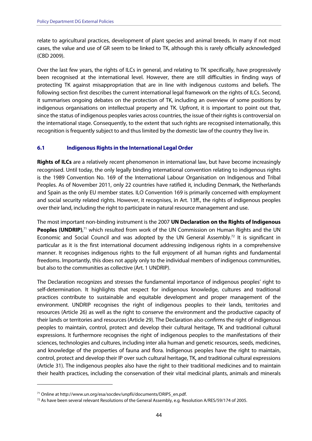relate to agricultural practices, development of plant species and animal breeds. In many if not most cases, the value and use of GR seem to be linked to TK, although this is rarely officially acknowledged (CBD 2009).

Over the last few years, the rights of ILCs in general, and relating to TK specifically, have progressively been recognised at the international level. However, there are still difficulties in finding ways of protecting TK against misappropriation that are in line with indigenous customs and beliefs. The following section first describes the current international legal framework on the rights of ILCs. Second, it summarises ongoing debates on the protection of TK, including an overview of some positions by indigenous organisations on intellectual property and TK. Upfront, it is important to point out that, since the status of indigenous peoples varies across countries, the issue of their rights is controversial on the international stage. Consequently, to the extent that such rights are recognised internationally, this recognition is frequently subject to and thus limited by the domestic law of the country they live in.

#### **6.1 Indigenous Rights in the International Legal Order**

**Rights of ILCs** are a relatively recent phenomenon in international law, but have become increasingly recognised. Until today, the only legally binding international convention relating to indigenous rights is the 1989 Convention No. 169 of the International Labour Organisation on Indigenous and Tribal Peoples. As of November 2011, only 22 countries have ratified it, including Denmark, the Netherlands and Spain as the only EU member states. ILO Convention 169 is primarily concerned with employment and social security related rights. However, it recognises, in Art. 13ff., the rights of indigenous peoples over their land, including the right to participate in natural resource management and use.

The most important non-binding instrument is the 2007 **UN Declaration on the Rights of Indigenous**  Peoples (UNDRIP),<sup>71</sup> which resulted from work of the UN Commission on Human Rights and the UN Economic and Social Council and was adopted by the UN General Assembly.<sup>72</sup> It is significant in particular as it is the first international document addressing indigenous rights in a comprehensive manner. It recognises indigenous rights to the full enjoyment of all human rights and fundamental freedoms. Importantly, this does not apply only to the individual members of indigenous communities, but also to the communities as collective (Art. 1 UNDRIP).

The Declaration recognizes and stresses the fundamental importance of indigenous peoples' right to self-determination. It highlights that respect for indigenous knowledge, cultures and traditional practices contribute to sustainable and equitable development and proper management of the environment. UNDRIP recognises the right of indigenous peoples to their lands, territories and resources (Article 26) as well as the right to conserve the environment and the productive capacity of their lands or territories and resources (Article 29). The Declaration also confirms the right of indigenous peoples to maintain, control, protect and develop their cultural heritage, TK and traditional cultural expressions. It furthermore recognises the right of indigenous peoples to the manifestations of their sciences, technologies and cultures, including inter alia human and genetic resources, seeds, medicines, and knowledge of the properties of fauna and flora. Indigenous peoples have the right to maintain, control, protect and develop their IP over such cultural heritage, TK, and traditional cultural expressions (Article 31). The indigenous peoples also have the right to their traditional medicines and to maintain their health practices, including the conservation of their vital medicinal plants, animals and minerals

<sup>&</sup>lt;sup>71</sup> Online at http://www.un.org/esa/socdev/unpfii/documents/DRIPS\_en.pdf.<br><sup>72</sup> As have been several relevant Resolutions of the General Assembly, e.g. Resolution A/RES/59/174 of 2005.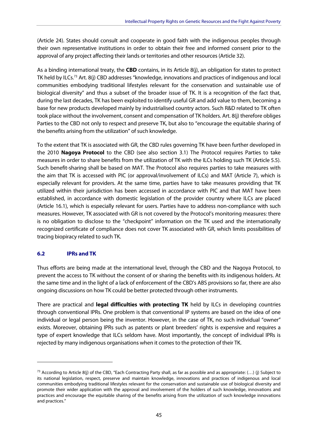(Article 24). States should consult and cooperate in good faith with the indigenous peoples through their own representative institutions in order to obtain their free and informed consent prior to the approval of any project affecting their lands or territories and other resources (Article 32).

As a binding international treaty, the **CBD** contains, in its Article 8(j), an obligation for states to protect TK held by ILCs.73 Art. 8(j) CBD addresses "knowledge, innovations and practices of indigenous and local communities embodying traditional lifestyles relevant for the conservation and sustainable use of biological diversity" and thus a subset of the broader issue of TK. It is a recognition of the fact that, during the last decades, TK has been exploited to identify useful GR and add value to them, becoming a base for new products developed mainly by industrialised country actors. Such R&D related to TK often took place without the involvement, consent and compensation of TK holders. Art. 8(j) therefore obliges Parties to the CBD not only to respect and preserve TK, but also to "encourage the equitable sharing of the benefits arising from the utilization" of such knowledge.

To the extent that TK is associated with GR, the CBD rules governing TK have been further developed in the 2010 **Nagoya Protocol** to the CBD (see also section 3.1) The Protocol requires Parties to take measures in order to share benefits from the utilization of TK with the ILCs holding such TK (Article 5.5). Such benefit-sharing shall be based on MAT. The Protocol also requires parties to take measures with the aim that TK is accessed with PIC (or approval/involvement of ILCs) and MAT (Article 7), which is especially relevant for providers. At the same time, parties have to take measures providing that TK utilized within their jurisdiction has been accessed in accordance with PIC and that MAT have been established, in accordance with domestic legislation of the provider country where ILCs are placed (Article 16.1), which is especially relevant for users. Parties have to address non-compliance with such measures. However, TK associated with GR is not covered by the Protocol's monitoring measures: there is no obligation to disclose to the "checkpoint" information on the TK used and the internationally recognized certificate of compliance does not cover TK associated with GR, which limits possibilities of tracing biopiracy related to such TK.

#### **6.2 IPRs and TK**

-

Thus efforts are being made at the international level, through the CBD and the Nagoya Protocol, to prevent the access to TK without the consent of or sharing the benefits with its indigenous holders. At the same time and in the light of a lack of enforcement of the CBD's ABS provisions so far, there are also ongoing discussions on how TK could be better protected through other instruments.

There are practical and **legal difficulties with protecting TK** held by ILCs in developing countries through conventional IPRs. One problem is that conventional IP systems are based on the idea of one individual or legal person being the inventor. However, in the case of TK, no such individual "owner" exists. Moreover, obtaining IPRs such as patents or plant breeders' rights is expensive and requires a type of expert knowledge that ILCs seldom have. Most importantly, the concept of individual IPRs is rejected by many indigenous organisations when it comes to the protection of their TK.

<sup>&</sup>lt;sup>73</sup> According to Article 8(j) of the CBD, "Each Contracting Party shall, as far as possible and as appropriate:  $(...)$  (j) Subject to its national legislation, respect, preserve and maintain knowledge, innovations and practices of indigenous and local communities embodying traditional lifestyles relevant for the conservation and sustainable use of biological diversity and promote their wider application with the approval and involvement of the holders of such knowledge, innovations and practices and encourage the equitable sharing of the benefits arising from the utilization of such knowledge innovations and practices."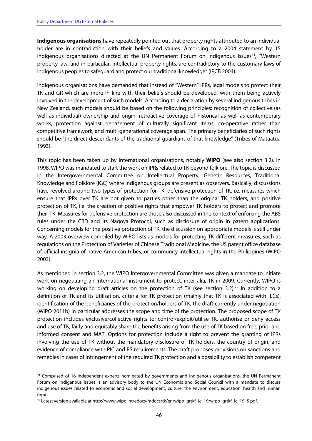-

**Indigenous organisations** have repeatedly pointed out that property rights attributed to an individual holder are in contradiction with their beliefs and values. According to a 2004 statement by 15 indigenous organisations directed at the UN Permanent Forum on Indigenous Issues<sup>74</sup>, "Western property law, and in particular, intellectual property rights, are contradictory to the customary laws of Indigenous peoples to safeguard and protect our traditional knowledge" (IPCB 2004).

Indigenous organisations have demanded that instead of "Western" IPRs, legal models to protect their TK and GR which are more in line with their beliefs should be developed, with them being actively involved in the development of such models. According to a declaration by several indigenous tribes in New Zealand, such models should be based on the following principles: recognition of collective (as well as individual) ownership and origin, retroactive coverage of historical as well as contemporary works, protection against debasement of culturally significant items, co-operative rather than competitive framework, and multi-generational coverage span. The primary beneficiaries of such rights should be "the direct descendants of the traditional guardians of that knowledge" (Tribes of Mataatua 1993).

This topic has been taken up by international organisations, notably **WIPO** (see also section 3.2). In 1998, WIPO was mandated to start the work on IPRs related to TK beyond folklore. The topic is discussed in the Intergovernmental Committee on Intellectual Property, Genetic Resources, Traditional Knowledge and Folklore (IGC) where indigenous groups are present as observers. Basically, discussions have revolved around two types of protection for TK: defensive protection of TK, i.e. measures which ensure that IPRs over TK are not given to parties other than the original TK holders, and positive protection of TK, i.e. the creation of positive rights that empower TK holders to protect and promote their TK. Measures for defensive protection are those also discussed in the context of enforcing the ABS rules under the CBD and its Nagoya Protocol, such as disclosure of origin in patent applications. Concerning models for the positive protection of TK, the discussion on appropriate models is still under way. A 2003 overview compiled by WIPO lists as models for protecting TK different measures, such as regulations on the Protection of Varieties of Chinese Traditional Medicine, the US patent office database of official insignia of native American tribes, or community intellectual rights in the Philippines (WIPO 2003).

As mentioned in section 3.2, the WIPO Intergovernmental Committee was given a mandate to initiate work on negotiating an international instrument to protect, inter alia, TK in 2009. Currently, WIPO is working on developing draft articles on the protection of TK (see section 3.2).<sup>75</sup> In addition to a definition of TK and its utilisation, criteria for TK protection (mainly that TK is associated with ILCs), identification of the beneficiaries of the protection/holders of TK, the draft currently under negotiation (WIPO 2011b) in particular addresses the scope and time of the protection. The proposed scope of TK protection includes exclusive/collective rights to: control/exploit/utilise TK, authorise or deny access and use of TK, fairly and equitably share the benefits arising from the use of TK based on free, prior and informed consent and MAT. Options for protection include a right to prevent the granting of IPRs involving the use of TK without the mandatory disclosure of TK holders, the country of origin, and evidence of compliance with PIC and BS requirements. The draft proposes provisions on sanctions and remedies in cases of infringement of the required TK protection and a possibility to establish competent

 $74$  Comprised of 16 independent experts nominated by governments and indigenous organisations, the UN Permanent Forum on Indigenous Issues is an advisory body to the UN Economic and Social Council with a mandate to discuss indigenous issues related to economic and social development, culture, the environment, education, health and human rights.

<sup>75</sup> Latest version available at http://www.wipo.int/edocs/mdocs/tk/en/wipo\_grtkf\_ic\_19/wipo\_grtkf\_ic\_19\_5.pdf.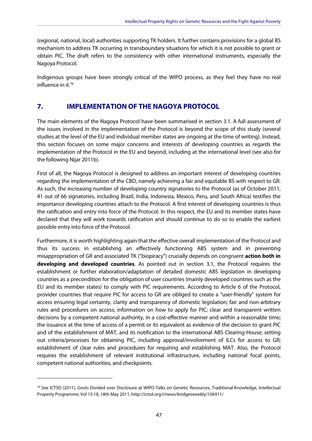(regional, national, local) authorities supporting TK holders. It further contains provisions for a global BS mechanism to address TK occurring in transboundary situations for which it is not possible to grant or obtain PIC. The draft refers to the consistency with other international instruments, especially the Nagoya Protocol.

Indigenous groups have been strongly critical of the WIPO process, as they feel they have no real influence in it.76

## **7. IMPLEMENTATION OF THE NAGOYA PROTOCOL**

The main elements of the Nagoya Protocol have been summarised in section 3.1. A full assessment of the issues involved in the implementation of the Protocol is beyond the scope of this study (several studies at the level of the EU and individual member states are ongoing at the time of writing). Instead, this section focuses on some major concerns and interests of developing countries as regards the implementation of the Protocol in the EU and beyond, including at the international level (see also for the following Nijar 2011b).

First of all, the Nagoya Protocol is designed to address an important interest of developing countries regarding the implementation of the CBD, namely achieving a fair and equitable BS with respect to GR. As such, the increasing number of developing country signatories to the Protocol (as of October 2011, 41 out of 66 signatories, including Brazil, India, Indonesia, Mexico, Peru, and South Africa) testifies the importance developing countries attach to the Protocol. A first interest of developing countries is thus the ratification and entry into force of the Protocol. In this respect, the EU and its member states have declared that they will work towards ratification and should continue to do so to enable the earliest possible entry into force of the Protocol.

Furthermore, it is worth highlighting again that the effective overall implementation of the Protocol and thus its success in establishing an effectively functioning ABS system and in preventing misappropriation of GR and associated TK ("biopiracy") crucially depends on congruent **action both in developing and developed countries**. As pointed out in section 3.1, the Protocol requires the establishment or further elaboration/adaptation of detailed domestic ABS legislation in developing countries as a precondition for the obligation of user countries (mainly developed countries such as the EU and its member states) to comply with PIC requirements. According to Article 6 of the Protocol, provider countries that require PIC for access to GR are obliged to create a "user-friendly" system for access ensuring legal certainty, clarity and transparency of domestic legislation; fair and non-arbitrary rules and procedures on access; information on how to apply for PIC; clear and transparent written decisions by a competent national authority, in a cost-effective manner and within a reasonable time; the issuance at the time of access of a permit or its equivalent as evidence of the decision to grant PIC and of the establishment of MAT, and its notification to the international ABS Clearing-House; setting out criteria/processes for obtaining PIC, including approval/involvement of ILCs for access to GR; establishment of clear rules and procedures for requiring and establishing MAT. Also, the Protocol requires the establishment of relevant institutional infrastructure, including national focal points, competent national authorities, and checkpoints.

<sup>76</sup> See ICTSD (2011), Govts Divided over Disclosure at WIPO Talks on Genetic Resources, Traditional Knowledge, Intellectual Property Programme, Vol 15:18, 18th May 2011, http://ictsd.org/i/news/bridgesweekly/106911/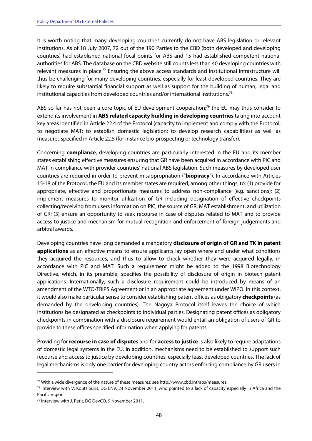It is worth noting that many developing countries currently do not have ABS legislation or relevant institutions. As of 18 July 2007, 72 out of the 190 Parties to the CBD (both developed and developing countries) had established national focal points for ABS and 15 had established competent national authorities for ABS. The database on the CBD website still counts less than 40 developing countries with relevant measures in place.<sup>77</sup> Ensuring the above access standards and institutional infrastructure will thus be challenging for many developing countries, especially for least developed countries. They are likely to require substantial financial support as well as support for the building of human, legal and institutional capacities from developed countries and/or international institutions.78

ABS so far has not been a core topic of EU development cooperation;<sup>79</sup> the EU may thus consider to extend its involvement in **ABS related capacity building in developing countries** taking into account key areas identified in Article 22.4 of the Protocol (capacity to implement and comply with the Protocol; to negotiate MAT; to establish domestic legislation; to develop research capabilities) as well as measures specified in Article 22.5 (for instance bio-prospecting or technology transfer).

Concerning **compliance**, developing countries are particularly interested in the EU and its member states establishing effective measures ensuring that GR have been acquired in accordance with PIC and MAT in compliance with provider countries' national ABS legislation. Such measures by developed user countries are required in order to prevent misappropriation ("**biopiracy**"). In accordance with Articles 15-18 of the Protocol, the EU and its member states are required, among other things, to: (1) provide for appropriate, effective and proportionate measures to address non-compliance (e.g. sanctions); (2) implement measures to monitor utilization of GR including designation of effective checkpoints collecting/receiving from users information on PIC, the source of GR, MAT establishment, and utilization of GR; (3) ensure an opportunity to seek recourse in case of disputes related to MAT and to provide access to justice and mechanism for mutual recognition and enforcement of foreign judgements and arbitral awards.

Developing countries have long demanded a mandatory **disclosure of origin of GR and TK in patent applications** as an effective means to ensure applicants lay open where and under what conditions they acquired the resources, and thus to allow to check whether they were acquired legally, in accordance with PIC and MAT. Such a requirement might be added to the 1998 Biotechnology Directive, which, in its preamble, specifies the possibility of disclosure of origin in biotech patent applications. Internationally, such a disclosure requirement could be introduced by means of an amendment of the WTO-TRIPS Agreement or in an appropriate agreement under WIPO. In this context, it would also make particular sense to consider establishing patent offices as obligatory **checkpoints** (as demanded by the developing countries). The Nagoya Protocol itself leaves the choice of which institutions be designated as checkpoints to individual parties. Designating patent offices as obligatory checkpoints in combination with a disclosure requirement would entail an obligation of users of GR to provide to these offices specified information when applying for patents.

Providing for **recourse in case of disputes** and for **access to justice** is also likely to require adaptations of domestic legal systems in the EU. In addition, mechanisms need to be established to support such recourse and access to justice by developing countries, especially least developed countries. The lack of legal mechanisms is only one barrier for developing country actors enforcing compliance by GR users in

<sup>&</sup>lt;sup>77</sup> With a wide divergence of the nature of these measures; see http://www.cbd.int/abs/measures.<br><sup>78</sup> Interview with V. Koutsiouris, DG ENV, 24 November 2011, who pointed to a lack of capacity especially in Africa and th Pacific region.

<sup>79</sup> Interview with J. Petit, DG DevCO, 9 November 2011.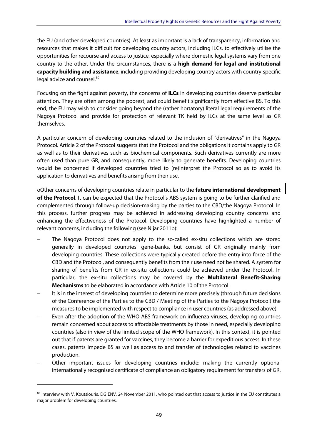the EU (and other developed countries). At least as important is a lack of transparency, information and resources that makes it difficult for developing country actors, including ILCs, to effectively utilise the opportunities for recourse and access to justice, especially where domestic legal systems vary from one country to the other. Under the circumstances, there is a **high demand for legal and institutional capacity building and assistance**, including providing developing country actors with country-specific legal advice and counsel.<sup>80</sup>

Focusing on the fight against poverty, the concerns of **ILCs** in developing countries deserve particular attention. They are often among the poorest, and could benefit significantly from effective BS. To this end, the EU may wish to consider going beyond the (rather hortatory) literal legal requirements of the Nagoya Protocol and provide for protection of relevant TK held by ILCs at the same level as GR themselves.

A particular concern of developing countries related to the inclusion of "derivatives" in the Nagoya Protocol. Article 2 of the Protocol suggests that the Protocol and the obligations it contains apply to GR as well as to their derivatives such as biochemical components. Such derivatives currently are more often used than pure GR, and consequently, more likely to generate benefits. Developing countries would be concerned if developed countries tried to (re)interpret the Protocol so as to avoid its application to derivatives and benefits arising from their use.

oOther concerns of developing countries relate in particular to the **future international development of the Protocol**. It can be expected that the Protocol's ABS system is going to be further clarified and complemented through follow-up decision-making by the parties to the CBD/the Nagoya Protocol. In this process, further progress may be achieved in addressing developing country concerns and enhancing the effectiveness of the Protocol. Developing countries have highlighted a number of relevant concerns, including the following (see Nijar 2011b):

- The Nagoya Protocol does not apply to the so-called ex-situ collections which are stored generally in developed countries' gene-banks, but consist of GR originally mainly from developing countries. These collections were typically created before the entry into force of the CBD and the Protocol, and consequently benefits from their use need not be shared. A system for sharing of benefits from GR in ex-situ collections could be achieved under the Protocol. In particular, the ex-situ collections may be covered by the **Multilateral Benefit-Sharing Mechanisms** to be elaborated in accordance with Article 10 of the Protocol.
- It is in the interest of developing countries to determine more precisely (through future decisions of the Conference of the Parties to the CBD / Meeting of the Parties to the Nagoya Protocol) the measures to be implemented with respect to compliance in user countries (as addressed above).
- Even after the adoption of the WHO ABS framework on influenza viruses, developing countries remain concerned about access to affordable treatments by those in need, especially developing countries (also in view of the limited scope of the WHO framework). In this context, it is pointed out that if patents are granted for vaccines, they become a barrier for expeditious access. In these cases, patents impede BS as well as access to and transfer of technologies related to vaccines production.
- Other important issues for developing countries include: making the currently optional internationally recognised certificate of compliance an obligatory requirement for transfers of GR,

<sup>80</sup> Interview with V. Koutsiouris, DG ENV, 24 November 2011, who pointed out that access to justice in the EU constitutes a major problem for developing countries.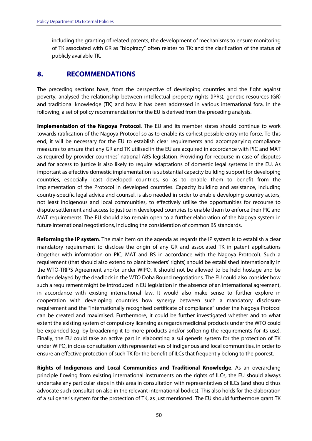including the granting of related patents; the development of mechanisms to ensure monitoring of TK associated with GR as "biopiracy" often relates to TK; and the clarification of the status of publicly available TK.

## **8. RECOMMENDATIONS**

The preceding sections have, from the perspective of developing countries and the fight against poverty, analysed the relationship between intellectual property rights (IPRs), genetic resources (GR) and traditional knowledge (TK) and how it has been addressed in various international fora. In the following, a set of policy recommendation for the EU is derived from the preceding analysis.

**Implementation of the Nagoya Protocol**. The EU and its member states should continue to work towards ratification of the Nagoya Protocol so as to enable its earliest possible entry into force. To this end, it will be necessary for the EU to establish clear requirements and accompanying compliance measures to ensure that any GR and TK utilised in the EU are acquired in accordance with PIC and MAT as required by provider countries' national ABS legislation. Providing for recourse in case of disputes and for access to justice is also likely to require adaptations of domestic legal systems in the EU. As important as effective domestic implementation is substantial capacity building support for developing countries, especially least developed countries, so as to enable them to benefit from the implementation of the Protocol in developed countries. Capacity building and assistance, including country-specific legal advice and counsel, is also needed in order to enable developing country actors, not least indigenous and local communities, to effectively utilise the opportunities for recourse to dispute settlement and access to justice in developed countries to enable them to enforce their PIC and MAT requirements. The EU should also remain open to a further elaboration of the Nagoya system in future international negotiations, including the consideration of common BS standards.

**Reforming the IP system**. The main item on the agenda as regards the IP system is to establish a clear mandatory requirement to disclose the origin of any GR and associated TK in patent applications (together with information on PIC, MAT and BS in accordance with the Nagoya Protocol). Such a requirement (that should also extend to plant breeders' rights) should be established internationally in the WTO-TRIPS Agreement and/or under WIPO. It should not be allowed to be held hostage and be further delayed by the deadlock in the WTO Doha Round negotiations. The EU could also consider how such a requirement might be introduced in EU legislation in the absence of an international agreement, in accordance with existing international law. It would also make sense to further explore in cooperation with developing countries how synergy between such a mandatory disclosure requirement and the "internationally recognised certificate of compliance" under the Nagoya Protocol can be created and maximised. Furthermore, it could be further investigated whether and to what extent the existing system of compulsory licensing as regards medicinal products under the WTO could be expanded (e.g. by broadening it to more products and/or softening the requirements for its use). Finally, the EU could take an active part in elaborating a sui generis system for the protection of TK under WIPO, in close consultation with representatives of indigenous and local communities, in order to ensure an effective protection of such TK for the benefit of ILCs that frequently belong to the poorest.

**Rights of Indigenous and Local Communities and Traditional Knowledge**. As an overarching principle flowing from existing international instruments on the rights of ILCs, the EU should always undertake any particular steps in this area in consultation with representatives of ILCs (and should thus advocate such consultation also in the relevant international bodies). This also holds for the elaboration of a sui generis system for the protection of TK, as just mentioned. The EU should furthermore grant TK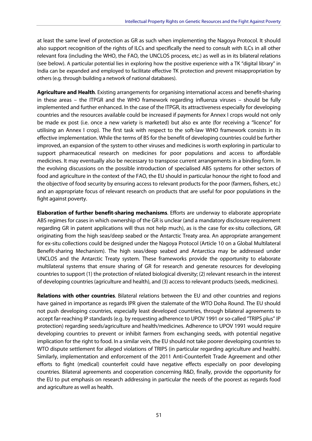at least the same level of protection as GR as such when implementing the Nagoya Protocol. It should also support recognition of the rights of ILCs and specifically the need to consult with ILCs in all other relevant fora (including the WHO, the FAO, the UNCLOS process, etc.) as well as in its bilateral relations (see below). A particular potential lies in exploring how the positive experience with a TK "digital library" in India can be expanded and employed to facilitate effective TK protection and prevent misappropriation by others (e.g. through building a network of national databases).

**Agriculture and Health**. Existing arrangements for organising international access and benefit-sharing in these areas – the ITPGR and the WHO framework regarding influenza viruses – should be fully implemented and further enhanced. In the case of the ITPGR, its attractiveness especially for developing countries and the resources available could be increased if payments for Annex I crops would not only be made ex post (i.e. once a new variety is marketed) but also ex ante (for receiving a "licence" for utilising an Annex I crop). The first task with respect to the soft-law WHO framework consists in its effective implementation. While the terms of BS for the benefit of developing countries could be further improved, an expansion of the system to other viruses and medicines is worth exploring in particular to support pharmaceutical research on medicines for poor populations and access to affordable medicines. It may eventually also be necessary to transpose current arrangements in a binding form. In the evolving discussions on the possible introduction of specialised ABS systems for other sectors of food and agriculture in the context of the FAO, the EU should in particular honour the right to food and the objective of food security by ensuring access to relevant products for the poor (farmers, fishers, etc.) and an appropriate focus of relevant research on products that are useful for poor populations in the fight against poverty.

**Elaboration of further benefit-sharing mechanisms**. Efforts are underway to elaborate appropriate ABS regimes for cases in which ownership of the GR is unclear (and a mandatory disclosure requirement regarding GR in patent applications will thus not help much), as is the case for ex-situ collections, GR originating from the high seas/deep seabed or the Antarctic Treaty area. An appropriate arrangement for ex-situ collections could be designed under the Nagoya Protocol (Article 10 on a Global Multilateral Benefit-sharing Mechanism). The high seas/deep seabed and Antarctica may be addressed under UNCLOS and the Antarctic Treaty system. These frameworks provide the opportunity to elaborate multilateral systems that ensure sharing of GR for research and generate resources for developing countries to support (1) the protection of related biological diversity; (2) relevant research in the interest of developing countries (agriculture and health), and (3) access to relevant products (seeds, medicines).

**Relations with other countries**. Bilateral relations between the EU and other countries and regions have gained in importance as regards IPR given the stalemate of the WTO Doha Round. The EU should not push developing countries, especially least developed countries, through bilateral agreements to accept far-reaching IP standards (e.g. by requesting adherence to UPOV 1991 or so-called "TRIPS plus" IP protection) regarding seeds/agriculture and health/medicines. Adherence to UPOV 1991 would require developing countries to prevent or inhibit farmers from exchanging seeds, with potential negative implication for the right to food. In a similar vein, the EU should not take poorer developing countries to WTO dispute settlement for alleged violations of TRIPS (in particular regarding agriculture and health). Similarly, implementation and enforcement of the 2011 Anti-Counterfeit Trade Agreement and other efforts to fight (medical) counterfeit could have negative effects especially on poor developing countries. Bilateral agreements and cooperation concerning R&D, finally, provide the opportunity for the EU to put emphasis on research addressing in particular the needs of the poorest as regards food and agriculture as well as health.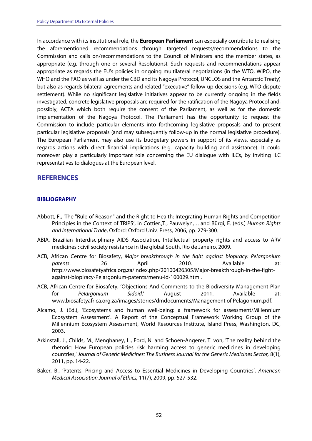In accordance with its institutional role, the **European Parliament** can especially contribute to realising the aforementioned recommendations through targeted requests/recommendations to the Commission and calls on/recommendations to the Council of Ministers and the member states, as appropriate (e.g. through one or several Resolutions). Such requests and recommendations appear appropriate as regards the EU's policies in ongoing multilateral negotiations (in the WTO, WIPO, the WHO and the FAO as well as under the CBD and its Nagoya Protocol, UNCLOS and the Antarctic Treaty) but also as regards bilateral agreements and related "executive" follow-up decisions (e.g. WTO dispute settlement). While no significant legislative initiatives appear to be currently ongoing in the fields investigated, concrete legislative proposals are required for the ratification of the Nagoya Protocol and, possibly, ACTA which both require the consent of the Parliament, as well as for the domestic implementation of the Nagoya Protocol. The Parliament has the opportunity to request the Commission to include particular elements into forthcoming legislative proposals and to present particular legislative proposals (and may subsequently follow-up in the normal legislative procedure). The European Parliament may also use its budgetary powers in support of its views, especially as regards actions with direct financial implications (e.g. capacity building and assistance). It could moreover play a particularly important role concerning the EU dialogue with ILCs, by inviting ILC representatives to dialogues at the European level.

#### **REFERENCES**

#### **BIBLIOGRAPHY**

- Abbott, F., 'The "Rule of Reason" and the Right to Health: Integrating Human Rights and Competition Principles in the Context of TRIPS', in Cottier.,T., Pauwelyn, J. and Bürgi, E. (eds.) Human Rights and International Trade, Oxford: Oxford Univ. Press, 2006, pp. 279-300.
- ABIA, Brazilian Interdisciplinary AIDS Association, Intellectual property rights and access to ARV medicines : civil society resistance in the global South, Rio de Janeiro, 2009.
- ACB, African Centre for Biosafety, Major breakthrough in the fight against biopiracy: Pelargonium patents. 26 April 2010. Available at: http://www.biosafetyafrica.org.za/index.php/20100426305/Major-breakthrough-in-the-fightagainst-biopiracy-Pelargonium-patents/menu-id-100029.html.
- ACB, African Centre for Biosafety, 'Objections And Comments to the Biodiversity Management Plan for Pelargonium Sidoid.' August 2011. Available at: www.biosafetyafrica.org.za/images/stories/dmdocuments/Management of Pelagonium.pdf.
- Alcamo, J. (Ed.), 'Ecosystems and human well-being: a framework for assessment/Millennium Ecosystem Assessment'. A Report of the Conceptual Framework Working Group of the Millennium Ecosystem Assessment, World Resources Institute, Island Press, Washington, DC, 2003.
- Arkinstall, J., Childs, M., Menghaney, L., Ford, N. and Schoen-Angerer, T. von, 'The reality behind the rhetoric: How European policies risk harming access to generic medicines in developing countries,' Journal of Generic Medicines: The Business Journal for the Generic Medicines Sector, 8(1), 2011, pp. 14-22.
- Baker, B., 'Patents, Pricing and Access to Essential Medicines in Developing Countries', American Medical Association Journal of Ethics, 11(7), 2009, pp. 527-532.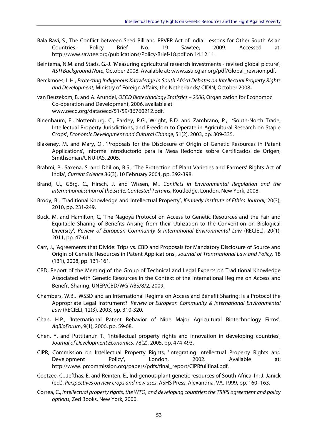- Bala Ravi, S., The Conflict between Seed Bill and PPVFR Act of India. Lessons for Other South Asian Countries. Policy Brief No. 19 Sawtee, 2009. Accessed at: http://www.sawtee.org/publications/Policy-Brief-18.pdf on 14.12.11.
- Beintema, N.M. and Stads, G.-J. 'Measuring agricultural research investments revised global picture', ASTI Background Note, October 2008. Available at: www.asti.cgiar.org/pdf/Global\_revision.pdf.
- Berckmoes, L.H., Protecting Indigenous Knowledge in South Africa Debates on Intellectual Property Rights and Development, Ministry of Foreign Affairs, the Netherlands/ CIDIN, October 2008**.**
- van Beuzekom, B. and A. Arundel, OECD Biotechnology Statistics 2006, Organization for Economoc Co-operation and Development, 2006, available at www.oecd.org/dataoecd/51/59/36760212.pdf.
- Binenbaum, E., Nottenburg, C., Pardey, P.G., Wright, B.D. and Zambrano, P., 'South-North Trade, Intellectual Property Jurisdictions, and Freedom to Operate in Agricultural Research on Staple Crops', Economic Development and Cultural Change, 51(2), 2003, pp. 309-335.
- Blakeney, M. and Mary, Q., 'Proposals for the Disclosure of Origin of Genetic Resources in Patent Applications', Informe introductorio para la Mesa Redonda sobre Certificados de Origen, Smithsonian/UNU-IAS, 2005.
- Brahmi, P., Saxena, S. and Dhillon, B.S., 'The Protection of Plant Varieties and Farmers' Rights Act of India', Current Science 86(3), 10 February 2004, pp. 392-398.
- Brand, U., Görg, C., Hirsch, J. and Wissen, M., Conflicts in Environmental Regulation and the Internationalisation of the State. Contested Terrains, Routledge, London, New York, 2008.
- Brody, B., 'Traditional Knowledge and Intellectual Property', Kennedy Institute of Ethics Journal, 20(3), 2010, pp. 231-249.
- Buck, M. and Hamilton, C, 'The Nagoya Protocol on Access to Genetic Resources and the Fair and Equitable Sharing of Benefits Arising from their Utilization to the Convention on Biological Diversity', Review of European Community & International Environmental Law (RECIEL), 20(1), 2011, pp. 47-61.
- Carr, J., 'Agreements that Divide: Trips vs. CBD and Proposals for Mandatory Disclosure of Source and Origin of Genetic Resources in Patent Applications', Journal of Transnational Law and Policy, 18 (131), 2008, pp. 131-161.
- CBD, Report of the Meeting of the Group of Technical and Legal Experts on Traditional Knowledge Associated with Genetic Resources in the Context of the International Regime on Access and Benefit-Sharing, UNEP/CBD/WG-ABS/8/2, 2009.
- Chambers, W.B., 'WSSD and an International Regime on Access and Benefit Sharing: Is a Protocol the Appropriate Legal Instrument?' Review of European Community & International Environmental Law (RECIEL), 12(3), 2003, pp. 310-320.
- Chan, H.P., 'International Patent Behavior of Nine Major Agricultural Biotechnology Firms', AgBioForum, 9(1), 2006, pp. 59-68.
- Chen, Y. and Puttitanun T., 'Intellectual property rights and innovation in developing countries', Journal of Development Economics, 78(2), 2005, pp. 474-493.
- CIPR, Commission on Intellectual Property Rights, 'Integrating Intellectual Property Rights and Development Policy', London, 2002. Available at: http://www.iprcommission.org/papers/pdfs/final\_report/CIPRfullfinal.pdf.
- Coetzee, C., Jefthas, E. and Reinten, E., Indigenous plant genetic resources of South Africa. In: J. Janick (ed.), Perspectives on new crops and new uses. ASHS Press, Alexandria, VA, 1999, pp. 160–163.
- Correa, C., Intellectual property rights, the WTO, and developing countries: the TRIPS agreement and policy options, Zed Books, New York, 2000.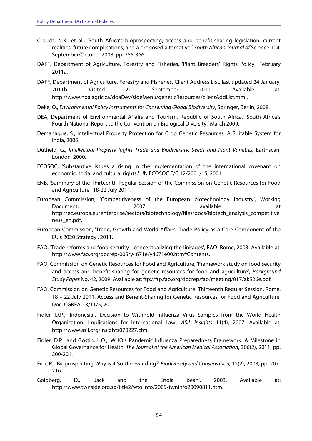- Crouch, N.R., et al., 'South Africa's bioprospecting, access and benefit-sharing legislation: current realities, future complications, and a proposed alternative.' South African Journal of Science 104, September/October 2008. pp. 355-366.
- DAFF, Department of Agriculture, Forestry and Fisheries, 'Plant Breeders' Rights Policy,' February 2011a.
- DAFF, Department of Agriculture, Forestry and Fisheries, Client Address List, last updated 24 January, 2011b. Visited 21 September 2011. Available at: http://www.nda.agric.za/doaDev/sideMenu/geneticResources/clientAddList.html.
- Deke, O., Environmental Policy Instruments for Conserving Global Biodiversity, Springer, Berlin, 2008.
- DEA, Department of Environmental Affairs and Tourism, Republic of South Africa, 'South Africa's Fourth National Report to the Convention on Biological Diversity.' March 2009.
- Demanague, S., Intellectual Property Protection for Crop Genetic Resources: A Suitable System for India, 2005.
- Dutfield, G., Intellectual Property Rights Trade and Biodiversity: Seeds and Plant Varieties, Earthscan, London, 2000.
- ECOSOC, 'Substantive issues a rising in the implementation of the international covenant on economic, social and cultural rights,' UN ECOSOC E/C.12/2001/15, 2001.
- ENB, 'Summary of the Thirteenth Regular Session of the Commission on Genetic Resources for Food and Agriculture', 18-22 July 2011.
- European Commission, 'Competitiveness of the European biotechnology industry', Working Document, 2007 available at a structure at the set of the set of the set of the set of the set of the set of t http://ec.europa.eu/enterprise/sectors/biotechnology/files/docs/biotech\_analysis\_competitive ness\_en.pdf.
- European Commission, 'Trade, Growth and World Affairs. Trade Policy as a Core Component of the EU's 2020 Strategy', 2011.
- FAO, 'Trade reforms and food security conceptualizing the linkages', FAO: Rome, 2003. Available at: http://www.fao.org/docrep/005/y4671e/y4671e00.htm#Contents.
- FAO, Commission on Genetic Resources for Food and Agriculture, 'Framework study on food security and access and benefit-sharing for genetic resources for food and agriculture', Background Study Paper No. 42, 2009. Available at: ftp://ftp.fao.org/docrep/fao/meeting/017/ak526e.pdf.
- FAO, Commission on Genetic Resources for Food and Agriculture. Thirteenth Regular Session. Rome, 18 – 22 July 2011. Access and Benefit-Sharing for Genetic Resources for Food and Agriculture, Doc. CGRFA-13/11/5, 2011.
- Fidler, D.P., 'Indonesia's Decision to Withhold Influenza Virus Samples from the World Health Organization: Implications for International Law', ASIL Insights 11(4), 2007. Available at: http://www.asil.org/insights070227.cfm.
- Fidler, D.P., and Gostin, L.O., 'WHO's Pandemic Influenza Preparedness Framework: A Milestone in Global Governance for Health' The Journal of the American Medical Association, 306(2), 2011, pp. 200-201.
- Firn, R., 'Bioprospecting-Why is it So Unrewarding?' Biodiversity and Conservation, 12(2), 2003, pp. 207- 216.
- Goldberg, D., 'Jack and the Enola bean', 2003. Available at: http://www.twnside.org.sg/title2/wto.info/2009/twninfo20090811.htm.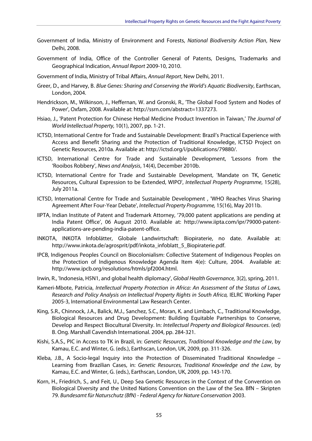- Government of India, Ministry of Environment and Forests, National Biodiversity Action Plan, New Delhi, 2008.
- Government of India, Office of the Controller General of Patents, Designs, Trademarks and Geographical Indication, Annual Report 2009-10, 2010.
- Government of India, Ministry of Tribal Affairs, Annual Report, New Delhi, 2011.
- Greer, D., and Harvey, B. Blue Genes: Sharing and Conserving the World's Aquatic Biodiversity, Earthscan, London, 2004.
- Hendrickson, M., Wilkinson, J., Heffernan, W. and Gronski, R., 'The Global Food System and Nodes of Power', Oxfam, 2008. Available at: http://ssrn.com/abstract=1337273.
- Hsiao, J., 'Patent Protection for Chinese Herbal Medicine Product Invention in Taiwan,' The Journal of World Intellectual Property, 10(1), 2007, pp. 1-21.
- ICTSD, International Centre for Trade and Sustainable Development: Brazil's Practical Experience with Access and Benefit Sharing and the Protection of Traditional Knowledge, ICTSD Project on Genetic Resources, 2010a. Available at: http://ictsd.org/i/publications/79880/.
- ICTSD, International Centre for Trade and Sustainable Development, 'Lessons from the 'Rooibos Robbery', News and Analysis, 14(4), December 2010b.
- ICTSD, International Centre for Trade and Sustainable Development, 'Mandate on TK, Genetic Resources, Cultural Expression to be Extended, WIPO', Intellectual Property Programme, 15(28), July 2011a.
- ICTSD, International Centre for Trade and Sustainable Development , 'WHO Reaches Virus Sharing Agreement After Four-Year Debate', Intellectual Property Programme, 15(16), May 2011b.
- IIPTA, Indian Institute of Patent and Trademark Attorney, '79,000 patent applications are pending at India Patent Office', 06 August 2010. Available at: http://www.iipta.com/ipr/79000-patentapplications-are-pending-india-patent-office.
- INKOTA, INKOTA Infoblätter, Globale Landwirtschaft: Biopiraterie, no date. Available at: http://www.inkota.de/agrosprit/pdf/inkota\_infoblatt\_5\_Biopiraterie.pdf.
- IPCB, Indigenous Peoples Council on Biocolonialism: Collective Statement of Indigenous Peoples on the Protection of Indigenous Knowledge Agenda Item 4(e): Culture, 2004. Available at: http://www.ipcb.org/resolutions/htmls/pf2004.html.
- Irwin, R., 'Indonesia, H5N1, and global health diplomacy', Global Health Governance, 3(2), spring, 2011.
- Kameri-Mbote, Patricia, Intellectual Property Protection in Africa: An Assessment of the Status of Laws, Research and Policy Analysis on Intellectual Property Rights in South Africa, IELRC Working Paper 2005-3, International Environmental Law Research Center.
- King, S.R., Chinnock, J.A., Balick, M.J., Sanchez, S.C., Moran, K. and Limbach, C., Traditional Knowledge, Biological Resources and Drug Development: Building Equitable Partnerships to Conserve, Develop and Respect Biocultural Diversity. In: Intellectual Property and Biological Resources. (ed) B. Ong. Marshall Cavendish International. 2004, pp. 284-321.
- Kishi, S.A.S., PIC in Access to TK in Brazil, in: Genetic Resources, Traditional Knowledge and the Law, by Kamau, E.C. and Winter, G. (eds.), Earthscan, London, UK, 2009, pp. 311-326.
- Kleba, J.B., A Socio-legal Inquiry into the Protection of Disseminated Traditional Knowledge Learning from Brazilian Cases, in: Genetic Resources, Traditional Knowledge and the Law, by Kamau, E.C. and Winter, G. (eds.), Earthscan, London, UK, 2009, pp. 143-170.
- Korn, H., Friedrich, S., and Feit, U., Deep Sea Genetic Resources in the Context of the Convention on Biological Diversity and the United Nations Convention on the Law of the Sea. BfN – Skripten 79. Bundesamt für Naturschutz (BfN) - Federal Agency for Nature Conservation 2003.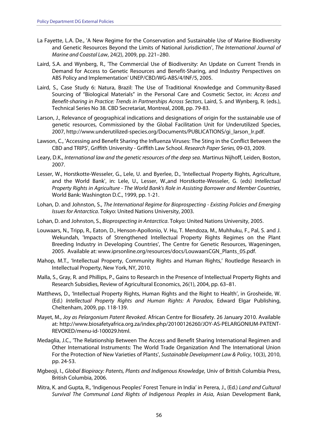- La Fayette, L.A. De., 'A New Regime for the Conservation and Sustainable Use of Marine Biodiversity and Genetic Resources Beyond the Limits of National Jurisdiction', The International Journal of Marine and Coastal Law, 24(2), 2009, pp. 221–280.
- Laird, S.A. and Wynberg, R., 'The Commercial Use of Biodiversity: An Update on Current Trends in Demand for Access to Genetic Resources and Benefit-Sharing, and Industry Perspectives on ABS Policy and Implementation' UNEP/CBD/WG-ABS/4/INF/5, 2005.
- Laird, S., Case Study 6: Natura, Brazil: The Use of Traditional Knowledge and Community-Based Sourcing of "Biological Materials" in the Personal Care and Cosmetic Sector, in: Access and Benefit-sharing in Practice: Trends in Partnerships Across Sectors, Laird, S. and Wynberg, R. (eds.), Technical Series No 38. CBD Secretariat, Montreal, 2008, pp. 79-83.
- Larson, J., Relevance of geographical indications and designations of origin for the sustainable use of genetic resources, Commissioned by the Global Facilitation Unit for Underutilized Species, 2007, http://www.underutilized-species.org/Documents/PUBLICATIONS/gi\_larson\_lr.pdf.
- Lawson, C., 'Accessing and Benefit Sharing the Influenza Viruses: The Sting in the Conflict Between the CBD and TRIPS', Griffith University - Griffith Law School. Research Paper Series, 09-03, 2009.
- Leary, D.K., International law and the genetic resources of the deep sea. Martinus Nijhoff, Leiden, Boston, 2007.
- Lesser, W., Horstkotte-Wesseler, G., Lele, U. and Byerlee, D., 'Intellectual Property Rights, Agriculture, and the World Bank', in: Lele, U., Lesser, W.,and Horstkotte-Wesseler, G. (eds) Intellectual Property Rights in Agriculture - The World Bank's Role in Assisting Borrower and Member Countries, World Bank: Washington D.C., 1999, pp. 1-21.
- Lohan, D. and Johnston, S., The International Regime for Bioprospecting Existing Policies and Emerging Issues for Antarctica. Tokyo: United Nations University, 2003.
- Lohan, D. and Johnston, S., Bioprospecting in Antarctica. Tokyo: United Nations University, 2005.
- Louwaars, N., Tripp, R., Eaton, D., Henson-Apollonio, V. Hu, T. Mendoza, M., Muhhuku, F., Pal, S. and J. Wekundah, 'Impacts of Strengthened Intellectual Property Rights Regimes on the Plant Breeding Industry in Developing Countries', The Centre for Genetic Resources, Wageningen, 2005. Available at: www.iprsonline.org/resources/docs/LouwaarsCGN\_Plants\_05.pdf.
- Mahop, M.T., 'Intellectual Property, Community Rights and Human Rights,' Routledge Research in Intellectual Property, New York, NY, 2010.
- Malla, S., Gray, R. and Phillips, P., Gains to Research in the Presence of Intellectual Property Rights and Research Subsidies, Review of Agricultural Economics, 26(1), 2004, pp. 63–81.
- Matthews, D., 'Intellectual Property Rights, Human Rights and the Right to Health', in Grosheide, W. (Ed.) Intellectual Property Rights and Human Rights: A Paradox, Edward Elgar Publishing, Cheltenham, 2009, pp. 118-139.
- Mayet, M., Joy as Pelargonium Patent Revoked. African Centre for Biosafety. 26 January 2010. Available at: http://www.biosafetyafrica.org.za/index.php/20100126260/JOY-AS-PELARGONIUM-PATENT-REVOKED/menu-id-100029.html.
- Medaglia, J.C., 'The Relationship Between The Access and Benefit Sharing International Regimen and Other International Instruments: The World Trade Organization And The International Union For the Protection of New Varieties of Plants', Sustainable Development Law & Policy, 10(3), 2010, pp. 24-53.
- Mgbeoji, I., Global Biopiracy: Patents, Plants and Indigenous Knowledge, Univ of British Columbia Press, British Columbia, 2006.
- Mitra, K. and Gupta, R., 'Indigenous Peoples' Forest Tenure in India' in Perera, J., (Ed.) Land and Cultural Survival The Communal Land Rights of Indigenous Peoples in Asia, Asian Development Bank,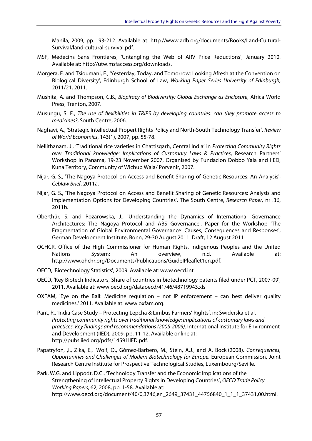Manila, 2009, pp. 193-212. Available at: http://www.adb.org/documents/Books/Land-Cultural-Survival/land-cultural-survival.pdf.

- MSF, Médecins Sans Frontières, 'Untangling the Web of ARV Price Reductions', January 2010. Available at: http://utw.msfaccess.org/downloads.
- Morgera, E. and Tsioumani, E., 'Yesterday, Today, and Tomorrow: Looking Afresh at the Convention on Biological Diversity', Edinburgh School of Law, Working Paper Series University of Edinburgh, 2011/21, 2011.
- Mushita, A. and Thompson, C.B., Biopiracy of Biodiversity: Global Exchange as Enclosure, Africa World Press, Trenton, 2007.
- Musungu, S. F., The use of flexibilities in TRIPS by developing countries: can they promote access to medicines?, South Centre, 2006.
- Naghavi, A., 'Strategic Intellectual Propert Rights Policy and North-South Technology Transfer', Review of World Economics, 143(1), 2007, pp. 55-78.
- Nellithanam, J., 'Traditional rice varieties in Chattisgarh, Central India' in Protecting Community Rights over Traditional knowledge: Implications of Customary Laws & Practices, Research Partners' Workshop in Panama, 19-23 November 2007, Organised by Fundacion Dobbo Yala and IIED, Kuna Territory, Community of Wichub Wala/ Porvenir, 2007.
- Nijar, G. S., 'The Nagoya Protocol on Access and Benefit Sharing of Genetic Resources: An Analysis', Ceblaw Brief, 2011a.
- Nijar, G. S., 'The Nagoya Protocol on Access and Benefit Sharing of Genetic Resources: Analysis and Implementation Options for Developing Countries', The South Centre, Research Paper, nr .36, 2011b.
- Oberthür, S. and Pożarowska, J., 'Understanding the Dynamics of International Governance Architectures: The Nagoya Protocol and ABS Governance'. Paper for the Workshop 'The Fragmentation of Global Environmental Governance: Causes, Consequences and Responses', German Development Institute, Bonn, 29-30 August 2011. Draft, 12 August 2011.
- OCHCR, Office of the High Commissioner for Human Rights, Indigenous Peoples and the United Nations System: An overview, n.d. Available at: http://www.ohchr.org/Documents/Publications/GuideIPleaflet1en.pdf.
- OECD, 'Biotechnology Statistics', 2009. Available at: www.oecd.int.
- OECD, 'Key Biotech Indicators, Share of countries in biotechnology patents filed under PCT, 2007-09', 2011. Available at: www.oecd.org/dataoecd/41/46/48719943.xls
- OXFAM, 'Eye on the Ball: Medicine regulation not IP enforcement can best deliver quality medicines,' 2011. Available at: www.oxfam.org.
- Pant, R., 'India Case Study Protecting Lepcha & Limbus Farmers' Rights', in: Swiderska et al. Protecting community rights over traditional knowledge: Implications of customary laws and practices. Key findings and recommendations (2005-2009). International Institute for Environment and Development (IIED), 2009, pp. 11-12. Available online at: http://pubs.iied.org/pdfs/14591IIED.pdf.
- Papatryfon, , I., Zika, E., Wolf, O., Gómez-Barbero, M., Stein, A.J., and A. Bock (2008). Consequences, Opportunities and Challenges of Modern Biotechnology for Europe. European Commission, Joint Research Centre Institute for Prospective Technological Studies, Luxembourg/Seville.
- Park, W.G. and Lippodt, D.C., 'Technology Transfer and the Economic Implications of the Strengthening of Intellectual Property Rights in Developing Countries', OECD Trade Policy Working Papers, 62, 2008, pp. 1-58. Available at: http://www.oecd.org/document/40/0,3746,en\_2649\_37431\_44756840\_1\_1\_1\_37431,00.html.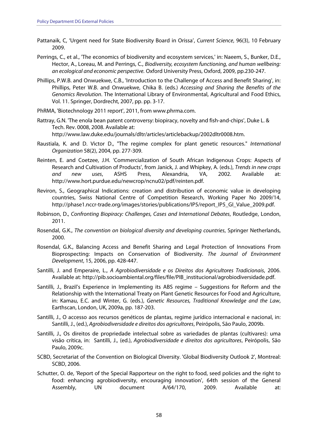- Pattanaik, C, 'Urgent need for State Biodiversity Board in Orissa', Current Science, 96(3), 10 February 2009.
- Perrings, C., et al., 'The economics of biodiversity and ecosystem services,' in: Naeem, S., Bunker, D.E., Hector, A., Loreau, M. and Perrings, C., Biodiversity, ecosystem functioning, and human wellbeing: an ecological and economic perspective. Oxford University Press, Oxford, 2009, pp.230-247.
- Phillips, P.W.B. and Onwuekwe, C.B., 'Introduction to the Challenge of Access and Benefit Sharing', in: Phillips, Peter W.B. and Onwuekwe, Chika B. (eds.) Accessing and Sharing the Benefits of the Genomics Revolution. The International Library of Environmental, Agricultural and Food Ethics, Vol. 11. Springer, Dordrecht, 2007, pp. pp. 3-17.
- PhRMA, 'Biotechnology 2011 report', 2011, from www.phrma.com.
- Rattray, G.N. 'The enola bean patent controversy: biopiracy, novelty and fish-and-chips', Duke L. & Tech. Rev. 0008, 2008. Available at: http://www.law.duke.edu/journals/dltr/articles/articlebackup/2002dltr0008.htm.
- Raustiala, K. and D. Victor D., "The regime complex for plant genetic resources." International Organization 58(2), 2004, pp. 277-309.
- Reinten, E. and Coetzee, J.H. 'Commercialization of South African Indigenous Crops: Aspects of Research and Cultivation of Products', from Janick, J. and Whipkey, A. (eds.), Trends in new crops and new uses, ASHS Press, Alexandria, VA, 2002. Available at: http://www.hort.purdue.edu/newcrop/ncnu02/pdf/reinten.pdf.
- Reviron, S., Geographical Indications: creation and distribution of economic value in developing countries, Swiss National Centre of Competition Research, Working Paper No 2009/14, http://phase1.nccr-trade.org/images/stories/publications/IP5/report\_IP5\_GI\_Value\_2009.pdf.
- Robinson, D., Confronting Biopiracy: Challenges, Cases and International Debates, Routledge, London, 2011.
- Rosendal, G.K., The convention on biological diversity and developing countries, Springer Netherlands, 2000.
- Rosendal, G.K., Balancing Access and Benefit Sharing and Legal Protection of Innovations From Bioprospecting: Impacts on Conservation of Biodiversity. The Journal of Environment Development, 15, 2006, pp. 428-447.
- Santilli, J. and Emperaire, L., A Agrobiodiversidade e os Direitos dos Agricultores Tradicionais, 2006. Available at: http://pib.socioambiental.org/files/file/PIB\_institucional/agrobiodiversidade.pdf.
- Santilli, J., Brazil's Experience in Implementing its ABS regime Suggestions for Reform and the Relationship with the International Treaty on Plant Genetic Resources for Food and Agriculture, in: Kamau, E.C. and Winter, G. (eds.), Genetic Resources, Traditional Knowledge and the Law, Earthscan, London, UK, 2009a, pp. 187-203.
- Santilli, J., O accesso aos recursos genéticos de plantas, regime jurídico internacional e nacional, in: Santilli, J., (ed.), Agrobiodiversidade e direitos dos agricultores, Peirópolis, São Paulo, 2009b.
- Santilli, J., Os direitos de propriedade intelectual sobre as variedades de plantas (cultivares): uma visão crítica, in: Santilli, J., (ed.), Agrobiodiversidade e direitos dos agricultores, Peirópolis, São Paulo, 2009c.
- SCBD, Secretariat of the Convention on Biological Diversity. 'Global Biodiversity Outlook 2', Montreal: SCBD, 2006.
- Schutter, O. de, 'Report of the Special Rapporteur on the right to food, seed policies and the right to food: enhancing agrobiodiversity, encouraging innovation', 64th session of the General Assembly, UN document A/64/170, 2009. Available at: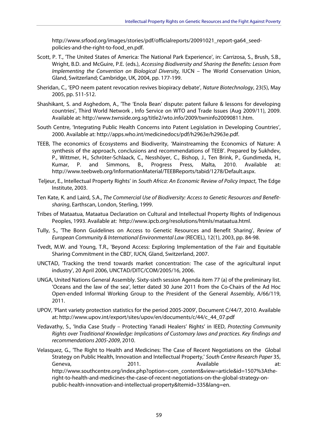http://www.srfood.org/images/stories/pdf/officialreports/20091021\_report-ga64\_seedpolicies-and-the-right-to-food\_en.pdf.

- Scott, P. T., 'The United States of America: The National Park Experience', in: Carrizosa, S., Brush, S.B., Wright, B.D. and McGuire, P.E. (eds.), Accessing Biodiversity and Sharing the Benefits: Lesson from Implementing the Convention on Biological Diversity, IUCN – The World Conservation Union, Gland, Switzerland; Cambridge, UK, 2004, pp. 177-199.
- Sheridan, C., 'EPO neem patent revocation revives biopiracy debate', Nature Biotechnology, 23(5), May 2005, pp. 511-512.
- Shashikant, S. and Asghedom, A., 'The 'Enola Bean' dispute: patent failure & lessons for developing countries', Third World Network , Info Service on WTO and Trade Issues (Aug 2009/11), 2009. Available at: http://www.twnside.org.sg/title2/wto.info/2009/twninfo20090811.htm.
- South Centre, 'Integrating Public Health Concerns into Patent Legislation in Developing Countries', 2000. Available at: http://apps.who.int/medicinedocs/pdf/h2963e/h2963e.pdf.
- TEEB, The economics of Ecosystems and Biodiverity, 'Mainstreaming the Economics of Nature: A synthesis of the approach, conclusions and recommendations of TEEB'. Prepared by Sukhdev, P., Wittmer, H., Schröter-Schlaack, C., Nesshöyer, C., Bishop, J., Ten Brink, P., Gundimeda, H., Kumar, P. and Simmons, B., Progress Press, Malta, 2010. Available at: http://www.teebweb.org/InformationMaterial/TEEBReports/tabid/1278/Default.aspx.
- Teljeur, E., Intellectual Property Rights' in South Africa: An Economic Review of Policy Impact, The Edge Institute, 2003.
- Ten Kate, K. and Laird, S.A., The Commercial Use of Biodiversity: Access to Genetic Resources and Benefitsharing, Earthscan, London, Sterling, 1999.
- Tribes of Mataatua, Mataatua Declaration on Cultural and Intellectual Property Rights of Indigenous Peoples, 1993. Available at: http://www.ipcb.org/resolutions/htmls/mataatua.html.
- Tully, S., 'The Bonn Guidelines on Access to Genetic Resources and Benefit Sharing', Review of European Community & International Environmental Law (RECIEL), 12(1), 2003, pp. 84-98.
- Tvedt, M.W. and Young, T.R., 'Beyond Access: Exploring Implementation of the Fair and Equitable Sharing Commitment in the CBD', IUCN, Gland, Switzerland, 2007.
- UNCTAD, 'Tracking the trend towards market concentration: The case of the agricultural input industry', 20 April 2006, UNCTAD/DITC/COM/2005/16, 2006.
- UNGA, United Nations General Assembly. Sixty-sixth session Agenda item 77 (a) of the preliminary list. 'Oceans and the law of the sea', letter dated 30 June 2011 from the Co-Chairs of the Ad Hoc Open-ended Informal Working Group to the President of the General Assembly, A/66/119, 2011.
- UPOV, 'Plant variety protection statistics for the period 2005-2009', Document C/44/7, 2010. Available at: http://www.upov.int/export/sites/upov/en/documents/c/44/c\_44\_07.pdf
- Vedavathy, S., 'India Case Study Protecting Yanadi Healers' Rights' in IEED, Protecting Community Rights over Traditional Knowledge: Implications of Customary laws and practices. Key findings and recommendations 2005-2009, 2010.
- Velasquez, G., 'The Right to Health and Medicines: The Case of Recent Negotiations on the Global Strategy on Public Health, Innovation and Intellectual Property,' South Centre Research Paper 35, Geneva, 2011. Available at: http://www.southcentre.org/index.php?option=com\_content&view=article&id=1507%3Atheright-to-health-and-medicines-the-case-of-recent-negotiations-on-the-global-strategy-onpublic-health-innovation-and-intellectual-property&Itemid=335&lang=en.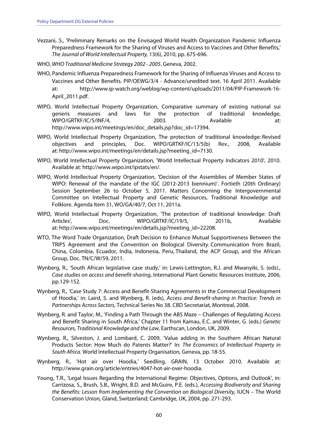- Vezzani, S., 'Preliminary Remarks on the Envisaged World Health Organization Pandemic Influenza Preparedness Framework for the Sharing of Viruses and Access to Vaccines and Other Benefits,' The Journal of World Intellectual Property, 13(6), 2010, pp. 675-696.
- WHO, WHO Traditional Medicine Strategy 2002 2005. Geneva, 2002.
- WHO, Pandemic Influenza Preparedness Framework for the Sharing of Influenza Viruses and Access to Vaccines and Other Benefits. PIP/OEWG/3/4 - Advance/unedited text. 16 April 2011. Available at: http://www.ip-watch.org/weblog/wp-content/uploads/2011/04/PIP-Framework-16- April\_2011.pdf.
- WIPO, World Intellectual Property Organization, Comparative summary of existing national sui generis measures and laws for the protection of traditional knowledge, WIPO/GRTKF/IC/5/INF/4, 2003. Available at: http://www.wipo.int/meetings/en/doc\_details.jsp?doc\_id=17394.
- WIPO, World Intellectual Property Organization, The protection of traditional knowledge: Revised objectives and principles, Doc. WIPO/GRTKF/IC/13/5(b) Rev., 2008, Available at: http://www.wipo.int/meetings/en/details.jsp?meeting\_id=7130.
- WIPO, World Intellectual Property Organization, 'World Intellectual Property Indicators 2010', 2010. Available at: http://www.wipo.int/ipstats/en/.
- WIPO, World Intellectual Property Organization, 'Decision of the Assemblies of Member States of WIPO: Renewal of the mandate of the IGC (2012-2013 biennium)'. Fortieth (20th Ordinary) Session September 26 to October 5, 2011. Matters Concerning the Intergovernmental Committee on Intellectual Property and Genetic Resources, Traditional Knowledge and Folklore. Agenda Item 31, WO/GA/40/7, Oct 11, 2011a.
- WIPO, World Intellectual Property Organization, 'The protection of traditional knowledge: Draft Articles', Doc. WIPO/GRTKF/IC/19/5, 2011b. Available at: http://www.wipo.int/meetings/en/details.jsp?meeting\_id=22208.
- WTO, The Word Trade Organization, Draft Decision to Enhance Mutual Supportiveness Between the TRIPS Agreement and the Convention on Biological Diversity. Communication from Brazil, China, Colombia, Ecuador, India, Indonesia, Peru, Thailand, the ACP Group, and the African Group, Doc. TN/C/W/59, 2011.
- Wynberg, R., 'South African legislative case study,' in: Lewis-Lettington, R.J. and Mwanyiki, S. (eds)., Case studies on access and benefit-sharing, International Plant Genetic Resources Institute, 2006, pp.129-152.
- Wynberg, R., 'Case Study 7: Access and Benefit-Sharing Agreements in the Commercial Development of Hoodia,' in: Laird, S. and Wynberg, R. (eds), Access and Benefit-sharing in Practice: Trends in Partnerships Across Sectors, Technical Series No 38. CBD Secretariat, Montreal, 2008.
- Wynberg, R. and Taylor, M., 'Finding a Path Through the ABS Maze Challenges of Regulating Access and Benefit Sharing in South Africa,' Chapter 11 from Kamau, E.C. and Winter, G. (eds.) Genetic Resources, Traditional Knowledge and the Law, Earthscan, London, UK, 2009.
- Wynberg, R., Silveston, J. and Lombard, C. 2009, 'Value adding in the Southern African Natural Products Sector: How Much do Patents Matter?' In: The Economics of Intellectual Property in South Africa. World Intellectual Property Organisation, Geneva, pp. 18-55.
- Wynberg, R., 'Hot air over Hoodia,' Seedling, GRAIN, 13 October 2010. Available at: http://www.grain.org/article/entries/4047-hot-air-over-hoodia.
- Young, T.R., 'Legal Issues Regarding the International Regime: Objectives, Options, and Outlook', in: Carrizosa, S., Brush, S.B., Wright, B.D. and McGuire, P.E. (eds.), Accessing Biodiversity and Sharing the Benefits: Lesson from Implementing the Convention on Biological Diversity, IUCN – The World Conservation Union, Gland, Switzerland; Cambridge, UK, 2004, pp. 271-293.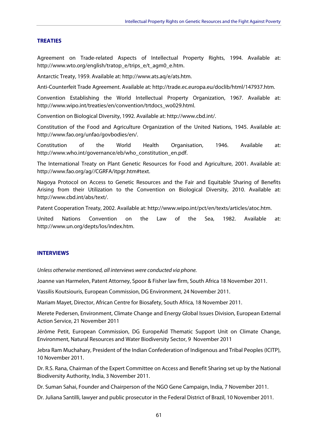#### **TREATIES**

Agreement on Trade-related Aspects of Intellectual Property Rights, 1994. Available at: http://www.wto.org/english/tratop\_e/trips\_e/t\_agm0\_e.htm.

Antarctic Treaty, 1959. Available at: http://www.ats.aq/e/ats.htm.

Anti-Counterfeit Trade Agreement. Available at: http://trade.ec.europa.eu/doclib/html/147937.htm.

Convention Establishing the World Intellectual Property Organization, 1967. Available at: http://www.wipo.int/treaties/en/convention/trtdocs\_wo029.html.

Convention on Biological Diversity, 1992. Available at: http://www.cbd.int/.

Constitution of the Food and Agriculture Organization of the United Nations, 1945. Available at: http://www.fao.org/unfao/govbodies/en/.

Constitution of the World Health Organisation, 1946. Available at: http://www.who.int/governance/eb/who\_constitution\_en.pdf.

The International Treaty on Plant Genetic Resources for Food and Agriculture, 2001. Available at: http://www.fao.org/ag//CGRFA/itpgr.htm#text.

Nagoya Protocol on Access to Genetic Resources and the Fair and Equitable Sharing of Benefits Arising from their Utilization to the Convention on Biological Diversity, 2010. Available at: http://www.cbd.int/abs/text/.

Patent Cooperation Treaty, 2002. Available at: http://www.wipo.int/pct/en/texts/articles/atoc.htm.

United Nations Convention on the Law of the Sea, 1982. Available at: http://www.un.org/depts/los/index.htm.

#### **INTERVIEWS**

Unless otherwise mentioned, all interviews were conducted via phone.

Joanne van Harmelen, Patent Attorney, Spoor & Fisher law firm, South Africa 18 November 2011.

Vassilis Koutsiouris, European Commission, DG Environment, 24 November 2011.

Mariam Mayet, Director, African Centre for Biosafety, South Africa, 18 November 2011.

Merete Pedersen, Environment, Climate Change and Energy Global Issues Division, European External Action Service, 21 November 2011

Jérôme Petit, European Commission, DG EuropeAid Thematic Support Unit on Climate Change, Environment, Natural Resources and Water Biodiversity Sector, 9 November 2011

Jebra Ram Muchahary, President of the Indian Confederation of Indigenous and Tribal Peoples (ICITP), 10 November 2011.

Dr. R.S. Rana, Chairman of the Expert Committee on Access and Benefit Sharing set up by the National Biodiversity Authority, India, 3 November 2011.

Dr. Suman Sahai, Founder and Chairperson of the NGO Gene Campaign, India, 7 November 2011.

Dr. Juliana Santilli, lawyer and public prosecutor in the Federal District of Brazil, 10 November 2011.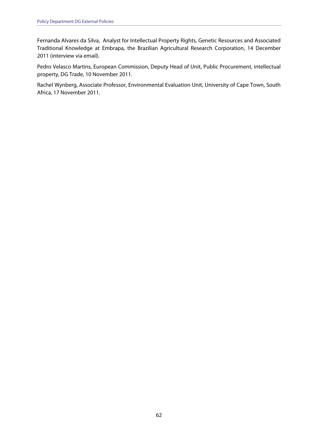Fernanda Alvares da Silva, Analyst for Intellectual Property Rights, Genetic Resources and Associated Traditional Knowledge at Embrapa, the Brazilian Agricultural Research Corporation, 14 December 2011 (interview via email).

Pedro Velasco Martins, European Commission, Deputy Head of Unit, Public Procurement, intellectual property, DG Trade, 10 November 2011.

Rachel Wynberg, Associate Professor, Environmental Evaluation Unit, University of Cape Town, South Africa, 17 November 2011.